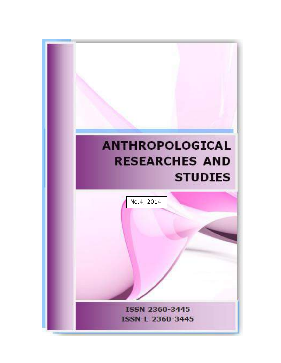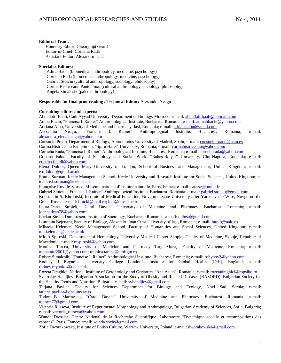#### **Editorial Team:**

 Honorary Editor: Gheorghiță Geană Editor-in-Chief: Cornelia Rada Assistant Editor: Alexandru Ispas

#### **Specialist Editors:**

 Adina Baciu (biomedical anthropology, medicine, psychology) Cornelia Rada (biomedical anthropology, medicine, psychology) Gabriel Stoiciu (cultural anthropology, sociology, philosophy) Corina Bistriceanu Pantelimon (cultural anthropology, sociology, philosophy) Angela Simalcsik (paleoanthropology)

#### **Responsible for final proofreading / Technical Editor:** Alexandra Neagu

#### **Consulting editors and experts:**

Abdellatif Baali, Cadi Ayyad University, Department of Biology, Morroco; e-mail: [abdellatifbaali@hotmail.com](mailto:abdellatifbaali@hotmail.com) Adina Baciu, "Francisc I. Rainer" Anthropological Institute, Bucharest, Romania; e-mail: [adinabbaciu@yahoo.com](mailto:adinabbaciu@yahoo.com)

Adriana Albu, University of Medicine and Pharmacy, Iasi, Romania; e-mail[: adrianaalbu@ymail.com](mailto:adrianaalbu@ymail.com)<br>Alexandra Neagu, "Francisc I. Rainer" Anthropological Institute, Bucharest, Alexandra Neagu, "Francisc I. Rainer" Anthropological Institute, Bucharest, Romania; e-mail: [alexandra\\_elena.neagu@yahoo.com](mailto:alexandra_elena.neagu@yahoo.com)

Consuelo Prado, Department of Biology, Autonomous University of Madrid, Spain; e-mail: [consuelo.prado@uam.es](mailto:consuelo.prado@uam.es) Corina Bistriceanu Pantelimon, "Spiru Haret" University, Romania; e-mail[: corinabistriceanu@yahoo.com](mailto:corinabistriceanu@yahoo.com)

Cornelia Rada, "Francisc I. Rainer" Anthropological Institute, Bucharest, Romania; e-mail: [corneliarada@yahoo.com](mailto:corneliarada@yahoo.com)

Cristina Faludi, Faculty of Sociology and Social Work, "Babeş-Bolyai" University, Cluj-Napoca, Romania; e-mail: [cristina.faludi@yahoo.com](mailto:cristina.faludi@yahoo.com)

Elena Doldor, Queen Mary University of London, School of Business and Management, United Kingdom; e-mail: [e.r.doldor@qmul.ac.uk](mailto:e.r.doldor@qmul.ac.uk)

Emma Surman, Keele Management School, Keele University and Research Institute for Social Sciences, United Kingdom; email: [e.l.surman@keele.ac.uk](mailto:e.l.surman@keele.ac.uk)

Françoise Rovillé-Sausse, Muséum national d'histoire naturelle, Paris, France; e-mail: [sausse@mnhn.fr](mailto:sausse@mnhn.fr)

Gabriel Stoiciu, "Francisc I. Rainer" Anthropological Institute, Bucharest, Romania; e-mail: [gabriel.stoiciu@gmail.com](mailto:gabriel.stoiciu@gmail.com)

Konstantin S. Khroutski, Institute of Medical Education, Novgorod State University after Yaroslav-the-Wise, Novgorod the Great, Russia; e-mail[: hrucki@mail.ru;](mailto:hrucki@mail.ru) [hks@novsu.ac.ru](mailto:hks@novsu.ac.ru)

Laura-Oana Stroică, "Carol Davila" University of Medicine and Pharmacy, Bucharest, Romania; e-mail: [joannadean78@yahoo.com.](mailto:joannadean78@yahoo.com)

Lucian-Ştefan Dumitrescu, Institute of Sociology, Bucharest, Romania; e-mail[: dulust@gmail.com](mailto:dulust@gmail.com)

Luminita Bejenaru, Faculty of Biology, Alexandru Ioan Cuza University of Iași, Romania; e-mail: [lumib@uaic.ro](mailto:lumib@uaic.ro)

Mihaela Kelemen, Keele Management School, Faculty of Humanities and Social Sciences, United Kingdom; e-mail: [m.l.kelemen@keele.ac.uk](mailto:m.l.kelemen@keele.ac.uk)

Mirko Spiroski, Department of Hematology University Medical Center Skopje, Faculty of Medicine, Skopje, Republic of Macedonia; e-mail[: mspiroski@yahoo.com](mailto:mspiroski@yahoo.com)

Monica Tarcea, University of Medicine and Pharmacy Targu-Mureş, Faculty of Medicine, Romania; e-mail: [monaumf2001@yahoo.com;](mailto:monaumf2001@yahoo.com) [monica.tarcea@umftgm.ro](mailto:monica.tarcea@umftgm.ro)

Robert Simalcsik, "Francisc I. Rainer" Anthropological Institute, Bucharest, Romania; e-mail: [robyboy2@yahoo.com](mailto:robyboy2@yahoo.com)

Rodney J Reynolds, University College London's Institute for Global Health (IGH), England; e-mail: [rodney.reynolds@ucl.ac.uk](mailto:rodney.reynolds@ucl.ac.uk)

Rozeta Draghici, National Institute of Gerontology and Geriatrics "Ana Aslan", Romania; e-mail[: rozetadraghici@ropsiho.ro](mailto:rozetadraghici@ropsiho.ro) Svetoslav Handjiev, Bulgarian Association for the Study of Obesity and Related Diseases (BASORD); Bulgarian Society for the Healthy Foods and Nutrition, Bulgaria; e-mail: [svhandjiev@gmail.com](mailto:svhandjiev@gmail.com)

Tatjana Pavlica, Faculty for Sciences Department for Biology and Ecology, Novi Sad, Serbia; e-mail: [tatjana.pavlica@dbe.uns.ac.rs](mailto:tatjana.pavlica@dbe.uns.ac.rs)

Tudor B. Marinescu, "Carol Davila" University of Medicine and Pharmacy, Bucharest, Romania; e-mail: [tudorm77@gmail.com](mailto:tudorm77@gmail.com)

Victoria Russeva, Institute of Experimental Morphology and Anthropology, Bulgarian Academy of Sciences, Sofia, Bulgaria; e-mail: [victoria\\_russeva@yahoo.com](mailto:victoria_russeva@yahoo.com)

Wanda Dressler, Centre National de la Recherche Scientifique, Laboratoire "Dynamique sociale et recompositions des espaces", Paris, France; email: [wanda.socio@gmail.com](mailto:wanda.socio@gmail.com)

Zofia Dworakowska, Institute of Polish Culture, Warsaw University, Poland; e-mail: [dworakowska@gmail.com](mailto:dworakowska@gmail.com)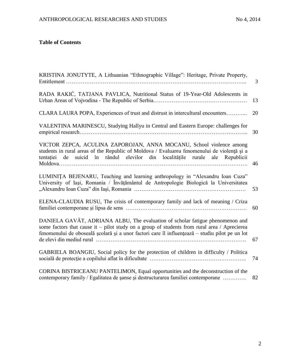# **Table of Contents**

| KRISTINA JONUTYTE, A Lithuanian "Ethnographic Village": Heritage, Private Property,                                                                                                                                                                                              | 3  |
|----------------------------------------------------------------------------------------------------------------------------------------------------------------------------------------------------------------------------------------------------------------------------------|----|
| RADA RAKIĆ, TATJANA PAVLICA, Nutritional Status of 19-Year-Old Adolescents in                                                                                                                                                                                                    | 13 |
| CLARA LAURA POPA, Experiences of trust and distrust in intercultural encounters                                                                                                                                                                                                  | 20 |
| VALENTINA MARINESCU, Studying Hallyu in Central and Eastern Europe: challenges for                                                                                                                                                                                               | 30 |
| VICTOR ZEPCA, ACULINA ZAPOROJAN, ANNA MOCANU, School violence among<br>students in rural areas of the Republic of Moldova / Evaluarea fenomenului de violență și a<br>tentației de suicid în rândul elevilor din localitățile rurale ale Republicii                              | 46 |
| LUMINITA BEJENARU, Teaching and learning anthropology in "Alexandru Ioan Cuza"<br>University of Iași, Romania / Învățământul de Antropologie Biologică la Universitatea                                                                                                          | 53 |
| ELENA-CLAUDIA RUSU, The crisis of contemporary family and lack of meaning / Criza                                                                                                                                                                                                | 60 |
| DANIELA GAVĂT, ADRIANA ALBU, The evaluation of scholar fatigue phenomenon and<br>some factors that cause it – pilot study on a group of students from rural area / Aprecierea<br>fenomenului de oboseală școlară și a unor factori care îl influențează – studiu pilot pe un lot |    |
|                                                                                                                                                                                                                                                                                  | 67 |
| GABRIELA BOANGIU, Social policy for the protection of children in difficulty / Politica                                                                                                                                                                                          | 74 |
| CORINA BISTRICEANU PANTELIMON, Equal opportunities and the deconstruction of the<br>contemporary family / Egalitatea de sanse și destructurarea familiei contemporane                                                                                                            | 82 |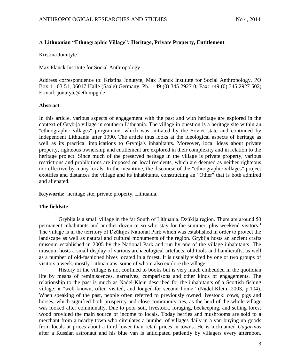# **A Lithuanian "Ethnographic Village": Heritage, Private Property, Entitlement**

Kristina Jonutyte

Max Planck Institute for Social Anthropology

Address correspondence to: Kristina Jonutyte, Max Planck Institute for Social Anthropology, PO Box 11 03 51, 06017 Halle (Saale) Germany. Ph.: +49 (0) 345 2927 0; Fax: +49 (0) 345 2927 502; E-mail: jonutyte@eth.mpg.de

## **Abstract**

In this article, various aspects of engagement with the past and with heritage are explored in the context of Grybija village in southern Lithuania. The village in question is a heritage site within an "ethnographic villages" programme, which was initiated by the Soviet state and continued by Independent Lithuania after 1990. The article thus looks at the ideological aspects of heritage as well as its practical implications to Grybija's inhabitants. Moreover, local ideas about private property, righteous ownership and entitlement are explored in their complexity and in relation to the heritage project. Since much of the preserved heritage in the village is private property, various restrictions and prohibitions are imposed on local residents, which are deemed as neither righteous nor effective by many locals. In the meantime, the discourse of the "ethnographic villages" project exotifies and distances the village and its inhabitants, constructing an "Other" that is both admired and alienated.

**Keywords:** heritage site, private property, Lithuania.

# **The fieldsite**

Grybija is a small village in the far South of Lithuania, Dzūkija region. There are around 50 permanent inhabitants and another dozen or so who stay for the summer, plus weekend visitors.<sup>1</sup> The village is in the territory of Dzūkijos National Park which was established in order to protect the landscape as well as natural and cultural monuments of the region. Grybija hosts an ancient crafts museum established in 2005 by the National Park and run by one of the village inhabitants. The museum hosts a small display of various archaeological artefacts, old tools and handicrafts, as well as a number of old-fashioned hives located in a forest. It is usually visited by one or two groups of visitors a week, mostly Lithuanians, some of whom also explore the village.

History of the village is not confined to books but is very much embedded in the quotidian life by means of reminiscences, narratives, comparisons and other kinds of engagements. The relationship to the past is much as Nadel-Klein described for the inhabitants of a Scottish fishing village: a "well-known, often visited, and longed-for second home" (Nadel-Klein, 2003, p.104). When speaking of the past, people often referred to previously owned livestock: cows, pigs and horses, which signified both prosperity and close community ties, as the herd of the whole village was looked after communally. Due to poor soil, livestock, foraging, beekeeping, and selling forest wood provided the main source of income to locals. Today berries and mushrooms are sold to a merchant from a nearby town who circulates a number of villages daily in a van buying up goods from locals at prices about a third lower than retail prices in towns. He is nicknamed *Gagarinas* after a Russian astronaut and his blue van is anticipated patiently by villagers every afternoon.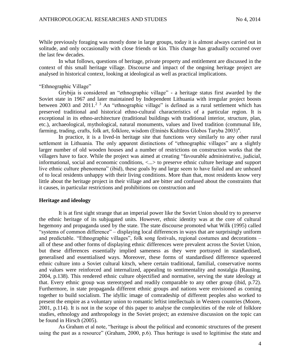While previously foraging was mostly done in large groups, today it is almost always carried out in solitude, and only occasionally with close friends or kin. This change has gradually occurred over the last few decades.

In what follows, questions of heritage, private property and entitlement are discussed in the context of this small heritage village. Discourse and impact of the ongoing heritage project are analysed in historical context, looking at ideological as well as practical implications.

### "Ethnographic Village"

Grybija is considered an "ethnographic village" - a heritage status first awarded by the Soviet state in 1967 and later maintained by Independent Lithuania with irregular project boosts between 2003 and 2011.<sup>2 3</sup> An "ethnographic village" is defined as a rural settlement which has preserved traditional and historical ethno-cultural characteristics of a particular region. It is exceptional in its ethno-architecture (traditional buildings with traditional interior, structure, plan, etc.), archaeological, mythological, natural monuments, values and lived tradition (communal life, farming, trading, crafts, folk art, folklore, wisdom (Etninės Kultūros Globos Taryba 2003)<sup>4</sup>.

In practice, it is a lived-in heritage site that functions very similarly to any other rural settlement in Lithuania. The only apparent distinctions of "ethnographic villages" are a slightly larger number of old wooden houses and a number of restrictions on construction works that the villagers have to face. While the project was aimed at creating "favourable administrative, judicial, informational, social and economic conditions, <...> to preserve ethnic culture heritage and support live ethnic culture phenomena" (ibid), these goals by and large seem to have failed and are unheard of to local residents unhappy with their living conditions. More than that, most residents know very little about the heritage project in their village and are bitter and confused about the constraints that it causes, in particular restrictions and prohibitions on construction and

## **Heritage and ideology**

It is at first sight strange that an imperial power like the Soviet Union should try to preserve the ethnic heritage of its subjugated units. However, ethnic identity was at the core of cultural hegemony and propaganda used by the state. The state discourse promoted what Wilk (1995) called "systems of common difference" – displaying local differences in ways that are surprisingly uniform and predictable. "Ethnographic villages", folk song festivals, regional costumes and decorations – all of these and other forms of displaying ethnic differences were prevalent across the Soviet Union, but these differences essentially implied sameness as they were portrayed in standardised, generalised and essentialised ways. Moreover, these forms of standardised difference squeezed ethnic culture into a Soviet cultural kitsch, where certain traditional, familial, conservative norms and values were reinforced and internalized, appealing to sentimentality and nostalgia (Rausing, 2004, p.138). This rendered ethnic culture objectified and normative, serving the state ideology at that. Every ethnic group was stereotyped and readily comparable to any other group (ibid, p.72). Furthermore, in state propaganda different ethnic groups and nations were envisioned as coming together to build socialism. The idyllic image of comradeship of different peoples also worked to present the empire as a voluntary union to romantic leftist intellectuals in Western countries (Moore, 2001, p.114). It is not in the scope of this paper to analyse the complexities of the role of folklore studies, ethnology and anthropology in the Soviet project; an extensive discussion on the topic can be found in Hirsch (2005).

As Graham et al note, "heritage is about the political and economic structures of the present using the past as a resource" (Graham, 2000, p.6). Thus heritage is used to legitimise the state and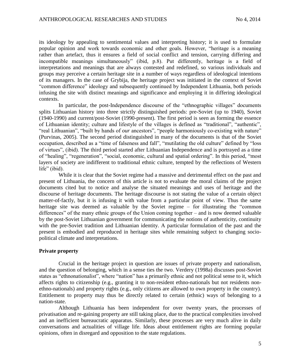its ideology by appealing to sentimental values and interpreting history; it is used to formulate popular opinion and work towards economic and other goals. However, "heritage is a meaning rather than artefact, thus it ensures a field of social conflict and tension, carrying differing and incompatible meanings simultaneously" (ibid, p.8). Put differently, heritage is a field of interpretations and meanings that are always contested and redefined, so various individuals and groups may perceive a certain heritage site in a number of ways regardless of ideological intentions of its managers. In the case of Grybija, the heritage project was initiated in the context of Soviet "common difference" ideology and subsequently continued by Independent Lithuania, both periods infusing the site with distinct meanings and significance and employing it in differing ideological contexts.

In particular, the post-Independence discourse of the "ethnographic villages" documents splits Lithuanian history into three strictly distinguished periods: pre-Soviet (up to 1940), Soviet (1940-1990) and current/post-Soviet (1990-present). The first period is seen as forming the essence of Lithuanian identity; culture and lifestyle of the villages is defined as "traditional", "authentic", "real Lithuanian", "built by hands of *our* ancestors", "people harmoniously co-existing with nature" (Purvinas, 2005). The second period distinguished in many of the documents is that of the Soviet occupation, described as a "time of falseness and fall", "mutilating the old culture" defined by "loss of virtues", (ibid). The third period started after Lithuanian Independence and is portrayed as a time of "healing", "regeneration", "social, economic, cultural and spatial ordering". In this period, "most layers of society are indifferent to traditional ethnic culture, tempted by the reflections of Western life" (ibid).

While it is clear that the Soviet regime had a massive and detrimental effect on the past and present of Lithuania, the concern of this article is not to evaluate the moral claims of the project documents cited but to notice and analyse the situated meanings and uses of heritage and the discourse of heritage documents. The heritage discourse is not stating the value of a certain object matter-of-factly, but it is infusing it with value from a particular point of view. Thus the same heritage site was deemed as valuable by the Soviet regime – for illustrating the "common differences" of the many ethnic groups of the Union coming together – and is now deemed valuable by the post-Soviet Lithuanian government for communicating the notions of authenticity, continuity with the pre-Soviet tradition and Lithuanian identity. A particular formulation of the past and the present is embodied and reproduced in heritage sites while remaining subject to changing sociopolitical climate and interpretations.

## **Private property**

Crucial in the heritage project in question are issues of private property and nationalism, and the question of belonging, which in a sense ties the two. Verdery (1998a) discusses post-Soviet states as "ethnonationalist", where "nation" has a primarily ethnic and not political sense to it, which affects rights to citizenship (e.g., granting it to non-resident ethno-nationals but not residents nonethno-nationals) and property rights (e.g., only citizens are allowed to own property in the country). Entitlement to property may thus be directly related to certain (ethnic) ways of belonging to a nation-state.

Although Lithuania has been independent for over twenty years, the processes of privatisation and re-gaining property are still taking place, due to the practical complexities involved and an inefficient bureaucratic apparatus. Similarly, these processes are very much alive in daily conversations and actualities of village life. Ideas about entitlement rights are forming popular opinions, often in disregard and opposition to the state regulations.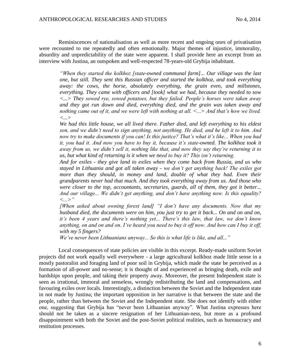Reminiscences of nationalisation as well as more recent and ongoing ones of privatisation were recounted to me repeatedly and often emotionally. Major themes of injustice, immorality, absurdity and unpredictability of the state were apparent. I shall provide here an excerpt from an interview with Justina, an outspoken and well-respected 78-years-old Grybija inhabitant.

*"When they started the kolkhoz [state-owned communal farm]... Our village was the last one, but still. They sent this Russian officer and started the kolkhoz, and took everything away: the cows, the horse, absolutely everything, the grain even, and millstones, everything. They came with officers and [took] what we had, because they needed to sow <...> They sowed rye, sowed potatoes, but they failed. People's horses were taken away and they got run down and died, everything died, and the grain was taken away and nothing came out of it, and we were left with nothing at all. <...> And that's how we lived. <...>* 

*We had this little house, we all lived there. Father died, and left everything to his eldest son, and we didn't need to sign anything, not anything. He died, and he left it to him. And now try to make documents if you can! Is this justice? That's what it's like... When you had it, you had it. And now you have to buy it, because it's state-owned. The kolkhoz took it away from us, we didn't sell it, nothing like that, and now they say they're returning it to us, but what kind of returning is it when we need to buy it? This isn't returning.* 

*And for exiles - they give land to exiles when they come back from Russia, and us who stayed in Lithuania and got all taken away - we don't get anything back! The exiles got*  more than they should, in money and land, double of what they had. Even their *grandparents never had that much. And they took everything away from us. And those who were closer to the top, accountants, secretaries, guards, all of them, they got it better... And our village... We didn't get anything, and don't have anything now. Is this equality? <...>"*

*[When asked about owning forest land] "I don't have any documents. Now that my husband died, the documents were on him, you just try to get it back... On and on and on, it's been 4 years and there's nothing yet... There's this law, that law, we don't know anything, on and on and on. I've heard you need to buy it off now. And how can I buy it off, with my 5 fingers?* 

*We've never been Lithuanians anyway... So this is what life is like, and all..."*

Local consequences of state policies are visible in this excerpt. Ready-made uniform Soviet projects did not work equally well everywhere - a large agricultural kolkhoz made little sense in a mostly pastoralist and foraging land of poor soil in Grybija, which made the state be perceived as a formation of all-power and no-sense; it is thought of and experienced as bringing death, exile and hardships upon people, and taking their property away. Moreover, the present Independent state is seen as irrational, immoral and senseless, wrongly redistributing the land and compensations, and favouring exiles over locals. Interestingly, a distinction between the Soviet and the Independent state in not made by Justina; the important opposition in her narrative is that between the state and the people, rather than between the Soviet and the Independent state. She does not identify with either one, suggesting that Grybija has "never been Lithuanian anyway". What Justina expresses here should not be taken as a sincere resignation of her Lithuanian-ness, but more as a profound disappointment with both the Soviet and the post-Soviet political realities, such as bureaucracy and restitution processes.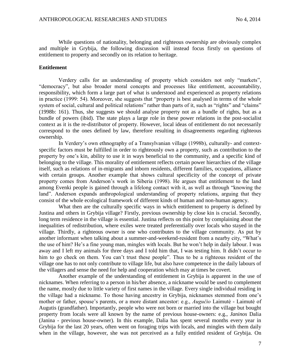While questions of nationality, belonging and righteous ownership are obviously complex and multiple in Grybija, the following discussion will instead focus firstly on questions of entitlement to property and secondly on its relation to heritage.

### **Entitlement**

Verdery calls for an understanding of property which considers not only "markets", "democracy", but also broader moral concepts and processes like entitlement, accountability, responsibility, which form a large part of what is understood and experienced as property relations in practice (1999: 54). Moreover, she suggests that "property is best analysed in terms of the whole system of social, cultural and political relations" rather than parts of it, such as "rights" and "claims" (1998b: 161). Thus, she suggests we should analyse property not as a bundle of rights, but as a bundle of powers (ibid). The state plays a large role in these power relations in the post-socialist context as it is the re-distributor of property. However, local ideas of entitlement do not necessarily correspond to the ones defined by law, therefore resulting in disagreements regarding righteous ownership.

In Verdery's own ethnography of a Transylvanian village (1998b), culturally- and contextspecific factors must be fulfilled in order to righteously own a property, such as contribution to the property by one's kin, ability to use it in ways beneficial to the community, and a specific kind of belonging to the village. This morality of entitlement reflects certain power hierarchies of the village itself, such as relations of in-migrants and inborn residents, different families, occupations, alliance with certain groups. Another example that shows cultural specificity of the concept of private property comes from Anderson's work in Siberia (1998). He argues that entitlement to the land among Evenki people is gained through a lifelong contact with it, as well as through "knowing the land". Anderson expands anthropological understanding of property relations, arguing that they consist of the whole ecological framework of different kinds of human and non-human agency.

What then are the culturally specific ways in which entitlement to property is defined by Justina and others in Grybija village? Firstly, previous ownership by close kin is crucial. Secondly, long term residence in the village is essential. Justina reflects on this point by complaining about the inequalities of redistribution, where exiles were treated preferentially over locals who stayed in the village. Thirdly, a righteous owner is one who contributes to the village community. As put by another informant when talking about a summer-and-weekend-resident from a nearby city, "What's the use of him? He's a fine young man, mingles with locals. But he won't help in daily labour. I was away and I left my animals for three days and I told him that, I was testing him. It didn't occur to him to go check on them. You can't trust these people". Thus to be a righteous resident of the village one has to not only contribute to village life, but also have competence in the daily labours of the villagers and sense the need for help and cooperation which may at times be covert.

Another example of the understanding of entitlement in Grybija is apparent in the use of nicknames. When referring to a person in his/her absence, a nickname would be used to complement the name, mostly due to little variety of first names in the village. Every single individual residing in the village had a nickname. To those having ancestry in Grybija, nicknames stemmed from one's mother or father, spouse's parents, or a more distant ancestor: e.g., *Augučio* Laimutė - Laimutė of Augutis (grandfather). Importantly, people who were not born or married into the village but bought property from locals were all known by the name of previous house-owners: e.g., *Janinos* Dalia (Janina - previous house-owner). In this example, Dalia has spent several months every year in Grybija for the last 20 years, often went on foraging trips with locals, and mingles with them daily when in the village, however, she was not perceived as a fully entitled resident of Grybija. On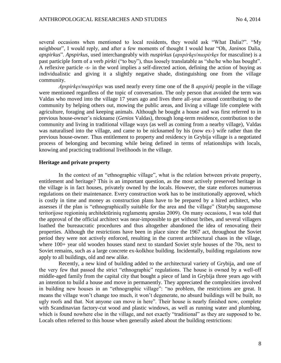several occasions when mentioned to local residents, they would ask "What Dalia?". "My neighbour", I would reply, and after a few moments of thought I would hear "Oh, *Janinos* Dalia, *apspirkus*". *Apspirkus*, used interchangeably with *nuspirkus* (*apspirkęs*/*nuspirkęs* for masculine) is a past participle form of a verb *pirkti* ("to buy"), thus loosely translatable as "she/he who has bought". A reflexive particle -*s*- in the word implies a self-directed action, defining the action of buying as individualistic and giving it a slightly negative shade, distinguishing one from the village community.

*Apspirkęs*/*nuspirkęs* was used nearly every time one of the 8 *apspirkį* people in the village were mentioned regardless of the topic of conversation. The only person that avoided the term was Valdas who moved into the village 17 years ago and lives there all-year around contributing to the community by helping others out, mowing the public areas, and living a village life complete with agriculture, foraging and keeping animals. Although he bought a house and was first referred to in previous house-owner's nickname (*Genios* Valdas), through long-term residence, contribution to the community and living in traditional village ways (as well as coming from a nearby village), Valdas was naturalised into the village, and came to be nicknamed by his (now ex-) wife rather than the previous house-owner. Thus entitlement to property and residency in Grybija village is a negotiated process of belonging and becoming while being defined in terms of relationships with locals, knowing and practicing traditional livelihoods in the village.

### **Heritage and private property**

In the context of an "ethnographic village", what is the relation between private property, entitlement and heritage? This is an important question, as the most actively preserved heritage in the village is in fact houses, privately owned by the locals. However, the state enforces numerous regulations on their maintenance. Every construction work has to be institutionally approved, which is costly in time and money as construction plans have to be prepared by a hired architect, who assesses if the plan is "ethnographically suitable for the area and the village" (Statybų saugomose teritorijose regioninių architektūrinių reglamentų aprašas 2009). On many occasions, I was told that the approval of the official architect was near-impossible to get without bribes, and several villagers loathed the bureaucratic procedures and thus altogether abandoned the idea of renovating their properties. Although the restrictions have been in place since the 1967 act, throughout the Soviet period they were not actively enforced, resulting in the current architectural chaos in the village, where 100+ year old wooden houses stand next to standard Soviet style houses of the 70s, next to Soviet remains, such as a large concrete ex-kolkhoz building. Incidentally, building regulations now apply to all buildings, old and new alike.

Recently, a new kind of building added to the architectural variety of Grybija, and one of the very few that passed the strict "ethnographic" regulations. The house is owned by a well-off middle-aged family from the capital city that bought a piece of land in Grybija three years ago with an intention to build a house and move in permanently. They appreciated the complexities involved in building new houses in an "ethnographic village": "no problem, the restrictions are great. It means the village won't change too much, it won't degenerate, no absurd buildings will be built, no ugly roofs and that. Not anyone can move in here". Their house is nearly finished now, complete with Scandinavian factory-cut wood and plastic windows, as well as running water and plumbing, which is found nowhere else in the village, and not exactly "traditional" as they are supposed to be. Locals often referred to this house when generally asked about the building restrictions: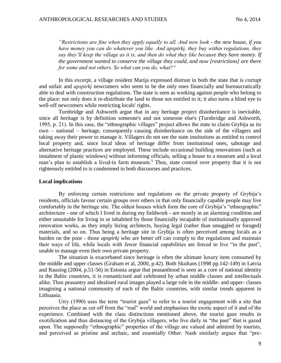*"Restrictions are fine when they apply equally to all. And now look - the new house, if you have money you can do whatever you like. And apspirkį, they buy within regulations, they say they'll keep the village as it is, and then do what they like because they have money. If the government wanted to conserve the village they could, and now [restrictions] are there for some and not others. So what can you do, what?"*

In this excerpt, a village resident Marija expressed distrust in both the state that is corrupt and unfair and *apspirkį* newcomers who seem to be the only ones financially and bureaucratically able to deal with construction regulations. The state is seen as working against people who belong to the place: not only does it re-distribute the land to those not entitled to it; it also turns a blind eye to well-off newcomers while restricting locals' rights.

Turnbridge and Ashworth argue that in any heritage project disinheritance is inevitable, since all heritage is by definition someone's and not someone else's (Turnbridge and Ashworth, 1995, p. 21). In this case, the "ethnographic villages" project allows the state to claim Grybija as its own – national – heritage, consequently causing disinheritance on the side of the villagers and taking away their power to manage it. Villagers do not see the state institutions as entitled to control local property and, since local ideas of heritage differ from institutional ones, sabotage and alternative heritage practices are employed. These include occasional building renovations (such as instalment of plastic windows) without informing officials, selling a house to a museum and a local man's plan to establish a lived-in farm museum.<sup>5</sup> Thus, state control over property that it is not righteously entitled to is condemned in both discourses and practices.

### **Local implications**

By enforcing certain restrictions and regulations on the private property of Grybija's residents, officials favour certain groups over others in that only financially capable people may live comfortably in the heritage site. The oldest houses which form the core of Grybija's "ethnographic" architecture - one of which I lived in during my fieldwork - are mostly in an alarming condition and either unsuitable for living in or inhabited by those financially incapable of institutionally approved renovation works, as they imply hiring architects, buying legal (rather than smuggled or foraged) materials, and so on. Thus being a heritage site in Grybija is often perceived among locals as a burden on the poor - those *apspirkį* who are better off can comply to the regulations and maintain their ways of life, while locals with fewer financial capabilities are forced to live "in the past", unable to manage even their own private property.

The situation is exacerbated since heritage is often the ultimate luxury item consumed by the middle and upper classes (Graham et al, 2000, p.42). Both Skultans (1998 pp.142-149) in Latvia and Rausing (2004, p.51-56) in Estonia argue that peasanthood is seen as a core of national identity in the Baltic countries, it is romanticised and celebrated by urban middle classes and intellectuals alike. Thus peasantry and idealised rural images played a large role in the middle- and upper- classes imagining a national community of each of the Baltic countries, with similar trends apparent in Lithuania.

Urry (1990) uses the term "tourist gaze" to refer to a tourist engagement with a site that perceives the place as cut off from the "real" world and emphasises the exotic aspect of it and of the experience. Combined with the class distinctions mentioned above, the tourist gaze results in exotification and thus distancing of the Grybija villagers, who live daily in "the past" that is gazed upon. The supposedly "ethnographic" properties of the village are valued and admired by tourists, and perceived as pristine and archaic, and essentially Other. Nash similarly argues that "pre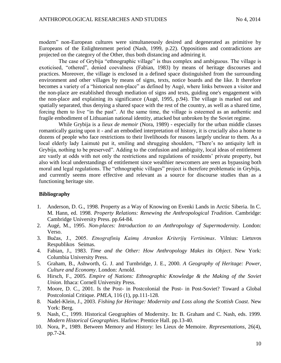modern" non-European cultures were simultaneously desired and degenerated as primitive by Europeans of the Enlightenment period (Nash, 1999, p.22). Oppositions and contradictions are projected on the category of the Other, thus both distancing and admiring it.

The case of Grybija "ethnographic village" is thus complex and ambiguous. The village is exoticised, "othered", denied coevalness (Fabian, 1983) by means of heritage discourses and practices. Moreover, the village is enclosed in a defined space distinguished from the surrounding environment and other villages by means of signs, texts, notice boards and the like. It therefore becomes a variety of a "historical non-place" as defined by Augé, where links between a visitor and the non-place are established through mediation of signs and texts, guiding one's engagement with the non-place and explaining its significance (Augé, 1995, p.94). The village is marked out and spatially separated, thus denying a shared space with the rest of the country, as well as a shared time, forcing them to live "in the past". At the same time, the village is esteemed as an authentic and fragile embodiment of Lithuanian national identity, attacked but unbroken by the Soviet regime.

While Grybija is a *lieux de memoir* (Nora, 1989) - especially for the urban middle classes romantically gazing upon it - and an embodied interpretation of history, it is crucially also a home to dozens of people who face restrictions to their livelihoods for reasons largely unclear to them. As a local elderly lady Laimutė put it, smiling and shrugging shoulders, "There's no antiquity left in Grybija, nothing to be preserved". Adding to the confusion and ambiguity, local ideas of entitlement are vastly at odds with not only the restrictions and regulations of residents' private property, but also with local understandings of entitlement since wealthier newcomers are seen as bypassing both moral and legal regulations. The "ethnographic villages" project is therefore problematic in Grybija, and currently seems more effective and relevant as a source for discourse studies than as a functioning heritage site.

# **Bibliography**

- 1. Anderson, D. G., 1998. Property as a Way of Knowing on Evenki Lands in Arctic Siberia. In C. M. Hann, ed. 1998. *Property Relations: Renewing the Anthropological Tradition*. Cambridge: Cambridge University Press. pp.64-84.
- 2. Augé, M., 1995. *Non-places: Introduction to an Anthropology of Supermodernity*. London: Verso.
- 3. Bučas, J., 2005. *Etnografinių Kaimų Atrankos Kriterijų Vertinimas*. Vilnius: Lietuvos Respublikos Seimas.
- 4. Fabian, J., 1983. *Time and the Other: How Anthropology Makes its Object*. New York: Columbia University Press.
- 5. Graham, B., Ashworth, G. J. and Turnbridge, J. E., 2000. *A Geography of Heritage: Power, Culture and Economy*. London: Arnold.
- 6. Hirsch, F., 2005. *Empire of Nations: Ethnographic Knowledge & the Making of the Soviet Union*. Ithaca: Cornell University Press.
- 7. Moore, D. C., 2001. Is the Post- in Postcolonial the Post- in Post-Soviet? Toward a Global Postcolonial Critique. *PMLA*, 116 (1), pp.111-128.
- 8. Nadel-Klein, J., 2003. *Fishing for Heritage: Modernity and Loss along the Scottish Coast*. New York: Berg.
- 9. Nash, C., 1999. Historical Geographies of Modernity. In: B. Graham and C. Nash, eds. 1999. *Modern Historical Geographies*. Harlow: Prentice Hall. pp.13-40.
- 10. Nora, P., 1989. Between Memory and History: les Lieux de Memoire. *Representations,* 26(4), pp.7-24.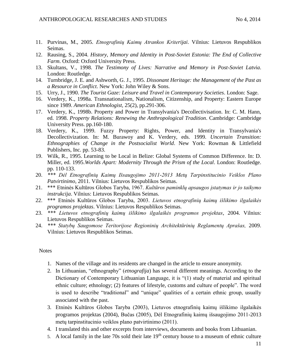- 11. Purvinas, M., 2005. *Etnografinių Kaimų Atrankos Kriterijai*. Vilnius: Lietuvos Respublikos Seimas.
- 12. Rausing, S., 2004. *History, Memory and Identity in Post-Soviet Estonia: The End of Collective Farm*. Oxford: Oxford University Press.
- 13. Skultans, V., 1998. *The Testimony of Lives: Narrative and Memory in Post-Soviet Latvia*. London: Routledge.
- 14. Turnbridge, J. E. and Ashworth, G. J., 1995. *Dissonant Heritage: the Management of the Past as a Resource in Conflict*. New York: John Wiley & Sons.
- 15. Urry, J., 1990. *The Tourist Gaze: Leisure and Travel in Contemporary Societies*. London: Sage.
- 16. Verdery, K., 1998a. Transnationalism, Nationalism, Citizenship, and Property: Eastern Europe since 1989. *American Ethnologist,* 25(2), pp.291-306.
- 17. Verdery, K., 1998b. Property and Power in Transylvania's Decollectivisation. In: C. M. Hann, ed. 1998. *Property Relations: Renewing the Anthropological Tradition*. Cambridge: Cambridge University Press. pp.160-180.
- 18. Verdery, K., 1999. Fuzzy Property: Rights, Power, and Identity in Transylvania's Decollectivization. In: M. Burawoy and K. Verdery, eds. 1999. *Uncertain Transition: Ethnographies of Change in the Postsocialist World*. New York: Rowman & Littlefield Publishers, Inc. pp. 53-83.
- 19. Wilk, R., 1995. Learning to be Local in Belize: Global Systems of Common Difference. In: D. Miller, ed. 1995.*Worlds Apart: Modernity Through the Prism of the Local*. London: Routledge. pp. 110-133.
- 20. *\*\*\* Dėl Etnografinių Kaimų Išsaugojimo 2011-2013 Metų Tarpinstitucinio Veiklos Plano Patvirtinimo,* 2011. Vilnius: Lietuvos Respublikos Seimas.
- 21. \*\*\* Etninės Kultūros Globos Taryba, 1967. *Kultūros paminklų apsaugos įstatymas ir jo taikymo instrukcija*. Vilnius: Lietuvos Respublikos Seimas.
- 22. \*\*\* Etninės Kultūros Globos Taryba, 2003. *Lietuvos etnografinių kaimų išlikimo ilgalaikės programos projektas*. Vilnius: Lietuvos Respublikos Seimas.
- 23. *\*\*\* Lietuvos etnografinių kaimų išlikimo ilgalaikės programos projektas*, 2004. Vilnius: Lietuvos Respublikos Seimas.
- 24. *\*\*\* Statybų Saugomose Teritorijose Regioninių Architektūrinių Reglamentų Aprašas,* 2009. Vilnius: Lietuvos Respublikos Seimas.

## **Notes**

- 1. Names of the village and its residents are changed in the article to ensure anonymity.
- 2. In Lithuanian, "ethnography" (*etnografija*) has several different meanings. According to the Dictionary of Contemporary Lithuanian Language, it is "(1) study of material and spiritual ethnic culture; ethnology; (2) features of lifestyle, customs and culture of people". The word is used to describe "traditional" and "unique" qualities of a certain ethnic group, usually associated with the past.
- 3. Etninės Kultūros Globos Taryba (2003), Lietuvos etnografinių kaimų išlikimo ilgalaikės programos projektas (2004), Bučas (2005), Dėl Etnografinių kaimų išsaugojimo 2011-2013 metų tarpinstitucinio veiklos plano patvirtinimo (2011).
- 4. I translated this and other excerpts from interviews, documents and books from Lithuanian.
- 5. A local family in the late 70s sold their late  $19<sup>th</sup>$  century house to a museum of ethnic culture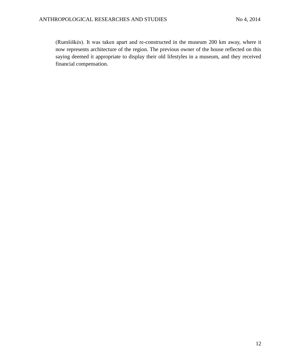(Rumšiškės). It was taken apart and re-constructed in the museum 200 km away, where it now represents architecture of the region. The previous owner of the house reflected on this saying deemed it appropriate to display their old lifestyles in a museum, and they received financial compensation.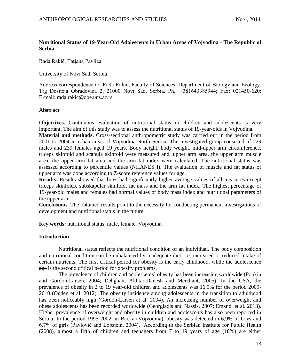# **Nutritional Status of 19-Year-Old Adolescents in Urban Areas of Vojvodina - The Republic of Serbia**

Rada Rakić, Tatjana Pavlica

University of Novi Sad, Serbia

Address correspondence to: Rada Rakić, Faculty of Sciences, Department of Biology and Ecology, Trg Dositeja Obradovića 2, 21000 Novi Sad, Serbia. Ph.: +381643385944; Fax: 021450-620; E-mail: rada.rakic@dbe.uns.ac.rs

# **Abstract**

**Objectives.** Continuous evaluation of nutritional status in children and adolescents is very important. The aim of this study was to assess the nutritional status of 19-year-olds in Vojvodina.

**Material and methods.** Cross-sectional anthropometric study was carried out in the period from 2001 to 2004 in urban areas of Vojvodina-North Serbia. The investigated group consisted of 229 males and 239 females aged 19 years. Body height, body weight, mid-upper arm circumference, triceps skinfold and scapula skinfold were measured and, upper arm area, the upper arm muscle area, the upper arm fat area and the arm fat index were calculated. The nutritional status was assessed according to percentile values (NHANES I). The evaluation of muscle and fat status of upper arm was done according to Z-score reference values for age.

**Results.** Results showed that boys had significantly higher average values of all measures except triceps skinfolds, subskapular skinfold, fat mass and the arm fat index. The highest percentage of 19-year-old males and females had normal values of body mass index and nutritional parameters of the upper arm.

**Conclusions***.* The obtained results point to the necessity for conducting permanent investigations of development and nutritional status in the future.

**Key words:** nutritional status, male, female, Vojvodina.

# **Introduction**

Nutritional status reflects the nutritional condition of an individual. The body composition and nutritional condition can be unbalanced by inadequate diet, i.e. increased or reduced intake of certain nutrients. The first critical period for obesity is the early childhood, while the adolescence age is the second critical period for obesity problems.

The prevalence of children and adolescents' obesity has been increasing worldwide (Popkin and Gordon-Larsen, 2004; Dehghan, Akhtar-Danesh and Merchant, 2005). In the USA, the prevalence of obesity in 2 to 19 year-old children and adolescents was 16.9% for the period 2009- 2010 (Ogden et al. 2012). The obesity incidence among adolescents in the transition to adulthood has been noticeably high (Gordon-Larsen et al. 2004). An increasing number of overweight and obese adolescents has been recorded worldwide (Georgiadis and Nassis, 2007; Emandi et al. 2013). Higher prevalence of overweight and obesity in children and adolescents has also been reported in Serbia. In the period 1995-2002, in Backa (Vojvodina), obesity was detected in 6,9% of boys and 6.7% of girls (Pavlović and Lobstein, 2004). According to the Serbian Institute for Public Health (2008), almost a fifth of children and teenagers from 7 to 19 years of age (18%) are either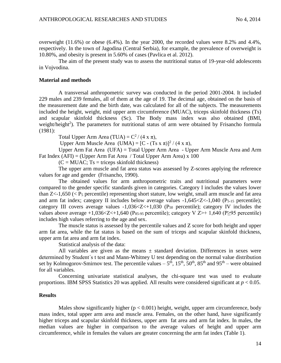overweight  $(11.6\%)$  or obese  $(6.4\%)$ . In the year 2000, the recorded values were 8.2% and 4.4%, respectively. In the town of Jagodina (Central Serbia), for example, the prevalence of overweight is 10.80%, and obesity is present in 5.60% of cases (Pavlica et al. 2012).

The aim of the present study was to assess the nutritional status of 19-year-old adolescents in Vojvodina.

### **Material and methods**

A transversal anthropometric survey was conducted in the period 2001-2004. It included 229 males and 239 females, all of them at the age of 19. The decimal age, obtained on the basis of the measurement date and the birth date, was calculated for all of the subjects. The measurements included the height, weight, mid upper arm circumference (MUAC), triceps skinfold thickness (Ts) and scapular skinfold thickness (Sc). The Body mass index was also obtained (BMI, weight/height<sup>2</sup>). The parameters for nutritional status of arm were obtained by Frisancho formula (1981):

Total Upper Arm Area (TUA) =  $C^2/(4 \times \pi)$ ,

Upper Arm Muscle Area  $(UMA) = [C - (Ts x \pi)]^2 / (4 x \pi),$ 

Upper Arm Fat Area (UFA) = Total Upper Arm Area - Upper Arm Muscle Area and Arm Fat Index  $(AFI) = (Upper Arm Fat Area / Total Upper Arm Area) \times 100$ 

 $(C = MUAC; Ts = triceps \, skinfold \, thickness)$ 

The upper arm muscle and fat area status was assessed by Z-scores applying the reference values for age and gender (Frisancho, 1990).

The obtained values for arm anthropometric traits and nutritional parameters were compared to the gender specific standards given in categories. Category I includes the values lower than  $Z<1,650$  ( $\lt P_5$  percentile) representing short stature, low weight, small arm muscle and fat area and arm fat index; category II includes below average values  $-1,645 < Z < 1,040$  (P<sub>5-15</sub> percentile); category III covers average values  $-1,036 < Z < +1,030$  (P<sub>50</sub> percentile); category IV includes the values above average +1,036<Z<+1,640 ( $P_{85-95}$  percentile); category V Z>+ 1,640 ( $P\geq$ 95 percentile) includes high values referring to the age and sex.

The muscle status is assessed by the percentile values and Z score for both height and upper arm fat area, while the fat status is based on the sum of triceps and scapular skinfold thickness, upper arm fat area and arm fat index.

Statistical analysis of the data:

All variables are given as the means  $\pm$  standard deviation. Differences in sexes were determined by Student΄s t test and Mann-Whitney U test depending on the normal value distribution set by Kolmogorov-Smirnov test. The percentile values  $-5^{th}$ ,  $15^{th}$ ,  $50^{th}$ ,  $85^{th}$  and  $95^{th}$  – were obtained for all variables.

Concerning univariate statistical analyses, the chi-square test was used to evaluate proportions. IBM SPSS Statistics 20 was applied. All results were considered significant at *p* < 0.05.

### **Results**

Males show significantly higher  $(p < 0.001)$  height, weight, upper arm circumference, body mass index, total upper arm area and muscle area. Females, on the other hand, have significantly higher triceps and scapular skinfold thickness, upper arm fat area and arm fat index. In males, the median values are higher in comparison to the average values of height and upper arm circumference, while in females the values are greater concerning the arm fat index (Table 1).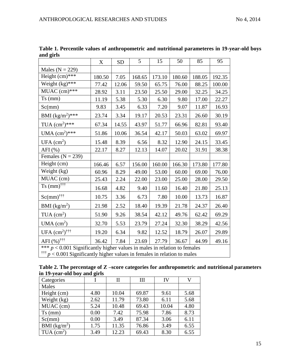|                                                                                                                                                                       | X      | <b>SD</b> | 5      | 15     | 50     | 85     | 95     |
|-----------------------------------------------------------------------------------------------------------------------------------------------------------------------|--------|-----------|--------|--------|--------|--------|--------|
| Males ( $N = 229$ )                                                                                                                                                   |        |           |        |        |        |        |        |
| Height $(cm)***$                                                                                                                                                      | 180.50 | 7.05      | 168.65 | 173.10 | 180.60 | 188.05 | 192.35 |
| Weight $\overline{(\text{kg})^{***}}$                                                                                                                                 | 77.42  | 12.06     | 59.50  | 65.75  | 76.00  | 88.25  | 100.00 |
| $MUAC$ (cm)***                                                                                                                                                        | 28.92  | 3.11      | 23.50  | 25.50  | 29.00  | 32.25  | 34.25  |
| $Ts$ (mm)                                                                                                                                                             | 11.19  | 5.38      | 5.30   | 6.30   | 9.80   | 17.00  | 22.27  |
| Sc(mm)                                                                                                                                                                | 9.83   | 3.45      | 6.33   | 7.20   | 9.07   | 11.87  | 16.93  |
| BMI $(kg/m^2)$ ***                                                                                                                                                    | 23.74  | 3.34      | 19.17  | 20.53  | 23.31  | 26.60  | 30.19  |
| TUA $(cm^2)***$                                                                                                                                                       | 67.34  | 14.55     | 43.97  | 51.77  | 66.96  | 82.81  | 93.40  |
| UMA $(cm^2)***$                                                                                                                                                       | 51.86  | 10.06     | 36.54  | 42.17  | 50.03  | 63.02  | 69.97  |
| UFA $(cm2)$                                                                                                                                                           | 15.48  | 8.39      | 6.56   | 8.32   | 12.90  | 24.15  | 33.45  |
| $AFI$ (%)                                                                                                                                                             | 22.17  | 8.27      | 12.13  | 14.07  | 20.02  | 31.91  | 38.38  |
| Females ( $N = 239$ )                                                                                                                                                 |        |           |        |        |        |        |        |
| Height (cm)                                                                                                                                                           | 166.46 | 6.57      | 156.00 | 160.00 | 166.30 | 173.80 | 177.80 |
| Weight (kg)                                                                                                                                                           | 60.96  | 8.29      | 49.00  | 53.00  | 60.00  | 69.00  | 76.00  |
| MUAC (cm)                                                                                                                                                             | 25.43  | 2.24      | 22.00  | 23.00  | 25.00  | 28.00  | 29.50  |
| $Ts$ (mm) <sup><math>\frac{1}{11}</math></sup>                                                                                                                        | 16.68  | 4.82      | 9.40   | 11.60  | 16.40  | 21.80  | 25.13  |
| $Sc(mm)$ <sup>†††</sup>                                                                                                                                               | 10.75  | 3.36      | 6.73   | 7.80   | 10.00  | 13.73  | 16.87  |
| BMI $(kg/m^2)$                                                                                                                                                        | 21.98  | 2.52      | 18.40  | 19.39  | 21.78  | 24.37  | 26.40  |
| $TUA$ (cm <sup>2</sup> )                                                                                                                                              | 51.90  | 9.26      | 38.54  | 42.12  | 49.76  | 62.42  | 69.29  |
| UMA $\text{(cm}^2\text{)}$                                                                                                                                            | 32.70  | 5.53      | 23.79  | 27.24  | 32.30  | 38.29  | 42.56  |
| UFA $(cm^2)$ <sup>†††</sup>                                                                                                                                           | 19.20  | 6.34      | 9.82   | 12.52  | 18.79  | 26.07  | 29.89  |
| AFI $(\%)^{\dagger\dagger\dagger}$                                                                                                                                    | 36.42  | 7.84      | 23.69  | 27.79  | 36.67  | 44.99  | 49.16  |
| *** $p < 0.001$ Significantly higher values in males in relation to females<br><sup>†††</sup> $p$ < 0.001 Significantly higher values in females in relation to males |        |           |        |        |        |        |        |

**Table 1. Percentile values of anthropometric and nutritional parameteres in 19-year-old boys and girls**

| Table 2. The percentage of Z –score categories for anthropometric and nutritional parameters |  |
|----------------------------------------------------------------------------------------------|--|
| in 19-year-old boy and girls                                                                 |  |

| Categories                    | ັ    | П     | Ш     | IV    | V    |
|-------------------------------|------|-------|-------|-------|------|
| Males                         |      |       |       |       |      |
| Height (cm)                   | 4.80 | 10.04 | 69.87 | 9.61  | 5.68 |
| Weight $(kg)$                 | 2.62 | 11.79 | 73.80 | 6.11  | 5.68 |
| $\overline{\text{MUAC}}$ (cm) | 5.24 | 10.48 | 69.43 | 10.04 | 4.80 |
| $Ts$ (mm)                     | 0.00 | 7.42  | 75.98 | 7.86  | 8.73 |
| Sc(mm)                        | 0.00 | 3.49  | 87.34 | 3.06  | 6.11 |
| BMI $(kg/m^2)$                | 1.75 | 11.35 | 76.86 | 3.49  | 6.55 |
| TUA $(cm2)$                   | 3.49 | 12.23 | 69.43 | 8.30  | 6.55 |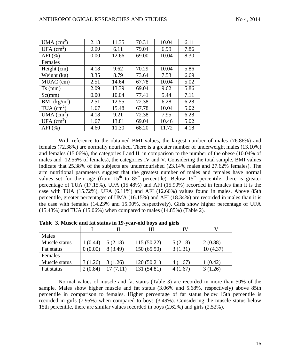| UMA $\text{(cm}^2\text{)}$ | 2.18 | 11.35 | 70.31 | 10.04 | 6.11 |
|----------------------------|------|-------|-------|-------|------|
| UFA $(cm2)$                | 0.00 | 6.11  | 79.04 | 6.99  | 7.86 |
| AFI $(% )$                 | 0.00 | 12.66 | 69.00 | 10.04 | 8.30 |
| Females                    |      |       |       |       |      |
| Height (cm)                | 4.18 | 9.62  | 70.29 | 10.04 | 5.86 |
| Weight (kg)                | 3.35 | 8.79  | 73.64 | 7.53  | 6.69 |
| MUAC (cm)                  | 2.51 | 14.64 | 67.78 | 10.04 | 5.02 |
| $Ts$ (mm)                  | 2.09 | 13.39 | 69.04 | 9.62  | 5.86 |
| Sc(mm)                     | 0.00 | 10.04 | 77.41 | 5.44  | 7.11 |
| BMI $(kg/m2)$              | 2.51 | 12.55 | 72.38 | 6.28  | 6.28 |
| $TUA$ (cm <sup>2</sup> )   | 1.67 | 15.48 | 67.78 | 10.04 | 5.02 |
| UMA $\text{(cm}^2\text{)}$ | 4.18 | 9.21  | 72.38 | 7.95  | 6.28 |
| UFA $(cm2)$                | 1.67 | 13.81 | 69.04 | 10.46 | 5.02 |
| AFI $(\% )$                | 4.60 | 11.30 | 68.20 | 11.72 | 4.18 |

With reference to the obtained BMI values, the largest number of males (76.86%) and females (72.38%) are normally nourished. There is a greater number of underweight males (13.10%) and females (15.06%), the categories I and II, in comparison to the number of the obese (10.04% of males and 12.56% of females), the categories IV and V. Considering the total sample, BMI values indicate that 25.38% of the subjects are undernourished (23.14% males and 27.62% females). The arm nutritional parameters suggest that the greatest number of males and females have normal values set for their age (from  $15<sup>th</sup>$  to  $85<sup>th</sup>$  percentile). Below  $15<sup>th</sup>$  percentile, there is greater percentage of TUA (17.15%), UFA (15.48%) and AFI (15.90%) recorded in females than it is the case with TUA (15.72%), UFA (6.11%) and AFI (12.66%) values found in males. Above 85th percentile, greater percentages of UMA (16.15%) and AFI (18.34%) are recorded in males than it is the case with females (14.23% and 15.90%, respectively). Girls show higher percentage of UFA (15.48%) and TUA (15.06%) when compared to males (14.85%) (Table 2).

|               |         |          | Ш           | IV      |          |
|---------------|---------|----------|-------------|---------|----------|
| Males         |         |          |             |         |          |
| Muscle status | (0.44)  | 5(2.18)  | 115(50.22)  | 5(2.18) | 2(0.88)  |
| Fat status    | 0(0.00) | 8 (3.49) | 150(65.50)  | 3(1.31) | 10(4.37) |
| Females       |         |          |             |         |          |
| Muscle status | 3(1.26) | 3(1.26)  | 120(50.21)  | 4(1.67) | (0.42)   |
| Fat status    | 2(0.84) | 17(7.11) | 131 (54.81) | 4(1.67) | 3(1.26)  |

**Table 3. Muscle and fat status in 19-year-old boys and girls** 

Normal values of muscle and fat status (Table 3) are recorded in more than 50% of the sample. Males show higher muscle and fat status (3.06% and 5.68%, respectively) above 85th percentile in comparison to females. Higher percentage of fat status below 15th percentile is recorded in girls (7.95%) when compared to boys (3.49%). Considering the muscle status below 15th percentile, there are similar values recorded in boys (2.62%) and girls (2.52%).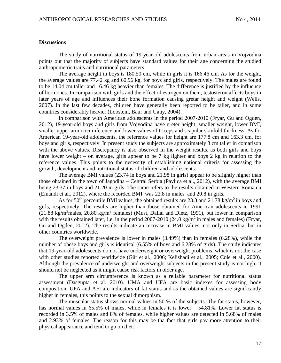### **Discussions**

The study of nutritional status of 19-year-old adolescents from urban areas in Vojvodina points out that the majority of subjects have standard values for their age concerning the studied anthropometric traits and nutritional parameters.

The average height in boys is 180.50 cm, while in girls it is 166.46 cm. As for the weight, the average values are 77.42 kg and 60.96 kg, for boys and girls, respectively. The males are found to be 14.04 cm taller and 16.46 kg heavier than females. The difference is justified by the influence of hormones. In comparison with girls and the effect of estrogen on them, testosteron affects boys in later years of age and influences their bone formation causing gretar height and weight (Wells, 2007). In the last few decades, children have generally been reported to be taller, and in some countries considerably heavier (Lobstein, Baur and Uauy, 2004).

In comparison with American adolescents in the period 2007-2010 (Fryar, Gu and Ogden, 2012), 19-year-old boys and girls from Vojvodina have greter height, smaller weight, lower BMI, smaller upper arm circumference and lower values of triceps and scapular skinfold thickness. As for American 19-year-old adolescents, the reference values for height are 177.8 cm and 163.3 cm, for boys and girls, respectively. In present study the subjects are approximately 3 cm taller in comarison with the above values. Discrepancy is also observed in the weight results, as both girls and boys have lower weight – on average, girls appear to be 7 kg lighter and boys 2 kg in relation to the reference values. This points to the necessity of establishing national criteris for assessing the growth, development and nutritional status of children and adolescents.

The average BMI values (23.74 in boys and 21.98 in girls) appear to be slightly higher than those obtained in the town of Jagodina – Central Serbia (Pavlica et al., 2012), with the average BMI being 23.37 in boys and 21.20 in girls. The same refers to the results obtained in Western Romania (Emandi et al., 2012), where the recorded BMI was 22.8 in males and 20.8 in girls.

As for 50<sup>th</sup> percentile BMI values, the obtained results are 23.3 and 21.78 kg/m<sup>2</sup> in boys and girls, respectively. The results are higher than those obtained for American adolescents in 1991  $(21.88 \text{ kg/m}^2 \text{males}, 20.80 \text{ kg/m}^2 \text{ females})$  (Must, Dallal and Dietz, 1991), but lower in comparison with the results obtained later, i.e. in the period  $2007-2010$  (24.0 kg/m<sup>2</sup> in males and females) (Fryar, Gu and Ogden, 2012). The results indicate an increase in BMI values, not only in Serbia, but in other countries worldwide.

The overweight prevalence is lower in males (3.49%) than in females (6.28%), while the number of obese boys and girls is identical (6.55% of boys and 6.28% of girls). The study indicates that 19-year-old adolescents do not have underweight or overweight problems, which is not the case with other studies reported worldwide (Gür et al., 2006; Kelishadi et al., 2005; Cole et al., 2000). Although the prevalence of underweight and overweight subjects in the present study is not high, it should not be neglected as it might cause risk factors in older age.

The upper arm circumference is known as a reliable parameter for nutritional status assessment (Dasgupta et al. 2010). UMA and UFA are basic indexes for assessing body composition. UFA and AFI are indicators of fat status and as the obtained values are significantly higher in females, this points to the sexual dimorphism.

The muscular status shows normal values in 50 % of the subjects. The fat status, however, has normal values in 65.5% of males, while in females it is lower – 54.81%. Lower fat status is recorded in 3.5% of males and 8% of females, while higher values are detected in 5.68% of males and 2.93% of females. The reason for this may be tha fact that girls pay more attention to their physical appearance and tend to go on diet.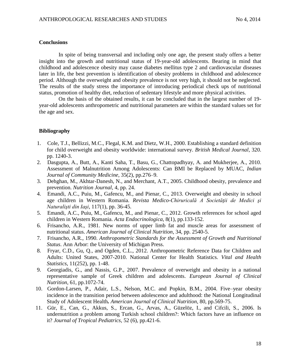### **Conclusions**

In spite of being transversal and including only one age, the present study offers a better insight into the growth and nutritional status of 19-year-old adolescents. Bearing in mind that childhood and adolescence obesity may cause diabetes mellitus type 2 and cardiovascular diseases later in life, the best prevention is identification of obesity problems in childhood and adolescence period. Although the overweight and obesity prevalence is not very high, it should not be neglected. The results of the study stress the importance of introducing periodical check ups of nutritional status, promotion of healthy diet, reduction of sedentary lifestyle and more physical activities.

On the basis of the obtained results, it can be concluded that in the largest number of 19 year-old adolescents anthropometric and nutritional parameters are within the standard values set for the age and sex.

## **Bibliography**

- 1. Cole, T.J., Bellizzi, M.C., Flegal, K.M. and Dietz, W.H., 2000. Establishing a standard definition for child overweight and obesity worldwide: international survey. *British Medical Journal*, 320. pp. 1240-3.
- 2. Dasgupta, A., Butt, A., Kanti Saha, T., Basu, G., Chattopadhyay, A. and Mukherjee, A., 2010. Assessment of Malnutrition Among Adolescents: Can BMI be Replaced by MUAC, *Indian Journal of Community Medicine*, 35(2), pp.276–9.
- 3. Dehghan, M., Akhtar-Danesh, N., and Merchant, A.T., 2005. Childhood obesity, prevalence and prevention. *Nutrition Journal,* 4, pp. 24.
- 4. Emandi, A.C., Puiu, M., Gafencu, M., and Pienar, C., 2013. Overweight and obesity in school age children in Western Romania. *Revista Medico-Chiruricală A Societăţii de Medici şi Naturalişti din Iaşi*, 117(1), pp. 36-45.
- 5. Emandi, A.C., Puiu, M., Gafencu, M., and Pienar, C., 2012. Growth references for school aged children in Western Romania. *Acta Endocrinologica*, 8(1), pp.133-152.
- 6. Frisancho, A.R., 1981. New norms of upper limb fat and muscle areas for assessment of nutritional status. *American Journal of Clinical Nutrition*, 34, pp. 2540-5.
- 7. Frisancho, A.R., 1990. *Anthropometric Standards for the Assessment of Growth and Nutritional Status*. Ann Arbor: the University of Michigan Press.
- 8. Fryar, C.D., Gu, Q., and Ogden, C.L., 2012. Anthropometric Reference Data for Children and Adults: United States, 2007-2010. National Center for Health Statistics. *Vital and Health Statistics*, 11(252), pp. 1-48.
- 9. Georgiadis, G., and Nassis, G.P., 2007. Prevalence of overweight and obesity in a national representative sample of Greek children and adolescents. *European Journal of Clinical Nutrition,* 61, pp.1072-74.
- 10. Gordon-Larsen, P., Adair, L.S., Nelson, M.C. and Popkin, B.M., 2004. Five–year obesity incidence in the transition period between adolescence and adulthood: the National Longitudinal Study of Adolescent Health*. American Journal of Clinical Nutrition*, 80, pp.569-75.
- 11. Gür, E., Can, G., Akkus, S., Ercan, G., Arvas, A., Güzelöz, I., and Cifcili, S., 2006. Is undernutrition a problem among Turkish school children?: Which factors have an influence on it? *Journal of Tropical Pediatrics,* 52 (6), pp.421-6.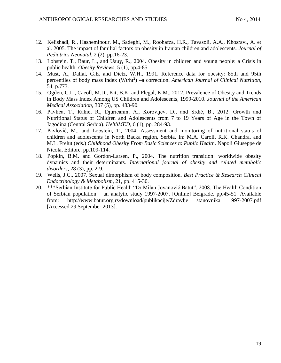- 12. Kelishadi, R., Hashemipour, M., Sadeghi, M., Roohafza, H.R., Tavasoli, A.A., Khosravi, A. et al. 2005. The impact of familial factors on obesity in Iranian children and adolescents. *Journal of Pediatrics Neonatal*, 2 (2), pp.16-23.
- 13. Lobstein, T., Baur, L., and Uauy, R., 2004. Obesity in children and young people: a Crisis in public health. *Obesity Reviews,* 5 (1), pp.4-85.
- 14. Must, A., Dallal, G.E. and Dietz, W.H., 1991. Reference data for obesity: 85th and 95th percentiles of body mass index (Wt/ht<sup>2</sup>) –a correction. *American Journal of Clinical Nutrition*, 54, p.773.
- 15. Ogden, C.L., Caeoll, M.D., Kit, B.K. and Flegal, K.M., 2012. Prevalence of Obesity and Trends in Body Mass Index Among US Children and Adolescents, 1999-2010. *Journal of the American Medical Association,* 307 (5), pp. 483-90.
- 16. Pavlica, T., Rakić, R., Djuricanin, A., Korovljev, D., and Srdić, B., 2012. Growth and Nutritional Status of Children and Adolescents from 7 to 19 Years of Age in the Town of Jagodina (Central Serbia). *HelthMED*, 6 (1), pp. 284-93.
- 17. Pavlović, M., and Lobstein, T., 2004. Assessment and monitoring of nutritional status of children and adolescents in North Backa region, Serbia. In: M.A. Caroli, R.K. Chandra, and M.L. Frelut (eds.) *Childhood Obesity From Basic Sciences to Public Health*. Napoli Giuseppe de Nicola, Editore. pp.109-114.
- 18. Popkin, B.M. and Gordon-Larsen, P., 2004. The nutrition transition: worldwide obesity dynamics and their determinants. *International journal of obesity and related metabolic disorders*, 28 (3), pp. 2-9.
- 19. Wells, J.C., 2007. Sexual dimorphism of body composition. *Best Practice & Research Clinical Endocrinology & Metabolism*, 21, pp. 415-30.
- 20. \*\*\*Serbian Institute for Public Health "Dr Milan Jovanović Batut". 2008. The Health Condition of Serbian population – an analytic study 1997-2007. [Online] Belgrade. pp.45-51. Available from: http://www.batut.org.rs/download/publikacije/Zdravlje stanovnika 1997-2007.pdf [Accessed 29 September 2013].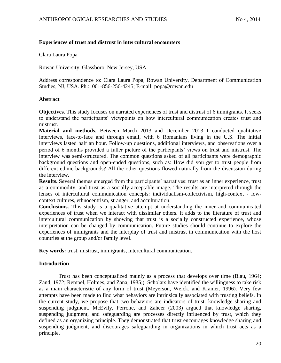# **Experiences of trust and distrust in intercultural encounters**

Clara Laura Popa

Rowan University, Glassboro, New Jersey, USA

Address correspondence to: Clara Laura Popa, Rowan University, Department of Communication Studies, NJ, USA. Ph.:. 001-856-256-4245; E-mail: popa@rowan.edu

## **Abstract**

**Objectives**. This study focuses on narrated experiences of trust and distrust of 6 immigrants. It seeks to understand the participants' viewpoints on how intercultural communication creates trust and mistrust.

**Material and methods.** Between March 2013 and December 2013 I conducted qualitative interviews, face-to-face and through email, with 6 Romanians living in the U.S. The initial interviews lasted half an hour. Follow-up questions, additional interviews, and observations over a period of 6 months provided a fuller picture of the participants' views on trust and mistrust. The interview was semi-structured. The common questions asked of all participants were demographic background questions and open-ended questions, such as: How did you get to trust people from different ethnic backgrounds? All the other questions flowed naturally from the discussion during the interview.

**Results.** Several themes emerged from the participants' narratives: trust as an inner experience, trust as a commodity, and trust as a socially acceptable image. The results are interpreted through the lenses of intercultural communication concepts: individualism-collectivism, high-context - lowcontext cultures, ethnocentrism, stranger, and acculturation.

**Conclusions.** This study is a qualitative attempt at understanding the inner and communicated experiences of trust when we interact with dissimilar others. It adds to the literature of trust and intercultural communication by showing that trust is a socially constructed experience, whose interpretation can be changed by communication. Future studies should continue to explore the experiences of immigrants and the interplay of trust and mistrust in communication with the host countries at the group and/or family level.

**Key words:** trust, mistrust, immigrants, intercultural communication.

# **Introduction**

Trust has been conceptualized mainly as a process that develops over time (Blau, 1964; Zand, 1972; Rempel, Holmes, and Zana, 1985;). Scholars have identified the willingness to take risk as a main characteristic of any form of trust (Meyerson, Weick, and Kramer, 1996). Very few attempts have been made to find what behaviors are intrinsically associated with trusting beliefs. In the current study, we propose that two behaviors are indicators of trust: knowledge sharing and suspending judgment. McEvily, Perrone, and Zaheer (2003) argued that knowledge sharing, suspending judgment, and safeguarding are processes directly influenced by trust, which they defined as an organizing principle. They demonstrated that trust encourages knowledge sharing and suspending judgment, and discourages safeguarding in organizations in which trust acts as a principle.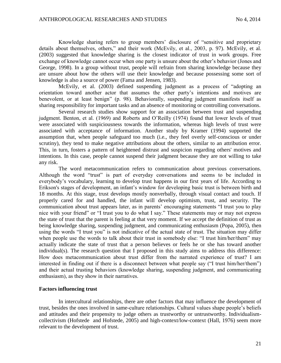Knowledge sharing refers to group members' disclosure of "sensitive and proprietary details about themselves, others," and their work (McEvily, et al., 2003, p. 97). McEvily, et al. (2003) suggested that knowledge sharing is the closest indicator of trust in work groups. Free exchange of knowledge cannot occur when one party is unsure about the other's behavior (Jones and George, 1998). In a group without trust, people will refrain from sharing knowledge because they are unsure about how the others will use their knowledge and because possessing some sort of knowledge is also a source of power (Fama and Jensen, 1983).

McEvily, et al. (2003) defined suspending judgment as a process of "adopting an orientation toward another actor that assumes the other party's intentions and motives are benevolent, or at least benign" (p. 98). Behaviorally, suspending judgment manifests itself as sharing responsibility for important tasks and an absence of monitoring or controlling conversations.

Several research studies show support for an association between trust and suspending judgment. Benton, et al. (1969) and Roberts and O'Reilly (1974) found that lower levels of trust were associated with suspiciousness towards the information, whereas high levels of trust were associated with acceptance of information. Another study by Kramer (1994) supported the assumption that, when people safeguard too much (i.e., they feel overly self-conscious or under scrutiny), they tend to make negative attributions about the others, similar to an attribution error. This, in turn, fosters a pattern of heightened distrust and suspicion regarding others' motives and intentions. In this case, people cannot suspend their judgment because they are not willing to take any risk.

The word metacommunication refers to communication about previous conversations. Although the word "trust" is part of everyday conversations and seems to be included in everybody's vocabulary, learning to develop trust happens in our first years of life. According to Erikson's stages of development, an infant's window for developing basic trust is between birth and 18 months. At this stage, trust develops mostly nonverbally, through visual contact and touch. If properly cared for and handled, the infant will develop optimism, trust, and security. The communication about trust appears later, as in parents' encouraging statements "I trust you to play nice with your friend" or "I trust you to do what I say." These statements may or may not express the state of trust that the parent is feeling at that very moment. If we accept the definition of trust as being knowledge sharing, suspending judgment, and communicating enthusiasm (Popa, 2005), then using the words "I trust you" is not indicative of the actual state of trust. The situation may differ when people use the words to talk about their trust in somebody else: "I trust him/her/them" may actually indicate the state of trust that a person believes or feels he or she has toward another individual(s). The research question that I proposed in this study aims to address this difference: How does metacommunication about trust differ from the narrated experience of trust? I am interested in finding out if there is a disconnect between what people say ("I trust him/her/them") and their actual trusting behaviors (knowledge sharing, suspending judgment, and communicating enthusiasm), as they show in their narratives.

### **Factors influencing trust**

In intercultural relationships, there are other factors that may influence the development of trust, besides the ones involved in same-culture relationships. Cultural values shape people's beliefs and attitudes and their propensity to judge others as trustworthy or untrustworthy. Individualismcollectivism (Hofstede and Hofstede, 2005) and high-context/low-context (Hall, 1976) seem more relevant to the development of trust.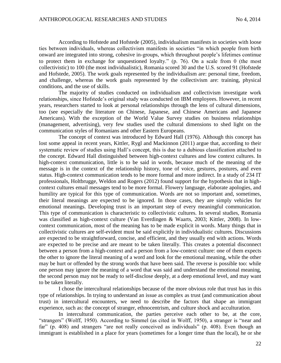According to Hofstede and Hofstede (2005), individualism manifests in societies with loose ties between individuals, whereas collectivism manifests in societies "in which people from birth onward are integrated into strong, cohesive in-groups, which throughout people's lifetimes continue to protect them in exchange for unquestioned loyalty." (p. 76). On a scale from 0 (the most collectivistic) to 100 (the most individualistic), Romania scored 30 and the U.S. scored 91 (Hofstede and Hofstede, 2005). The work goals represented by the individualism are: personal time, freedom, and challenge, whereas the work goals represented by the collectivism are: training, physical conditions, and the use of skills.

The majority of studies conducted on individualism and collectivism investigate work relationships, since Hofstede's original study was conducted on IBM employees. However, in recent years, researchers started to look at personal relationships through the lens of cultural dimensions, too (see especially the literature on Chinese, Japanese, and Chinese Americans and Japanese Americans). With the exception of the World Value Survey studies on business relationships (management, advertising), very few studies used the cultural dimensions to shed light on the communication styles of Romanians and other Eastern Europeans.

The concept of context was introduced by Edward Hall (1976). Although this concept has lost some appeal in recent years, Kittler, Rygl and Mackinnon (2011) argue that, according to their systematic review of studies using Hall's concept, this is due to a dubious classification attached to the concept. Edward Hall distinguished between high-context cultures and low context cultures. In high-context communication, little is to be said in words, because much of the meaning of the message is in the context of the relationship history, tone of voice, gestures, postures, and even status. High-context communication tends to be more formal and more indirect. In a study of 234 IT professionals, Holtbrugge, Weldon and Rogers (2012) found support for the hypothesis that in highcontext cultures email messages tend to be more formal. Flowery language, elaborate apologies, and humility are typical for this type of communication. Words are not so important and, sometimes, their literal meanings are expected to be ignored. In those cases, they are simply vehicles for emotional meanings. Developing trust is an important step of every meaningful communication. This type of communication is characteristic to collectivistic cultures. In several studies, Romania was classified as high-context culture (Van Everdingen & Waarts, 2003; Kittler, 2008). In lowcontext communication, most of the meaning has to be made explicit in words. Many things that in collectivistic cultures are self-evident must be said explicitly in individualistic cultures. Discussions are expected to be straightforward, concise, and efficient, and they usually end with actions. Words are expected to be precise and are meant to be taken literally. This creates a potential disconnect between a person from a high-context and a person from a low-context culture: one of them expects the other to ignore the literal meaning of a word and look for the emotional meaning, while the other may be hurt or offended by the strong words that have been said. The reverse is possible too: while one person may ignore the meaning of a word that was said and understand the emotional meaning, the second person may not be ready to self-disclose deeply, at a deep emotional level, and may want to be taken literally.

I chose the intercultural relationships because of the more obvious role that trust has in this type of relationships. In trying to understand an issue as complex as trust (and communication about trust) in intercultural encounters, we need to describe the factors that shape an immigrant experience, such as: the concept of stranger, ethnocentrism, and culture shock and acculturation.

In intercultural communication, the parties perceive each other to be, at the core, "strangers" (Wolff, 1950). According to Simmel (as cited in Wolff, 1950), a stranger is "near and far" (p. 408) and strangers "are not really conceived as individuals" (p. 408). Even though an immigrant is established in a place for years (sometimes for a longer time than the local), he or she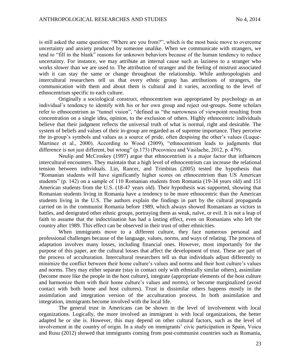is still asked the same question: "Where are you from?", which is the most basic move to overcome uncertainty and anxiety produced by someone unalike. When we communicate with strangers, we tend to "fill in the blank" reasons for unknown behaviors because of the human tendency to reduce uncertainty. For instance, we may attribute an internal cause such as laziness to a stranger who works slower than we are used to. The attribution of stranger and the feeling of mistrust associated with it can stay the same or change throughout the relationship. While anthropologists and intercultural researchers tell us that every ethnic group has attributions of strangers, the communication with them and about them is cultural and it varies, according to the level of ethnocentrism specific to each culture.

Originally a sociological construct, ethnocentrism was appropriated by psychology as an individual's tendency to identify with his or her own group and reject out-groups. Some scholars refer to ethnocentrism as "tunnel vision", "defined as "the narrowness of viewpoint resulting from concentration on a single idea, opinion, to the exclusion of others. Highly ethnocentric individuals believe that their judgment reflects the universal truth of what is normal, right and desirable. The system of beliefs and values of their in-group are regarded as of supreme importance. They perceive the in-group's symbols and values as a source of pride, often despising the other's values (Luque-Martinez et al., 2000). According to Wood (2009), "ethnocentrism leads to judgments that difference is not just different, but wrong" (p.173) (Pocovnicu and Vasilache, 2012, p. 479).

Neulip and McCroskey (1997) argue that ethnocentrism is a major factor that influences intercultural encounters. They maintain that a high level of ethnocentrism can increase the relational tension between individuals. Lin, Rancer, and Trimbitas (2005) tested the hypothesis that "Romanian students will have significantly higher scores on ethnocentrism than US American students" (p. 142) on a sample of 110 Romanian students from Romania (19-34 years old) and 151 American students from the U.S. (18-47 years old). Their hypothesis was supported, showing that Romanian students living in Romania have a tendency to be more ethnocentric than the American students living in the U.S. The authors explain the findings in part by the cultural propaganda carried on in the communist Romania before 1989, which always showed Romanians as victors in battles, and denigrated other ethnic groups, portraying them as weak, naïve, or evil. It is not a leap of faith to assume that the indoctrination has had a lasting effect, even on Romanians who left the country after 1989. This effect can be observed in their trust of other ethnicities.

When immigrants move to a different culture, they face numerous personal and professional challenges because of the language, values, norms, and ways of relating. The process of adaptation involves many losses, including financial ones. However, most importantly for the purpose of this paper, are the cultural losses that affect the development of trust. These are part of the process of acculturation. Intercultural researchers tell us that individuals adjust differently to minimize the conflict between their home culture's values and norms and their host culture's values and norms. They may either separate (stay in contact only with ethnically similar others), assimilate (become more like the people in the host culture), integrate (appropriate elements of the host culture and harmonize them with their home culture's values and norms), or become marginalized (avoid contact with both home and host cultures). Trust in dissimilar others happens mostly in the assimilation and integration version of the acculturation process. In both assimilation and integration, immigrants become involved with the local life.

The general trust in Americans can be shown in the level of involvement with local organizations. Logically, the more involved an immigrant is with local organizations, the better adapted he or she is. However, this may depend on other cultural factors, such as the level of involvement in the country of origin. In a study on immigrants' civic participation in Spain, Voicu and Rusu (2012) showed that immigrants coming from post-communist countries such as Romania,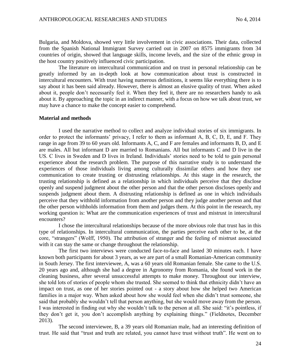Bulgaria, and Moldova, showed very little involvement in civic associations. Their data, collected from the Spanish National Immigrant Survey carried out in 2007 on 8575 immigrants from 34 countries of origin, showed that language skills, income levels, and the size of the ethnic group in the host country positively influenced civic participation.

The literature on intercultural communication and on trust in personal relationship can be greatly informed by an in-depth look at how communication about trust is constructed in intercultural encounters. With trust having numerous definitions, it seems like everything there is to say about it has been said already. However, there is almost an elusive quality of trust. When asked about it, people don't necessarily feel it. When they feel it, there are no researchers handy to ask about it. By approaching the topic in an indirect manner, with a focus on how we talk about trust, we may have a chance to make the concept easier to comprehend.

### **Material and methods**

I used the narrative method to collect and analyze individual stories of six immigrants. In order to protect the informants' privacy, I refer to them as informant A, B, C, D, E, and F. They range in age from 39 to 60 years old. Informants A, C, and F are females and informants B, D, and E are males. All but informant D are married to Romanians. All but informants C and D live in the US. C lives in Sweden and D lives in Ireland. Individuals' stories need to be told to gain personal experience about the research problem. The purpose of this narrative study is to understand the experiences of those individuals living among culturally dissimilar others and how they use communication to create trusting or distrusting relationships. At this stage in the research, the trusting relationship is defined as a relationship in which individuals perceive that they disclose openly and suspend judgment about the other person and that the other person discloses openly and suspends judgment about them. A distrusting relationship is defined as one in which individuals perceive that they withhold information from another person and they judge another person and that the other person withholds information from them and judges them. At this point in the research, my working question is: What are the communication experiences of trust and mistrust in intercultural encounters?

I chose the intercultural relationships because of the more obvious role that trust has in this type of relationships. In intercultural communication, the parties perceive each other to be, at the core, "strangers" (Wolff, 1950). The attribution of stranger and the feeling of mistrust associated with it can stay the same or change throughout the relationship.

The first two interviews were conducted face-to-face and lasted 30 minutes each. I have known both participants for about 3 years, as we are part of a small Romanian-American community in South Jersey. The first interviewee, A, was a 60 years old Romanian female. She came to the U.S. 20 years ago and, although she had a degree in Agronomy from Romania, she found work in the cleaning business, after several unsuccessful attempts to make money. Throughout our interview, she told lots of stories of people whom she trusted. She seemed to think that ethnicity didn't have an impact on trust, as one of her stories pointed out - a story about how she helped two American families in a major way. When asked about how she would feel when she didn't trust someone, she said that probably she wouldn't tell that person anything, but she would move away from the person. I was interested in finding out why she wouldn't talk to the person at all. She said: "it's pointless, if they don't get it, you don't accomplish anything by explaining things." (Fieldnotes, December 2013).

The second interviewee, B, a 39 years old Romanian male, had an interesting definition of trust. He said that "trust and truth are related, you cannot have trust without truth". He went on to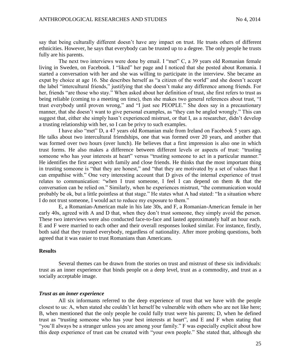say that being culturally different doesn't have any impact on trust. He trusts others of different ethnicities. However, he says that everybody can be trusted up to a degree. The only people he trusts fully are his parents.

The next two interviews were done by email. I "met" C, a 39 years old Romanian female living in Sweden, on Facebook. I "liked" her page and I noticed that she posted about Romania. I started a conversation with her and she was willing to participate in the interview. She became an expat by choice at age 16. She describes herself as "a citizen of the world" and she doesn't accept the label "intercultural friends," justifying that she doesn't make any difference among friends. For her, friends "are those who stay." When asked about her definition of trust, she first refers to trust as being reliable (coming to a meeting on time), then she makes two general references about trust, "I trust everybody until proven wrong," and "I just see PEOPLE." She does say in a precautionary manner, that she doesn't want to give personal examples, as "they can be angled wrongly." This can suggest that, either she simply hasn't experienced mistrust, or that I, as a researcher, didn't develop a trusting relationship with her, so I can be privy to such examples.

I have also "met" D, a 47 years old Romanian male from Ireland on Facebook 5 years ago. He talks about two intercultural friendships, one that was formed over 20 years, and another that was formed over two hours (over lunch). He believes that a first impression is also one in which trust forms. He also makes a difference between different levels or aspects of trust: "trusting someone who has your interests at heart" versus "trusting someone to act in a particular manner." He identifies the first aspect with family and close friends. He thinks that the most important thing in trusting someone is "that they are honest," and "that they are motivated by a set of values that I can empathise with." One very interesting account that D gives of the internal experience of trust relates to communication: "when I trust someone, I feel I can depend on them & that the conversation can be relied on." Similarly, when he experiences mistrust, "the communication would probably be ok, but a little pointless at that stage." He states what A had stated: "In a situation where I do not trust someone, I would act to reduce my exposure to them."

E, a Romanian-American male in his late 30s, and F, a Romanian-American female in her early 40s, agreed with A and D that, when they don't trust someone, they simply avoid the person. These two interviews were also conducted face-to-face and lasted approximately half an hour each. E and F were married to each other and their overall responses looked similar. For instance, firstly, both said that they trusted everybody, regardless of nationality. After more probing questions, both agreed that it was easier to trust Romanians than Americans.

### **Results**

Several themes can be drawn from the stories on trust and mistrust of these six individuals: trust as an inner experience that binds people on a deep level, trust as a commodity, and trust as a socially acceptable image.

## *Trust as an inner experience*

All six informants referred to the deep experience of trust that we have with the people closest to us: A, when stated she couldn't let herself be vulnerable with others who are not like here; B, when mentioned that the only people he could fully trust were his parents; D, when he defined trust as "trusting someone who has your best interests at heart", and E and F when stating that "you'll always be a stranger unless you are among your family." F was especially explicit about how this deep experience of trust can be created with "your own people." She stated that, although she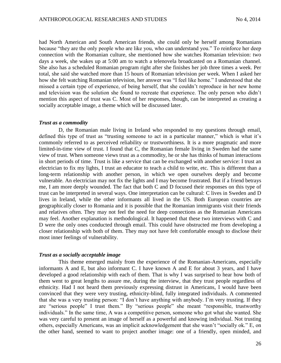had North American and South American friends, she could only be herself among Romanians because "they are the only people who are like you, who can understand you." To reinforce her deep connection with the Romanian culture, she mentioned how she watches Romanian television: two days a week, she wakes up at 5:00 am to watch a telenovela broadcasted on a Romanian channel. She also has a scheduled Romanian program right after she finishes her job three times a week. Per total, she said she watched more than 15 hours of Romanian television per week. When I asked her how she felt watching Romanian television, her answer was "I feel like home." I understood that she missed a certain type of experience, of being herself, that she couldn't reproduce in her new home and television was the solution she found to recreate that experience. The only person who didn't mention this aspect of trust was C. Most of her responses, though, can be interpreted as creating a socially acceptable image, a theme which will be discussed later.

### *Trust as a commodity*

D, the Romanian male living in Ireland who responded to my questions through email, defined this type of trust as "trusting someone to act in a particular manner," which is what it's commonly referred to as perceived reliability or trustworthiness. It is a more pragmatic and more limited-in-time view of trust. I found that C, the Romanian female living in Sweden had the same view of trust. When someone views trust as a commodity, he or she has thinks of human interactions in short periods of time. Trust is like a service that can be exchanged with another service: I trust an electrician to fix my lights, I trust an educator to teach a child to write, etc. This is different than a long-term relationship with another person, in which we open ourselves deeply and become vulnerable. An electrician may not fix the lights and I may become frustrated. But if a friend betrays me, I am more deeply wounded. The fact that both C and D focused their responses on this type of trust can be interpreted in several ways. One interpretation can be cultural: C lives in Sweden and D lives in Ireland, while the other informants all lived in the US. Both European countries are geographically closer to Romania and it is possible that the Romanian immigrants visit their friends and relatives often. They may not feel the need for deep connections as the Romanian Americans may feel. Another explanation is methodological. It happened that these two interviews with C and D were the only ones conducted through email. This could have obstructed me from developing a closer relationship with both of them. They may not have felt comfortable enough to disclose their most inner feelings of vulnerability.

### *Trust as a socially acceptable image*

This theme emerged mainly from the experience of the Romanian-Americans, especially informants A and E, but also informant C. I have known A and E for about 3 years, and I have developed a good relationship with each of them. That is why I was surprised to hear how both of them went to great lengths to assure me, during the interview, that they trust people regardless of ethnicity. Had I not heard them previously expressing distrust in Americans, I would have been convinced that they were very trusting, ethnicity-blind, fully integrated individuals. A commented that she was a very trusting person: "I don't have anything with anybody. I'm very trusting. If they are "serious people" I trust them." By "serious people" she meant "responsible, trustworthy individuals." In the same time, A was a competitive person, someone who got what she wanted. She was very careful to present an image of herself as a powerful and knowing individual. Not trusting others, especially Americans, was an implicit acknowledgement that she wasn't "socially ok." E, on the other hand, seemed to want to project another image: one of a friendly, open minded, and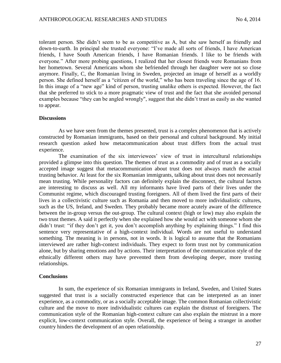tolerant person. She didn't seem to be as competitive as A, but she saw herself as friendly and down-to-earth. In principal she trusted everyone: "I've made all sorts of friends, I have American friends, I have South American friends, I have Romanian friends. I like to be friends with everyone." After more probing questions, I realized that her closest friends were Romanians from her hometown. Several Americans whom she befriended through her daughter were not so close anymore. Finally, C, the Romanian living in Sweden, projected an image of herself as a worldly person. She defined herself as a "citizen of the world," who has been traveling since the age of 16. In this image of a "new age" kind of person, trusting unalike others is expected. However, the fact that she preferred to stick to a more pragmatic view of trust and the fact that she avoided personal examples because "they can be angled wrongly", suggest that she didn't trust as easily as she wanted to appear.

### **Discussions**

As we have seen from the themes presented, trust is a complex phenomenon that is actively constructed by Romanian immigrants, based on their personal and cultural background. My initial research question asked how metacommunication about trust differs from the actual trust experience.

The examination of the six interviewees' view of trust in intercultural relationships provided a glimpse into this question. The themes of trust as a commodity and of trust as a socially accepted image suggest that metacommunication about trust does not always match the actual trusting behavior. At least for the six Romanian immigrants, talking about trust does not necessarily mean trusting. While personality factors can definitely explain the disconnect, the cultural factors are interesting to discuss as well. All my informants have lived parts of their lives under the Communist regime, which discouraged trusting foreigners. All of them lived the first parts of their lives in a collectivistic culture such as Romania and then moved to more individualistic cultures, such as the US, Ireland, and Sweden. They probably became more acutely aware of the difference between the in-group versus the out-group. The cultural context (high or low) may also explain the two trust themes. A said it perfectly when she explained how she would act with someone whom she didn't trust: "if they don't get it, you don't accomplish anything by explaining things." I find this sentence very representative of a high-context individual. Words are not useful to understand something. The meaning is in persons, not in words. It is logical to assume that the Romanians interviewed are rather high-context individuals. They expect to form trust not by communication alone, but by sharing emotions and by actions. Their interpretation of the communication style of the ethnically different others may have prevented them from developing deeper, more trusting relationships.

#### **Conclusions**

In sum, the experience of six Romanian immigrants in Ireland, Sweden, and United States suggested that trust is a socially constructed experience that can be interpreted as an inner experience, as a commodity, or as a socially acceptable image. The common Romanian collectivistic culture and the move to more individualistic cultures can explain the distrust of foreigners. The communication style of the Romanian high-context culture can also explain the mistrust in a more explicit, low-context communication style. Overall, the experience of being a stranger in another country hinders the development of an open relationship.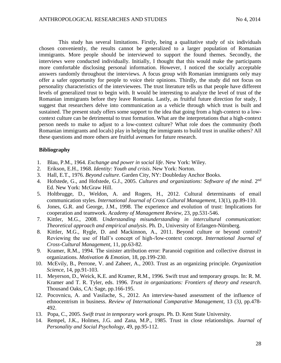This study has several limitations. Firstly, being a qualitative study of six individuals chosen conveniently, the results cannot be generalized to a larger population of Romanian immigrants. More people should be interviewed to support the found themes. Secondly, the interviews were conducted individually. Initially, I thought that this would make the participants more comfortable disclosing personal information. However, I noticed the socially acceptable answers randomly throughout the interviews. A focus group with Romanian immigrants only may offer a safer opportunity for people to voice their opinions. Thirdly, the study did not focus on personality characteristics of the interviewees. The trust literature tells us that people have different levels of generalized trust to begin with. It would be interesting to analyze the level of trust of the Romanian immigrants before they leave Romania. Lastly, as fruitful future direction for study, I suggest that researchers delve into communication as a vehicle through which trust is built and sustained. The present study offers some support to the idea that going from a high-context to a lowcontext culture can be detrimental to trust formation. What are the interpretations that a high-context person needs to make to adjust to a low-context culture? What role does the community (both Romanian immigrants and locals) play in helping the immigrants to build trust in unalike others? All these questions and more others are fruitful avenues for future research.

### **Bibliography**

- 1. Blau, P.M., 1964. *Exchange and power in social life*. New York: Wiley.
- 2. Erikson, E.H., 1968. *Identity: Youth and crisis*. New York: Norton.
- 3. Hall, E.T., 1976. *Beyond culture*. Garden City, NY: Doubleday Anchor Books.
- 4. Hofstede, G., and Hofstede, G.J., 2005. Cultures and organizations: Software of the mind. 2<sup>nd</sup> Ed. New York: McGraw Hill.
- 5. Holtbrugge, D., Weldon, A. and Rogers, H., 2012. Cultural determinants of email communication styles. *International Journal of Cross Cultural Management,* 13(1)*,* pp.89-110.
- 6. Jones, G.R. and George, J.M., 1998. The experience and evolution of trust: Implications for cooperation and teamwork. *Academy of Management Review,* 23*,* pp.531-546.
- 7. Kittler, M.G., 2008. *Understanding misunderstanding in intercultural communication*: *Theoretical approach and empirical analysis*. Ph. D., University of Erlangen-Nürnberg.
- 8. Kittler, M.G., Rygle, D. and Mackinnon, A., 2011. Beyond culture or beyond control? Reviewing the use of Hall's concept of high-/low-context concept. *International Journal of Cross-Cultural Management,* 11, pp.63-82.
- 9. Kramer, R.M., 1994. The sinister attribution error: Paranoid cognition and collective distrust in organizations. *Motivation & Emotion,* 18, pp.199-230.
- 10. McEvily, B., Perrone, V. and Zaheer, A., 2003. Trust as an organizing principle. *Organization Science,* 14, pp.91-103.
- 11. Meyerson, D., Weick, K.E. and Kramer, R.M., 1996. Swift trust and temporary groups. In: R. M. Kramer and T. R. Tyler, eds. 1996. *Trust in organizations: Frontiers of theory and research*. Thousand Oaks, CA: Sage, pp.166-195.
- 12. Pocovnicu, A. and Vasilache, S., 2012. An interview-based assessment of the influence of ethnocentrism in business. *Review of International Comparative Management,* 13 (3*),* pp.478- 492.
- 13. Popa, C., 2005. *Swift trust in temporary work groups*. Ph. D. Kent State University.
- 14. Rempel, J.K., Holmes, J.G. and Zana, M.P., 1985. Trust in close relationships. *Journal of Personality and Social Psychology,* 49, pp.95-112.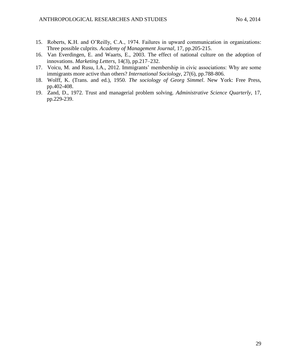- 15. Roberts, K.H. and O'Reilly, C.A., 1974. Failures in upward communication in organizations: Three possible culprits. *Academy of Management Journal,* 17, pp.205-215.
- 16. Van Everdingen, E. and Waarts, E., 2003. The effect of national culture on the adoption of innovations. *Marketing Letters,* 14(3), pp.217–232.
- 17. Voicu, M. and Rusu, I.A., 2012. Immigrants' membership in civic associations: Why are some immigrants more active than others? *International Sociology,* 27(6)*,* pp.788-806.
- 18. Wolff, K. (Trans. and ed.), 1950. *The sociology of Georg Simmel*. New York: Free Press, pp.402-408.
- 19. Zand, D., 1972. Trust and managerial problem solving. *Administrative Science Quarterly,* 17, pp.229-239.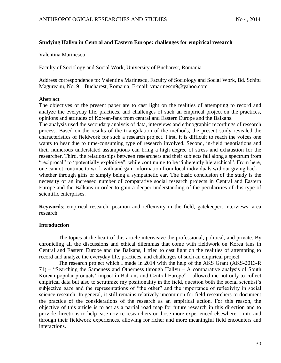# **Studying Hallyu in Central and Eastern Europe: challenges for empirical research**

Valentina Marinescu

Faculty of Sociology and Social Work, University of Bucharest, Romania

Address correspondence to: Valentina Marinescu, Faculty of Sociology and Social Work, Bd. Schitu Magureanu, No. 9 – Bucharest, Romania; E-mail: vmarinescu9@yahoo.com

## **Abstract**

The objectives of the present paper are to cast light on the realities of attempting to record and analyze the everyday life, practices, and challenges of such an empirical project on the practices, opinions and attitudes of Korean-fans from central and Eastern Europe and the Balkans.

The analysis used the secondary analysis of data, interviews and ethnographic recordings of research process. Based on the results of the triangulation of the methods, the present study revealed the characteristics of fieldwork for such a research project. First, it is difficult to reach the voices one wants to hear due to time-consuming type of research involved. Second, in-field negotiations and their numerous understated assumptions can bring a high degree of stress and exhaustion for the researcher. Third, the relationships between researchers and their subjects fall along a spectrum from "reciprocal" to "potentially exploitive", while continuing to be "inherently hierarchical". From here, one cannot continue to work with and gain information from local individuals without giving back – whether through gifts or simply being a sympathetic ear. The basic conclusion of the study is the necessity of an increased number of comparative social research projects in Central and Eastern Europe and the Balkans in order to gain a deeper understanding of the pecularities of this type of scientific enterprises.

**Keywords**: empirical research, position and reflexivity in the field, gatekeeper, interviews, area research.

# **Introduction**

The topics at the heart of this article interweave the professional, political, and private. By chronicling all the discussions and ethical dilemmas that come with fieldwork on Korea fans in Central and Eastern Europe and the Balkans, I tried to cast light on the realities of attempting to record and analyze the everyday life, practices, and challenges of such an empirical project.

The research project which I made in 2014 with the help of the AKS Grant (AKS-2013-R 71) – "Searching the Sameness and Otherness through Hallyu – A comparative analysis of South Korean popular products' impact in Balkans and Central Europe" – allowed me not only to collect empirical data but also to scrutinize my positionality in the field, question both the social scientist's subjective gaze and the representations of "the other" and the importance of reflexivity in social science research. In general, it still remains relatively uncommon for field researchers to document the practice of the considerations of the research as an empirical action. For this reason, the objective of this article is to act as a partial road map for future research in this direction and to provide directions to help ease novice researchers or those more experienced elsewhere – into and through their fieldwork experiences, allowing for richer and more meaningful field encounters and interactions.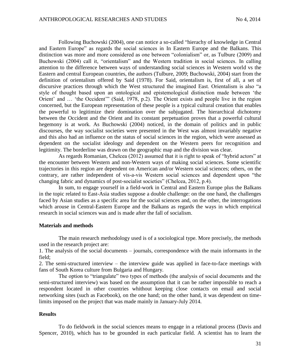Following Buchowski (2004), one can notice a so-called "hierachy of knowledge in Central and Eastern Europe" as regards the social sciences in In Eastern Europe and the Balkans. This distinction was more and more considered as one between "colonialism" or, as Tulbure (2009) and Buchowski (2004) call it, "orientalism" and the Western tradition in social sciences. In calling attention to the difference between ways of understanding social sciences in Western world vs the Eastern and central European countries, the authors (Tulbure, 2009; Buchowski, 2004) start from the definition of orientalism offered by Said (1978). For Said, orientalism is, first of all, a set of discursive practices through which the West structured the imagined East. Orientalism is also "a style of thought based upon an ontological and epistemological distinction made between 'the Orient' and … 'the Occident'" (Said, 1978, p.2). The Orient exists and people live in the region concerned, but the European representation of these people is a typical cultural creation that enables the powerful to legitimize their domination over the subjugated. The hierarchical dichotomy between the Occident and the Orient and its constant perpetuation proves that a powerful cultural hegemony is at work. As Buchowski (2004) noticed, in the domain of politics and in public discourses, the way socialist societies were presented in the West was almost invariably negative and this also had an influence on the status of social sciences in the region, which were assessed as dependent on the socialist ideology and dependent on the Western peers for recognition and legitimity. The borderline was drawn on the geographic map and the division was clear.

As regards Romanian, Chelcea (2012) assumed that it is right to speak of "hybrid actors" at the encounter between Western and non-Western ways of making social sciences. Some scientific trajectories in this region are dependent on American and/or Western social sciences; others, on the contrary, are rather independent of vis-a-vis Western social sciences and dependent upon "the changing fabric and dynamics of post-socialist societies" (Chelcea, 2012, p.4).

In sum, to engage yourself in a field-work in Central and Eastern Europe plus the Balkans in the topic related to East-Asia studies suppose a double challenge: on the one hand, the challenges faced by Asian studies as a specific area for the social sciences and, on the other, the interrogations which arouse in Central-Eastern Europe and the Balkans as regards the ways in which empirical research in social sciences was and is made after the fall of socialism.

### **Materials and methods**

The main research methodology used is of a sociological type. More precisely, the methods used in the research project are:

1. The analysis of the social documents – journals, correspondence with the main informants in the field;

2. The semi-structured interview – the interview guide was applied in face-to-face meetings with fans of South Korea culture from Bulgaria and Hungary.

The option to "triangulate" two types of methods (the analysis of social documents and the semi-structured interview) was based on the assumption that it can be rather impossible to reach a respondent located in other countries whithout keeping close contacts on email and social networking sites (such as Facebook), on the one hand; on the other hand, it was dependent on timelimits imposed on the project that was made mainly in January-July 2014.

### **Results**

To do fieldwork in the social sciences means to engage in a relational process (Davis and Spencer, 2010), which has to be grounded in each particular field. A scientist has to learn the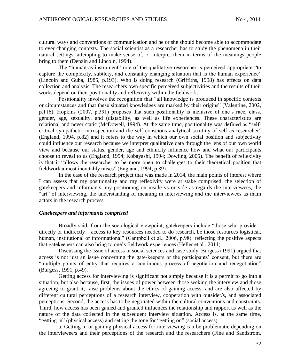cultural ways and conventions of communication and he or she should become able to accommodate to ever changing contexts. The social scientist as a researcher has to study the phenomena in their natural settings, attempting to make sense of, or interpret them in terms of the meanings people bring to them (Denzin and Lincoln, 1994).

The "human-as-instrument" role of the qualitative researcher is perceived appropriate "to capture the complexity, subtlety, and constantly changing situation that is the human experience" (Lincoln and Guba, 1985, p.193). Who is doing research (Griffiths, 1998) has effects on data collection and analysis. The researchers own specific perceived subjectivities and the results of their works depend on their positionality and reflexivity within the fieldwork.

Positionality involves the recognition that "all knowledge is produced in specific contexts or circumstances and that these situated knowledges are marked by their origins" (Valentine, 2002, p.116). Hopkins (2007, p.391) proposes that such positionality is inclusive of one's race, class, gender, age, sexuality, and (dis)ability, as well as life experiences. These characteristics are relational and never static (McDowell, 1994). At the same time, positionality was defined as "selfcritical sympathetic introspection and the self conscious analytical scrutiny of self as researcher" (England, 1994, p.82) and it refers to the way in which our own social position and subjectivity could influence our research because we interpret qualitative data through the lens of our own world view and because our status, gender, age and ethnicity influence how and what our participants choose to reveal to us (England, 1994; Kobayashi, 1994; Dowling, 2005). The benefit of reflexivity is that it "allows the researcher to be more open to challenges to their theoretical position that fieldwork almost inevitably raises" (England, 1994, p.89).

In the case of the research project that was made in 2014, the main points of interest where I can assess that my positionality and my reflexivity were at stake comprised: the selection of gatekeepers and informants, my positioning on inside vs outside as regards the interviewees, the "art" of interviewing, the understanding of meaning in interviewing and the interviewees as main actors in the research process.

### *Gatekeepers and informants comprised*

Broadly said, from the sociological viewpoint, gatekeepers include "those who provide – directly or indirectly – access to key resources needed to do research, be those resources logistical, human, institutional or informational" (Campbell et al., 2006, p.98), reflecting the positive aspects that gatekeepers can also bring to one's fieldwork experiences (Heller et al., 2011).

Discussing the issue of access in social sciences and case study, Burgess (1991) argued that access is not just an issue concerning the gate-keepers or the participants' consent, but there are "multiple points of entry that requires a continuous process of negotiation and renegotiation" (Burgess, 1991, p.49).

Getting access for interviewing is significant not simply because it is a permit to go into a situation, but also because, first, the issues of power between those seeking the interview and those agreeing to grant it, raise problems about the ethics of gaining access, and are also affected by different cultural perceptions of a research interview, cooperation with outsider/s, and associated perceptions. Second, the access has to be negotiated within the cultural conventions and constraints. Third, how access has been gained and granted influences the relationship and rapport as well as the nature of the data collected in the subsequent interview situation. Access is, at the same time, "getting in" (physical access) and setting the tone for "getting on" (social access).

a. Getting in or gaining physical access for interviewing can be problematic depending on the interviewee/s and their perceptions of the research and the researchers (Fine and Sandstrom,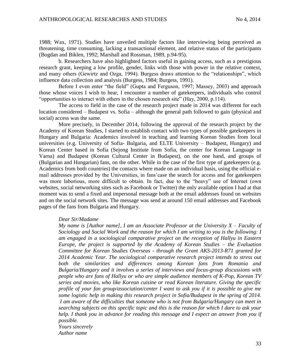1988; Wax, 1971). Studies have unveiled multiple factors like interviewing being perceived as threatening, time consuming, lacking a transactional element, and relative status of the participants (Bogdan and Biklen, 1992; Marshall and Rossman, 1989, p.94-95).

b. Researchers have also highlighted factors useful in gaining access, such as a prestigious research grant, keeping a low profile, gender, links with those with power in the relative context, and many others (Gewirtz and Ozga, 1994). Burgess draws attention to the "relationships", which influence data collection and analysis (Burgess, 1984; Burgess, 1991).

Before I even enter "the field" (Gupta and Ferguson, 1997; Massey, 2003) and approach those whose voices I wish to hear, I encounter a number of gatekeepers, individuals who control "opportunities to interact with others in the chosen research site" (Hay, 2000, p.114).

The access to field in the case of the research project made in 2014 was different for each location considered – Budapest vs. Sofia – although the general path followed to gain (physical and social) access was the same.

More precisely, in December 2014, following the approval of the research project by the Academy of Korean Studies, I started to establish contact with two types of possible gatekeepers in Hungary and Bulgaria: Academics involved in teaching and learning Korean Studies from local universities (e.g. University of Sofia- Bulgaria, and ELTE University – Budapest, Hungary) and Korean Center based in Sofia (Sejong Institute from Sofia, the center for Korean Language in Varna) and Budapest (Korean Cultural Center in Budapest), on the one hand, and groups of (Bulgarian and Hungarian) fans, on the other. While in the case of the first type of gatekeepers (e.g. Academics from both countries) the contacts where made on an individual basis, using the official email addresses provided by the Universities, in fans'case the search for access and for gatekeepers was more laborious, more difficult to obtain. In fact, due to the "heavy" use of Internet (own websites, social networking sites such as Facebook or Twitter) the only available option I had at that moment was to send a fixed and impersonal message both at the email addresses found on websites and on the social network sites. The message was send at around 150 email addresses and Facebook pages of the fans from Bulgaria and Hungary.

#### *Dear Sir/Madame*

*My name is [Author name], I am an Associate Professor at the University*  $X$  *– Faculty of Sociology and Social Work and the reason for which I am writing to you is the following: I am engaged in a sociological comparative project on the reception of Hallyu in Eastern Europe, the project is supported by the Academy of Korean Studies – the Evaluation Committee for Korean Studies Overseas - through the Grant AKS-2013-R71 granted for 2014 Academic Year. The sociological comparative research project intends to stress out both the similarities and differences among Korean fans from Romania and Bulgaria/Hungary and it involves a series of interviews and focus-group discussions with people who are fans of Hallyu or who are simple audience members of K-Pop, Korean TV series and movies, who like Korean cuisine or read Korean literature. Giving the specific profile of your fan group/association/center I want to ask you if it is possible to give me some logistic help in making this research project in Sofia/Budapest in the spring of 2014. I am aware of the difficulties that someone who is not from Bulgaria/Hungary can meet in searching subjects on this specific topic and this is the reason for which I dare to ask your help. I thank you in advance for reading this message and I expect an answer from you if possible.* 

*Yours sincerely Author name*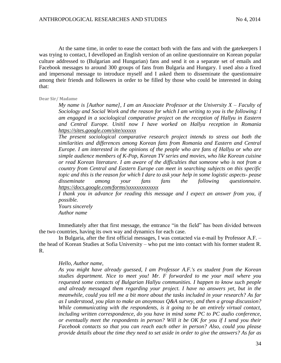At the same time, in order to ease the contact both with the fans and with the gatekeepers I was trying to contact, I develloped an English version of an online questionnaire on Korean popular culture addressed to (Bulgarian and Hungarian) fans and send it on a separate set of emails and Facebook messages to around 300 groups of fans from Bulgaria and Hungary. I used also a fixed and impersonal message to introduce myself and I asked them to disseminate the questionnaire among their friends and followers in order to be filled by those who could be interested in doing that:

**Dear Sir/ Madame** 

*My name is [Author name], I am an Associate Professor at the University*  $X$  *– Faculty of Sociology and Social Work and the reason for which I am writing to you is the following: I am engaged in a sociological comparative project on the reception of Hallyu in Eastern and Central Europe. Unitil now I have worked on Hallyu reception in Romania <https://sites.google.com/site/xxxxxx>*

*The present sociological comparative research project intends to stress out both the similarities and differences among Korean fans from Romania and Eastern and Central Europe. I am interested in the opinions of the people who are fans of Hallyu or who are simple audience members of K-Pop, Korean TV series and movies, who like Korean cuisine or read Korean literature. I am aware of the difficulties that someone who is not from a country from Central and Eastern Europe can meet in searching subjects on this specific topic and this is the reason for which I dare to ask your help in some logistic aspects- pease disseminate among your fans fans the following questionnaire. <https://docs.google.com/forms/xxxxxxxxxxxxx>*

*I thank you in advance for reading this message and I expect an answer from you, if possible.* 

*Yours sincerely Author name*

Immediately after that first message, the entrance "in the field" has been divided between the two countries, having its own way and dynamics for each case.

In Bulgaria, after the first official messages, I was contacted via e-mail by Professor A.F. – the head of Korean Studies at Sofia University – who put me into contact with his former student R. R.

## *Hello, Author name,*

*As you might have already guessed, I am Professor A.F.'s ex student from the Korean studies department. Nice to meet you! Mr. F forwarded to me your mail where you requested some contacts of Bulgarian Hallyu communities. I happen to know such people and already messaged them regarding your project. I have no answers yet, but in the meanwhile, could you tell me a bit more about the tasks included in your research? As far as I understood, you plan to make an anoymous Q&A survey, and then a group discussion? While communicating with the respondents, is it going to be an entirely virtual contact, including written correspondence, do you have in mind some PC to PC audio conference, or eventually meet the respondents in person? Will it be OK for you if I send you their Facebook contacts so that you can reach each other in person? Also, could you please provide details about the time they need to set aside in order to give the answers? As far as*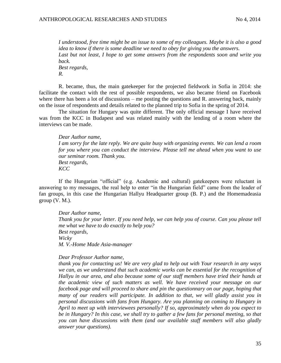*I understood, free time might be an issue to some of my colleagues. Maybe it is also a good idea to know if there is some deadline we need to obey for giving you the answers. Last but not least, I hope to get some answers from the respondents soon and write you back. Best regards, R.*

R. became, thus, the main gatekeeper for the projected fieldwork in Sofia in 2014: she facilitate the contact with the rest of possible respondents, we also became friend on Facebook where there has been a lot of discussions – me posting the questions and R, answering back, mainly on the issue of respondents and details related to the planned trip to Sofia in the spring of 2014.

The situation for Hungary was quite different. The only official message I have received was from the KCC in Budapest and was related mainly with the lending of a room where the interviews can be made.

*Dear Author name, I am sorry for the late reply. We are quite busy with organizing events. We can lend a room for you where you can conduct the interview. Please tell me ahead when you want to use our seminar room. Thank you. Best regards, KCC*

If the Hungarian "official" (e.g. Academic and cultural) gatekeepers were reluctant in answering to my messages, the real help to enter "in the Hungarian field" came from the leader of fan groups, in this case the Hungarian Hallyu Headquarter group (B. P.) and the Homemadeasia  $group (V. M.).$ 

*Dear Author name, Thank you for your letter. If you need help, we can help you of course. Can you please tell me what we have to do exactly to help you? Best regards, Wicky M. V.-Home Made Asia-manager*

#### *Dear Professor Author name,*

*thank you for contacting us! We are very glad to help out with Your research in any ways we can, as we understand that such academic works can be essential for the recognition of Hallyu in our area, and also because some of our staff members have tried their hands at the academic view of such matters as well. We have received your message on our facebook page and will proceed to share and pin the questionnary on our page, hoping that many of our readers will participate. In addition to that, we will gladly assist you in personal discussions with fans from Hungary. Are you planning on coming to Hungary in April to meet up with interviewees personally? If so, approximately when do you expect to be in Hungary? In this case, we shall try to gather a few fans for personal meeting, so that you can have discussions with them (and our available staff members will also gladly answer your questions).*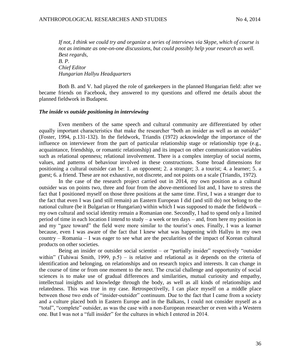*If not, I think we could try and organize a series of interviews via Skype, which of course is not as intimate as one-on-one discussions, but could possibly help your research as well. Best regards, B. P. Chief Editor Hungarian Hallyu Headquarters*

Both B. and V. had played the role of gatekeepers in the planned Hungarian field: after we became friends on Facebook, they answered to my questions and offered me details about the planned fieldwork in Budapest.

#### *The inside vs outside positioning in interviewing*

Even members of the same speech and cultural community are differentiated by other equally important characteristics that make the researcher "both an insider as well as an outsider" (Foster, 1994, p.131-132). In the fieldwork, Triandis (1972) acknowledge the importance of the influence on interviewer from the part of particular relationship stage or relationship type (e.g., acquaintance, friendship, or romantic relationship) and its impact on other communication variables such as relational openness; relational involvement. There is a complex interplay of social norms, values, and patterns of behaviour involved in these constructions. Some broad dimensions for positioning a cultural outsider can be: 1. an opponent; 2. a stranger; 3. a tourist; 4. a learner; 5. a guest; 6. a friend. These are not exhaustive, not discrete, and not points on a scale (Triandis, 1972).

In the case of the research project carried out in 2014, my own position as a cultural outsider was on points two, three and four from the above-mentioned list and, I have to stress the fact that I positioned myself on those three positions at the same time. First, I was a stranger due to the fact that even I was (and still remain) an Eastern European I did (and still do) not belong to the national culture (be it Bulgarian or Hungarian) within which I was supposed to made the fieldwork – my own cultural and social identity remain a Romanian one. Secondly, I had to spend only a limited period of time in each location I intend to study – a week or ten days – and, from here my position in and my "gaze toward" the field were more similar to the tourist's ones. Finally, I was a learner because, even I was aware of the fact that I knew what was happening with Hallyu in my own country – Romania – I was eager to see what are the pecularities of the impact of Korean cultural products on other societies.

Being an insider or outsider social scientist – or "partially insider" respectively "outsider within" (Tuhiwai Smith, 1999, p.5) – is relative and relational as it depends on the criteria of identification and belonging, on relationships and on research topics and interests. It can change in the course of time or from one moment to the next. The crucial challenge and opportunity of social sciences is to make use of gradual differences and similarities, mutual curiosity and empathy, intellectual insights and knowledge through the body, as well as all kinds of relationships and relatedness. This was true in my case. Retrospectivelly, I can place myself on a middle place between those two ends of "insider-outsider" continuum. Due to the fact that I came from a society and a culture placed both in Eastern Europe and in the Balkans, I could not consider myself as a "total", "complete" outsider, as was the case with a non-European researcher or even with a Western one. But I was not a "full insider" for the cultures in which I entered in 2014.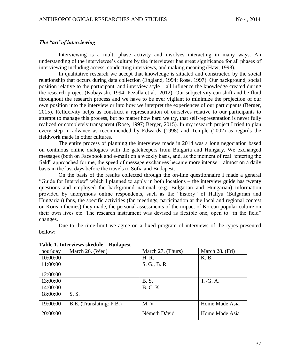### *The "art"of interviewing*

Interviewing is a multi phase activity and involves interacting in many ways. An understanding of the interviewee's culture by the interviewer has great significance for all phases of interviewing including access, conducting interviews, and making meaning (Haw, 1998).

In qualitative research we accept that knowledge is situated and constructed by the social relationship that occurs during data collection (England, 1994; Rose, 1997). Our background, social position relative to the participant, and interview style – all influence the knowledge created during the research project (Kobayashi, 1994; Pezalla et al., 2012). Our subjectivity can shift and be fluid throughout the research process and we have to be ever vigilant to minimize the projection of our own position into the interview or into how we interpret the experiences of our participants (Berger, 2015). Reflexivity helps us construct a representation of ourselves relative to our participants to attempt to manage this process, but no matter how hard we try, that self-representation is never fully realized or completely transparent (Rose, 1997; Berger, 2015). In my research project I tried to plan every step in advance as recommended by Edwards (1998) and Temple (2002) as regards the fieldwork made in other cultures.

The entire process of planning the interviews made in 2014 was a long negociation based on continous online dialogues with the gatekeepers from Bulgaria and Hungary. We exchanged messages (both on Facebook and e-mail) on a weekly basis, and, as the moment of real "entering the field" approached for me, the speed of message exchanges became more intense – almost on a daily basis in the last days before the travels to Sofia and Budapest.

On the basis of the results collected through the on-line questionnaire I made a general "Guide for Interview" which I planned to apply in both locations – the interview guide has twenty questions and employed the background national (e.g. Bulgarian and Hungarian) information provided by anonymous online respondents, such as the "history" of Hallyu (Bulgarian and Hungarian) fans, the specific activities (fan meetings, participation at the local and regional contest on Korean themes) they made, the personal assessments of the impact of Korean popular culture on their own lives etc. The research instrument was devised as flexible one, open to "in the field" changes.

Due to the time-limit we agree on a fixed program of interviews of the types presented bellow:

| hour\day | March 26. (Wed)          | March 27. (Thurs) | March 28. (Fri) |
|----------|--------------------------|-------------------|-----------------|
| 10:00:00 |                          | H. R.             | K. B.           |
| 11:00:00 |                          | S. G., B. R.      |                 |
| 12:00:00 |                          |                   |                 |
| 13:00:00 |                          | <b>B.S.</b>       | T.-G. A.        |
| 14:00:00 |                          | <b>B. C. K.</b>   |                 |
| 18:00:00 | S.S.                     |                   |                 |
| 19:00:00 | B.E. (Translating: P.B.) | M. V              | Home Made Asia  |
| 20:00:00 |                          | Németh Dávid      | Home Made Asia  |

## **Table 1. Interviews skedule – Budapest**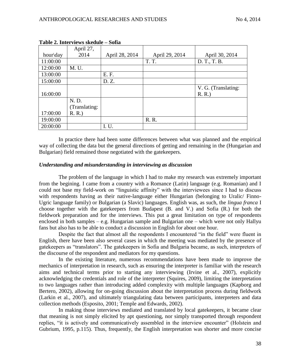|          | April 27,     |                |                |                     |  |
|----------|---------------|----------------|----------------|---------------------|--|
| hour\day | 2014          | April 28, 2014 | April 29, 2014 | April 30, 2014      |  |
| 11:00:00 |               |                | <b>T. T.</b>   | D. T., T. B.        |  |
| 12:00:00 | M. U.         |                |                |                     |  |
| 13:00:00 |               | E. F.          |                |                     |  |
| 15:00:00 |               | D. Z.          |                |                     |  |
|          |               |                |                | V. G. (Translating: |  |
| 16:00:00 |               |                |                | R. R.               |  |
|          | N.D.          |                |                |                     |  |
|          | (Translating: |                |                |                     |  |
| 17:00:00 | R. R.         |                |                |                     |  |
| 19:00:00 |               |                | R. R.          |                     |  |
| 20:00:00 |               | I.U.           |                |                     |  |

**Table 2. Interviews skedule – Sofia** 

In practice there had been some differences between what was planned and the empirical way of collecting the data but the general directions of getting and remaining in the (Hungarian and Bulgarian) field remained those negotiated with the gatekeepers.

## *Understanding and misunderstanding in interviewing as discussion*

The problem of the language in which I had to make my research was extremely important from the begining. I came from a country with a Romance (Latin) language (e.g. Romanian) and I could not base my field-work on "linguistic affinity" with the interviewees since I had to discuss with respondents having as their native-language either Hungarian (belonging to Uralic/ Finno-Ugric language family) or Bulgarian (a Slavic) languages. English was, as such, the *lingua franca* I choose together with the gatekeepers from Budapest (B. and V.) and Sofia (R.) for both the fieldwork preparation and for the interviews. This put a great limitation on type of respondents enclosed in both samples – e.g. Hungarian sample and Bulgarian one – which were not only Hallyu fans but also has to be able to conduct a discussion in English for about one hour.

Despite the fact that almost all the respondents I encountered "in the field" were fluent in English, there have been also several cases in which the meeting was mediated by the presence of gatekeepers as "translators". The gatekeepers in Sofia and Bulgaria became, as such, interpreters of the discourse of the respondent and mediators for my questions.

In the existing literature, numerous recommendations have been made to improve the mechanics of interpretation in research, such as ensuring the interpreter is familiar with the research aims and technical terms prior to starting any interviewing (Irvine et al., 2007), explicitly acknowledging the credentials and role of the interpreter (Squires, 2009), limiting the interpretation to two languages rather than introducing added complexity with multiple languages (Kapborg and Bertero, 2002), allowing for on-going discussion about the interpretation process during fieldwork (Larkin et al., 2007), and ultimately triangulating data between participants, interpreters and data collection methods (Esposito, 2001; Temple and Edwards, 2002).

In making those interviews mediated and translated by local gatekeepers, it became clear that meaning is not simply elicited by apt questioning, nor simply transported through respondent replies, "it is actively and communicatively assembled in the interview encounter" (Holstein and Gubrium, 1995, p.115). Thus, frequently, the English interpretation was shorter and more concise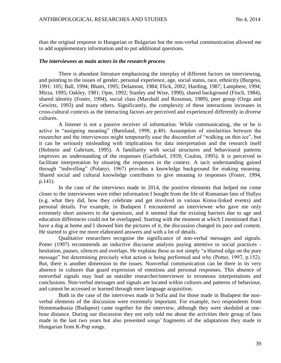than the original response in Hungarian or Bulgarian but the non-verbal communication allowed me to add supplementary information and to put additional questions.

#### *The interviewees as main actors in the research process*

There is abundant literature emphasising the interplay of different factors on interviewing, and pointing to the issues of gender, personal experience, age, social status, race, ethnicity (Burgess, 1991: 105; Ball, 1994; Bhatti, 1995; Delamont, 1984; Flick, 2002; Harding, 1987; Lamphere, 1994; Mirza, 1995; Oakley, 1981; Opie, 1992; Stanley and Wise, 1990), shared background (Finch, 1984), shared identity (Foster, 1994), social class (Marshall and Rossman, 1989), peer group (Ozga and Gewirtz, 1993) and many others. Significantly, the complexity of these interactions increases in cross-cultural contexts as the interacting factors are perceived and experienced differently in diverse cultures.

A listener is not a passive receiver of information. While communicating, she or he is active in "assigning meaning" (Barnlund, 1998, p.40). Assumption of similarities between the researcher and the interviewees might temporarily ease the discomfort of "walking on thin ice", but it can be seriously misleading with implications for data interpretation and the research itself (Holstein and Gabrium, 1995). A familiarity with social structures and behavioural patterns improves an understanding of the responses (Garfinkel, 1959; Coulon, 1995). It is perceived to facilitate interpretation by situating the responses in the context. A tacit understanding gained through "indwelling" (Polanyi, 1967) provides a knowledge background for making meaning. Shared social and cultural knowledge contributes to give meaning to responses (Foster, 1994, p.141).

In the case of the interviews made in 2014, the positive elements that helped me come closer to the interviewees were either information I bought from the life of Romanian fans of Hallyu (e.g. what they did, how they celebrate and get involved in various Korea-linked events) and personal details. For example, in Budapest I encountered an interviewee who gave me only extremely short answers to the questions, and it seemed that the existing barriers due to age and education differences could not be overlapped. Starting with the moment at which I mentioned that I have a dog at home and I showed him the pictures of it, the discussion changed its pace and content. He started to give me more elaborated answers and with a lot of details.

Qualitative researchers recognise the significance of non-verbal messages and signals. Potter (1997) recommends an inductive discourse analysis paying attentive to social practices hesitation, pauses, silences and overlaps. He explains these as not simply "a blurred edge on the pure message" but determining precisely what action is being performed and why (Potter, 1997, p.152). But, there is another dimension to the issues. Nonverbal communication can be there in its very absence in cultures that guard expression of emotions and personal responses. This absence of nonverbal signals may lead an outsider researcher/interviewer to erroneous interpretations and conclusions. Non-verbal messages and signals are located within cultures and patterns of behaviour, and cannot be accessed or learned through mere language acquisition.

Both in the case of the interviews made in Sofia and for those made in Budapest the nonverbal elements of the discussion were extremely important. For example, two respondents from Homemadeasia (Budapest) came together for the interview, although they were skeduled at onehour distance. During our discussion they not only told me about the activities their group of fans made in the last two years but also presented songs' fragments of the adaptations they made in Hungarian from K-Pop songs.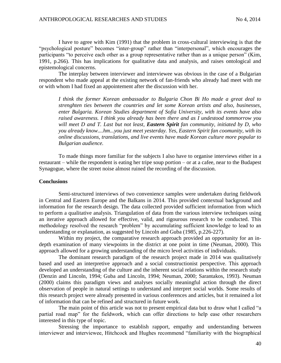I have to agree with Kim (1991) that the problem in cross-cultural interviewing is that the "psychological posture" becomes "inter-group" rather than "interpersonal", which encourages the participants "to perceive each other as a group representative rather than as a unique person" (Kim, 1991, p.266). This has implications for qualitative data and analysis, and raises ontological and epistemological concerns.

The interplay between interviewer and interviewee was obvious in the case of a Bulgarian respondent who made appeal at the existing network of fan-friends who already had meet with me or with whom I had fixed an appointement after the discussion with her.

*I think the former Korean ambassador to Bulgaria Chon Bi Ho made a great deal to strenghten ties between the countries and let some Korean artists and also, businesses, enter Bulgaria. Korean Studies department of Sofia University, with its events have also raised awareness. I think you already has been there and as I undestood tommorrow you will meet D and T. Last but not least, Eastern Spirit fan community, initiated by D, who you already know....hm...you just meet yesterday. Yes, Eastern Spirit fan coomunity, with its online discussions, translations, and live events have made Korean culture more popular to Bulgarian audience.* 

To made things more familiar for the subjects I also have to organise interviews either in a restaurant – while the respondent is eating her tripe soup portion – or at a cafee, near to the Budapest Synagogue, where the street noise almost ruined the recording of the discussion.

## **Conclusions**

Semi-structured interviews of two convenience samples were undertaken during fieldwork in Central and Eastern Europe and the Balkans in 2014. This provided contextual background and information for the research design. The data collected provided sufficient information from which to perform a qualitative analysis. Triangulation of data from the various interview techniques using an iterative approach allowed for effective, valid, and rigourous research to be conducted. This methodology resolved the research "problem" by accumulating sufficient knowledge to lead to an understanding or explanation, as suggested by Lincoln and Guba (1985, p.226-227).

Within my project, the comparative research approach provided an opportunity for an indepth examination of many viewpoints in the district at one point in time (Neuman, 2000). This approach allowed for a growing understanding of the micro level activities of individuals.

The dominant research paradigm of the research project made in 2014 was qualitatively based and used an interpretive approach and a social constructionist perspective. This approach developed an understanding of the culture and the inherent social relations within the research study (Denzin and Lincoln, 1994; Guba and Lincoln, 1994; Neuman, 2000; Sarantakos, 1993). Neuman (2000) claims this paradigm views and analyses socially meaningful action through the direct observation of people in natural settings to understand and interpret social worlds. Some results of this research project were already presented in various conferences and articles, but it remained a lot of information that can be refined and structured in future work.

The main point of this article was not to present empirical data but to draw what I called "a partial road map" for the fieldwork, which can offer directions to help ease other researchers interested in this type of topic.

Stressing the importance to establish rapport, empathy and understanding between interviewer and interviewee, Hitchcock and Hughes recommend "familiarity with the biographical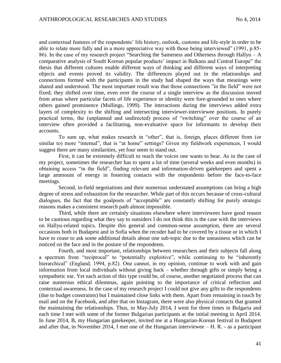and contextual features of the respondents' life history, outlook, customs and life-style in order to be able to relate more fully and in a more appreciative way with those being interviewed" (1991, p.85- 86). In the case of my research project "Searching the Sameness and Otherness through Hallyu – A comparative analysis of South Korean popular products' impact in Balkans and Central Europe" the thesis that different cultures enable different ways of thinking and different ways of interpreting objects and events proved its validity. The differences played out in the relationships and connections formed with the participants in the study had shaped the ways that meanings were shared and understood. The most important result was that those connections "in the field" were not fixed; they shifted over time, even over the course of a single interview as the discussion moved from areas where particular facets of life experience or identity were fore-grounded to ones where others gained prominence (Mullings, 1999). The interactions during the interviews added extra layers of complexity to the shifting and intersecting interviewer-interviewee positions. In purely practical terms, the (unplanned and undirected) process of "switching" over the course of an interview often provided a facilitating, non-evaluative space for informants to develop their accounts.

To sum up, what makes research in "other", that is, foreign, places different from (or similar to) more "internal", that is "at home" settings? Given my fieldwork experiences, I would suggest there are many similarities, yet four seem to stand out.

First, it can be extremely difficult to reach the voices one wants to hear. As in the case of my project, sometimes the researcher has to spent a lot of time (several weeks and even months) in obtaining access "in the field", finding relevant and information-driven gatekeepers and spent a large ammount of energy in fostering contacts with the respondents before the face-to-face meetings.

Second, in-field negotiations and their numerous understated assumptions can bring a high degree of stress and exhaustion for the researcher. While part of this occurs because of cross-cultural dialogues, the fact that the goalposts of "acceptable" are constantly shifting for purely strategic reasons makes a consistent research path almost impossible.

Third, while there are certainly situations elsewhere where interviewees have good reason to be cautious regarding what they say to outsiders I do not think this is the case with the interviews on Hallyu-related topics. Despite this general and common-sense assumption, there are several occasions both in Budapest and in Sofia when the recoder had to be covered by a tissue or in which I have to cease to ask some additional details about one sub-topic due to the uneasiness which can be noticed on the face and in the posture of the respondents.

Fourth, and most important, relationships between researchers and their subjects fall along a spectrum from "reciprocal" to "potentially exploitive", while continuing to be "inherently hierarchical" (England, 1994, p.82). One cannot, in my opinion, continue to work with and gain information from local individuals without giving back – whether through gifts or simply being a sympathetic ear. Yet each action of this type could be, of course, another negotiated process that can raise numerous ethical dilemmas, again pointing to the importance of critical reflection and contextual awareness. In the case of my research project I could not give any gifts to the respondents (due to budget constraints) but I maintained close links with them. Apart from remaining in touch by mail and on the Facebook, and after that on Instagram, there were also physical contacts that granted the maintaining the relationships. Thus, in May-July 2014, I went for three times in Bulgaria and each time I met with some of the former Bulgarian participants at the initial meeting in April 2014. In June 2014, B, my Hungarian gatekeeper, invited me at a Hungarian-Korean festival in Budapest and after that, in November 2014, I met one of the Hungarian interviewee – H. R. - as a participant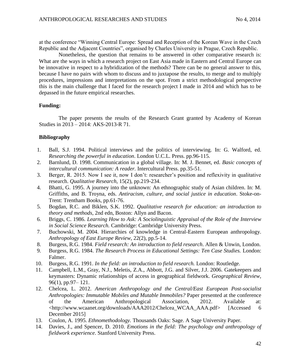at the conference "Winning Central Europe: Spread and Reception of the Korean Wave in the Czech Republic and the Adjacent Countries", organised by Charles University in Prague, Czech Republic.

Nonetheless, the question that remains to be answered in other comparative research is: What are the ways in which a research project on East Asia made in Eastern and Central Europe can be innovative in respect to a hybridization of the methods? There can be no general answer to this, because I have no pairs with whom to discuss and to juxtapose the results, to merge and to multiply procedures, impressions and interpretations on the spot. From a strict methodological perspective this is the main challenge that I faced for the research project I made in 2014 and which has to be depassed in the future empirical researches.

## **Funding:**

The paper presents the results of the Research Grant granted by Academy of Korean Studies in 2013 – 2014: AKS-2013-R 71.

## **Bibliography**

- 1. Ball, S.J. 1994. Political interviews and the politics of interviewing. In: G. Walford, ed. *Researching the powerful in education*. London U.C.L. Press. pp.96-115.
- 2. Barnlund, D. 1998. Communication in a global village. In: M. J. Bennet, ed. *Basic concepts of intercultural communication: A reader.* Intercultural Press. pp.35-51.
- 3. Berger, R. 2015. Now I see it, now I don't: researcher's position and reflexivity in qualitative research. *Qualitative Research,* 15(2), pp.219-234.
- 4. Bhatti, G. 1995. A journey into the unknown: An ethnographic study of Asian children. In: M. Griffiths, and B. Troyna, eds. *Antiracism, culture, and social justice in education*. Stoke-on-Trent: Trentham Books, pp.61-76.
- 5. Bogdan, R.C. and Biklen, S.K. 1992. *Qualitative research for education: an introduction to theory and methods*, 2nd edn, Boston: Allyn and Bacon.
- 6. Briggs, C. 1986. *Learning How to Ask: A Sociolinguistic Appraisal of the Role of the Interview in Social Science Research.* Cambridge: Cambridge University Press.
- 7. Buchowski, M. 2004. Hierarchies of knowledge in Central-Eastern European anthropology. *Anthropology of East Europe Review,* 22(2), pp.5-14.
- 8. Burgess, R.G. 1984. *Field research: An introduction to field research*. Allen & Unwin, London.
- 9. Burgess, R.G. 1984. *The Research Process in Educational Settings: Ten Case Studies.* London: Falmer.
- 10. Burgess, R.G. 1991. *In the field: an introduction to field research.* London: Routledge.
- 11. Campbell, L.M., Gray, N.J., Meletis, Z.A., Abbott, J.G. and Silver, J.J. 2006. Gatekeepers and keymasters: Dynamic relationships of access in geographical fieldwork. *Geographical Review,* 96(1), pp.97– 121.
- 12. Chelcea, L. 2012. *American Anthropology and the Central/East European Post-socialist Anthropologies: Immutable Mobiles and Mutable Immobiles?* Paper presented at the conference of the American Anthropological Association, 2012. Available at: <http://www.wcaanet.org/downloads/AAA2012/Chelcea\_WCAA\_AAA.pdf> [Accessed 6 December 2015]
- 13. Coulon, A. 1995. *Ethnomethodology.* Thousands Oaks: Sage. A Sage University Paper.
- 14. Davies, J., and Spencer, D. 2010. *Emotions in the field: The psychology and anthropology of fieldwork experience*. Stanford University Press.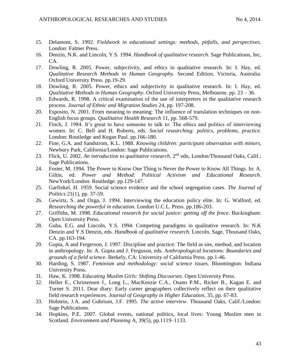- 15. Delamont, S. 1992. *Fieldwork in educational settings: methods, pitfalls, and perspectives.*  London: Falmer Press.
- 16. Denzin, N.K. and Lincoln, Y.S. 1994. *Handbook of qualitative research.* Sage Publications, Inc, CA.
- 17. Dowling, R. 2005. Power, subjectivity, and ethics in qualitative research. In: I. Hay, ed. *Qualitative Research Methods in Human Geography.* Second Edition. Victoria, Australia: Oxford University Press. pp.19-29.
- 18. Dowling, R. 2005. Power, ethics and subjectivity in qualitative research. In: I. Hay, ed. *Qualitative Methods in Human Geography*. Oxford University Press, Melbourne. pp. 23 – 36.
- 19. Edwards, R. 1998. A critical examination of the use of interpreters in the qualitative research process. *Journal of Ethnic and Migration Studies* 24, pp. 197-208.
- 20. Esposito, N. 2001. From meaning to meaning: The influence of translation techniques on non-English focus groups*. Qualitative Health Research* 11, pp. 568-579.
- 21. Finch, J. 1984. It's great to have someone to talk to: The ethics and politics of interviewing women. In: C. Bell and H. Roberts, eds. *Social researching: politics, problems, practice*. London: Routledge and Kegan Paul. pp.166-180.
- 22. Fine, G.A. and Sandstrom, K.L. 1988. *Knowing children: participant observation with minors,* Newbury Park, California/London: Sage Publications.
- 23. Flick, U. 2002. *An introduction to qualitative research*. 2nd edn, London/Thousand Oaks, Calif.: Sage Publications.
- 24. Foster, M. 1994. The Power to Know One Thing is Never the Power to Know All Things. In: A. Giltin, ed. *Power and Method: Political Activism and Educational Research*. NewYork/London: Routledge. pp.129-147.
- 25. Garfinkel, H. 1959. Social science evidence and the school segregation cases. *The Journal of Politics* 21(1), pp. 37-59.
- 26. Gewirtz, S. and Ozga, J. 1994. Interviewing the education policy elite. In: G. Walford, ed. *Researching the powerful in education*. London U.C.L. Press. pp.186-203.
- 27. Griffiths, M. 1998. *Educational research for social justice: getting off the fence*. Buckingham: Open University Press.
- 28. Guba, E.G. and Lincoln, Y.S. 1994. Competing paradigms in qualitative research. In: N.K Denzin and Y.S Denzin, eds. *Handbook of qualitative research.* Lincoln, Sage, Thousand Oaks, CA. pp.163-194.
- 29. Gupta, A and Fergerson, J. 1997. Discipline and practice: The field as site, method, and location in anthropology. In: A. Gupta and J. Ferguson, eds. A*nthropological locations: Boundaries and grounds of a field science*. Berkely, CA: University of California Press. pp.1-46.
- 30. Harding, S. 1987. *Feminism and methodology: social science issues.* Bloomington: Indiana University Press.
- 31. Haw, K. 1998. *Educating Muslim Girls: Shifting Discourses*. Open University Press.
- 32. Heller E., Christensen J., Long L., MacKenzie C.A., Osano P.M., Ricker B., Kagan E. and Turner S. 2011. Dear diary: Early career geographers collectively reflect on their qualitative field research experiences. *Journal of Geography in Higher Education,* 35, pp. 67-83.
- 33. Holstein, J.A. and Gubrium, J.F. 1995. *The active interview*. Thousand Oaks, Calif./London: Sage Publications.
- 34. Hopkins, P.E. 2007. Global events, national politics, local lives: Young Muslim men in Scotland. *Environment and Planning* A, 39(5), pp.1119–1133.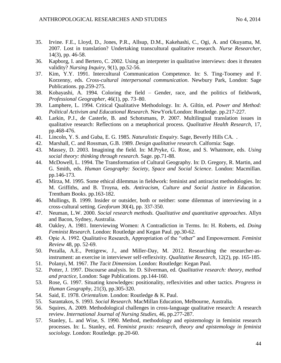- 35. Irvine. F.E., Lloyd, D., Jones, P.R., Allsup, D.M., Kakehashi, C., Ogi, A. and Okuyama, M. 2007. Lost in translation? Undertaking transcultural qualitative research. *Nurse Researcher,* 14(3), pp. 46-58.
- 36. Kapborg, I. and Bertero, C. 2002. Using an interpreter in qualitative interviews: does it threaten validity? *Nursing Inquiry*, 9(1), pp.52-56.
- 37. Kim, Y.Y. 1991. Intercultural Communication Competence. In: S. Ting-Toomey and F. Korzenny, eds. *Cross-cultural interpersonal communication*. Newbury Park, London: Sage Publications. pp.259-275.
- 38. Kobayashi, A. 1994. Coloring the field Gender, race, and the politics of fieldwork, *Professional Geographer,* 46(1), pp. 73–80.
- 39. Lamphere, L. 1994. Critical Qualitative Methodology. In: A. Giltin, ed. *Power and Method: Political Activism and Educational Research*. NewYork/London: Routledge. pp.217-227.
- 40. Larkin, P.J., de Casterle, B. and Schotsmans, P. 2007. Multilingual translation issues in qualitative research: Reflections on a metaphorical process. *Qualitative Health Research,* 17, pp.468-476.
- 41. Lincoln, Y. S. and Guba, E. G. 1985. *Naturalistic Enquiry*. Sage, Beverly Hills CA. .
- 42. Marshall, C. and Rossman, G.B. 1989. *Design qualitative research.* Calfornia: Sage.
- 43. Massey, D. 2003. Imagining the field. In: M.Pryke, G. Rose, and S. Whatmore, eds. *Using social theory: thinking through research*. Sage. pp.71-88.
- 44. McDowell, L. 1994. The Transformation of Cultural Geography. In: D. Gregory, R. Martin, and G. Smith, eds. *Human Geography: Society, Space and Social Science*. London: Macmillan. pp.146-173.
- 45. Mirza, M. 1995. Some ethical dilemmas in fieldwork: feminist and antiracist methodologies. In: M. Griffiths, and B. Troyna, eds. *Antiracism, Culture and Social Justice in Education*. Trentham Books. pp.163-182.
- 46. Mullings, B. 1999. Insider or outsider, both or neither: some dilemmas of interviewing in a cross-cultural setting. *Geoforum* 30(4), pp. 337-350.
- 47. Neuman, L.W. 2000. *Social research methods. Qualitative and quantitative approaches*. Allyn and Bacon, Sydney, Australia.
- 48. Oakley, A. 1981. Interviewing Women: A Contradiction in Terms. In: H. Roberts, ed. *Doing Feminist Research*. London: Routledge and Kegan Paul. pp.30-62.
- 49. Opie A. 1992. Qualitative Research, Appropriation of the "other" and Empowerment. *Feminist Review* 48, pp. 52-69.
- 50. Pezalla, A.E., Pettigrew, J., and Miller-Day, M. 2012. Researching the researcher-asinstrument: an exercise in interviewer self-reflexivity. *Qualitative Research*, 12(2), pp. 165-185.
- 51. Polanyi, M. 1967. *The Tacit Dimension.* London: Routledge: Kegan Paul.
- 52. Potter, J. 1997. Discourse analysis. In: D. Silverman, ed. *Qualitative research: theory, method and practice,* London: Sage Publications. pp.144-160.
- 53. Rose, G. 1997. Situating knowledges: positionality, reflexivities and other tactics. *Progress in Human Geography,* 21(3), pp.305-320.
- 54. Said, E. 1978. *Orientalism*. London: Routledge & K. Paul.
- 55. Sarantakos, S. 1993. *Social Research.* MacMillan Education, Melbourne, Australia.
- 56. Squires, A. 2009. Methodological challenges in cross-language qualitative research: A research review. *International Journal of Nursing Studies*, 46, pp.277-287.
- 57. Stanley, L. and Wise, S. 1990. Method, methodology and epistemology in feminist research processes. In: L. Stanley, ed. Fe*minist praxis: research, theory and epistemology in feminist sociology.* London: Routledge. pp.20-60.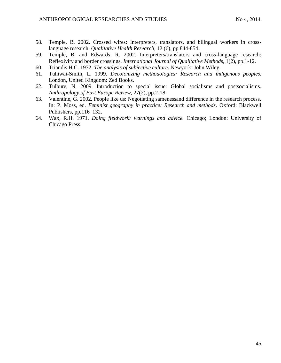- 58. Temple, B. 2002. Crossed wires: Interpreters, translators, and bilingual workers in crosslanguage research. *Qualitative Health Research,* 12 (6), pp.844-854.
- 59. Temple, B. and Edwards, R. 2002. Interpreters/translators and cross-language research: Reflexivity and border crossings. *International Journal of Qualitative Method*s, 1(2), pp.1-12.
- 60. Triandis H.C. 1972. *The analysis of subjective culture*. Newyork: John Wiley.
- 61. Tuhiwai-Smith, L. 1999. *Decolonizing methodologies: Research and indigenous peoples.*  London, United Kingdom: Zed Books.
- 62. Tulbure, N. 2009. Introduction to special issue: Global socialisms and postsocialisms. *Anthropology of East Europe Review,* 27(2), pp.2-18.
- 63. Valentine, G. 2002. People like us: Negotiating samenessand difference in the research process. In: P. Moss, ed. *Feminist geography in practice: Research and methods*. Oxford: Blackwell Publishers, pp.116–132.
- 64. Wax, R.H. 1971. *Doing fieldwork: warnings and advice.* Chicago; London: University of Chicago Press.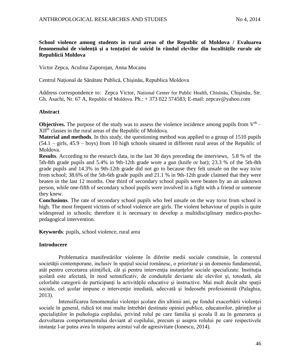# **School violence among students in rural areas of the Republic of Moldova / Evaluarea fenomenului de violenţă şi a tențației de suicid în rândul elevilor din localitățile rurale ale Republicii Moldova**

Victor Zepca, Aculina Zaporojan, Anna Mocanu

Centrul Naţional de Sănătate Publică, Chişinău, Republica Moldova

Address correspondence to: Zepca Victor, National Center for Public Health, Chisinău, Chişinău, Str. Gh. Asachi, Nr. 67 A, Republic of Moldova. Ph.: + 373 022 574583; E-mail: zepcav@yahoo.com

## **Abstract**

**Objectives.** The purpose of the study was to assess the violence incidence among pupils from  $V<sup>th</sup>$  – XIIth classes in the rural areas of the Republic of Moldova.

**Material and methods**. In this study, the questioning method was applied to a group of 1510 pupils (54.1 – girls, 45.9 – boys) from 10 high schools situated in different rural areas of the Republic of Moldova.

**Results**. According to the research data, in the last 30 days preceding the interviews, 5.8 % of the 5th-8th grade pupils and 5.4% in 9th-12th grade wore a gun (knife or bat); 23.3 % of the 5th-8th grade pupils and 14.3% in 9th-12th grade did not go to because they felt unsafe on the way to/or from school; 38.6% of the 5th-6th grade pupils and 21.1 % in 9th-12th grade claimed that they were beaten in the last 12 months. One third of secondary school pupils were beaten by an an unknown person, while one-fifth of secondary school pupils were involved in a fight with a friend or someone they knew.

**Conclusions**. The rate of secondary school pupils who feel unsafe on the way to/or from school is high. The most frequent victims of school violence are girls. The violent behaviour of pupils is quite widespread in schools; therefore it is necessary to develop a multidisciplinary medico-psychopedagogical intervention.

**Keywords**: pupils, school violence, rural area

# **Introducere**

Problematica manifestărilor violente în diferite medii sociale constituie, în contextul societății contemporane, inclusiv în spațiul social românesc, o prioritate și un domeniu fundamental, atât pentru cercetarea ştiinţifică, cât şi pentru intervenţia instanţelor sociale specializate. Instituţia şcolară este afectată, în mod semnificativ, de conduitele deviante ale elevilor şi, totodată, ale celorlalte categorii de participanți la activitățile educative și instructive. Mai mult decât alte spații sociale, cel școlar impune o intervenție imediată, adecvată și îndeosebi profesionistă (Palaghia, 2013).

Intensificarea fenomenului violenței școlare din ultimii ani, pe fondul exacerbării violenței sociale în general, ridică tot mai multe întrebări destinate opiniei publice, educatorilor, părinţilor şi specialiştilor în psihologia copilului, privind rolul pe care familia şi şcoala îl au în generarea şi dezvoltarea comportamentului deviant al copilului, precum şi asupra rolului pe care respectivele instante l-ar putea avea în stoparea acestui val de agresivitate (Ionescu, 2014).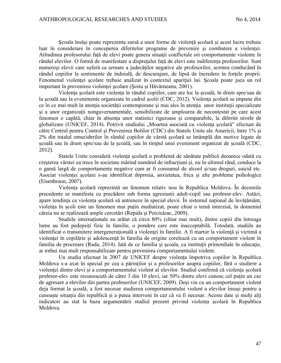Şcoala însăşi poate reprezenta sursă a unor forme de violență şcolară și acest lucru trebuie luat în considerare în conceperea diferitelor programe de prevenire și combatere a violentei. Atitudinea profesorului față de elevi poate genera situaţii conflictule ori comportamente violente în rândul elevilor. O formă de manifestare a dispreţului față de elevi este indiferența profesorilor. Sunt numerosi elevii care suferă ca urmare a judecătilor negative ale profesorilor, acestea conducând în rândul copiilor la sentimente de îndoială, de descurajare, de lipsă de încredere în fortele proprii. Fenomenul violenței şcolare trebuie analizat în contextul apariţiei lui. Şcoala poate juca un rol important în prevenirea violenței şcolare (Şoitu și Hăvărneanu, 2001).

Violența școlară este violența în rândul copiilor, care are loc la școală, în drum spre/sau de la școală sau la evenimente organizate în cadrul școlii (CDC, 2012). Violenţa şcolară se impune din ce în ce mai mult în atenţia societăţii contemporane şi mai ales în atenţia unor instituţii specializate si a unor organizatii nonguvernamentale, sensibilizate de amploarea de necontestat pe care acest fenomen o capătă, chiar în absenţa unor statistici riguroase şi comparabile, la diferite nivele de globalizare (UNICEF, 2014). Potrivit studiului "Moartea asociată cu violența școlară" efectuat de către Centrul pentru Control și Prevenirea Bolilor (CDC) din Statele Unite ale Americii, între 1% și 2% din totalul omuciderilor în rândul copiilor de vârstă școlară se întâmplă din motive legate de școală sau în drum spre/sau de la școală, sau în timpul unui eveniment organizat de școală (CDC, 2012).

Statele Unite consideră violența școlară o problemă de sănătate publică deoarece odată cu creșterea vârstei ea trece în societate mărind numărul de infracțiuni și, nu în ultimul rând, conduce la o gamă largă de comportamente negative cum ar fi consumul de alcool și/sau droguri, suicid etc. Asociat violenței școlare s-au identificat depresia, anxietatea, frica şi alte probleme psihologice (Eisenbraun, 2007).

Violența școlară reprezintă un fenomen relativ nou în Republica Moldova. În deceniile precedente se manifesta cu precădere sub forma agresiunii adult-copil sau profesor-elev. Astăzi, apare tendința ca violența școlară să antreneze în special elevii. În sistemul național de învățământ, violența în școli este un fenomen mai puțin mediatizat, poate chiar o temă interzisă, în domeniul căreia nu se realizează ample cercetări (Repida și Perciuleac, 2009).

Studiile internaționale au arătat că circa 80% (chiar mai mult), dintre copiii din întreaga lume au fost pedepsiți fizic în familie, o pondere care este inacceptabilă. Totodată, studiile au identificat o transmitere intergenerațională a violenței în familie. A fi martor la violență și victimă a violenței în copilărie și adolescență în familia de origine corelează cu un comportament violent în familia de procreare (Rada, 2014). Iată de ce familia şi şcoala, ca instituţii primordiale în educaţie, ar trebui mai mult responsabilizate pentru prevenirea comportamentului violent.

Un studiu efectuat în 2007 de UNICEF despre violența împotriva copiilor în Republica Moldova s-a axat în special pe cea a părinților și a profesorilor asupra copiilor, fără o studiere a violenței dintre elevi și a comportamentului violent al elevilor. Studiul confirmă că violența școlară profesor-elev este recunoscută de către 3 din 10 elevi, iar 50% dintre elevi cunosc cel puțin un caz de agresare a elevilor din partea profesorilor (UNICEF, 2009). Deși vin cu un comportament violent deja format la școală, a fost necesar studierea comportamentului violent a elevilor însuși pentru a cunoaște situația din republică și a putea interveni în caz că va fi necesar. Aceste date și mulți alți indicatori au stat la baza argumentării studiul prezent privind violența școlară în Republica Moldova.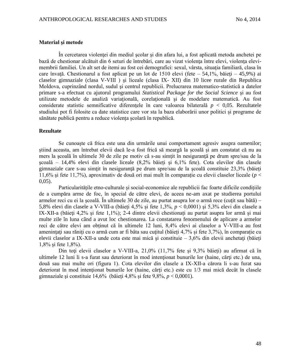### **Material şi metode**

În cercetarea violenţei din mediul şcolar şi din afara lui, a fost aplicată metoda anchetei pe bază de chestionar alcătuit din 6 seturi de întrebări, care au vizat violența între elevi, violența elevimembrii familiei. Un alt set de itemi au fost cei demografici: sexul, vârsta, situaţia familiară, clasa în care învață. Chestionarul a fost aplicat pe un lot de 1510 elevi (fete – 54,1%, băieți – 45,9%) ai claselor gimnaziale (clasa V-VIII ) şi liceale (clasa IX- XII) din 10 licee rurale din Republica Moldova, cuprinzând nordul, sudul şi centrul republicii. Prelucrarea matematico-statistică a datelor primare s-a efectuat cu ajutorul programului *Statistical Package for the Social Science* şi au fost utilizate metodele de analiză variațională, corelațională și de modelare matematică. Au fost considerate statistic semnificative diferenţele în care valoarea bilaterală *p* < 0,05. Rezultatele studiului pot fi folosite ca date statistice care vor sta la baza elaborării unor politici și programe de sănătate publică pentru a reduce violența școlară în republică.

### **Rezultate**

Se cunoaște că frica este una din urmările unui comportament agresiv asupra oamenilor; știind aceasta, am întrebat elevii dacă le-a fost frică să meargă la școală și am constatat că nu au mers la şcoală în ultimele 30 de zile pe motiv că s-au simţit în nesiguranţă pe drum spre/sau de la şcoală – 14,4% elevi din clasele liceale (8,2% băieți și 6,1% fete). Cota elevilor din clasele gimnaziale care s-au simţit în nesiguranţă pe drum spre/sau de la şcoală constituie 23,3% (băieţi 11,6% şi fete 11,7%), aproximativ de două ori mai mult în comparație cu elevii claselor liceale (*p* < 0,05).

Particularitățile etno-culturale și social-economice ale republicii fac foarte dificile condițiile de a cumpăra arme de foc, în special de către elevi, de aceea ne-am axat pe studierea portului armelor reci cu ei la școală. În ultimele 30 de zile, au purtat asupra lor o armă rece (cuțit sau bâtă) – 5,8% elevi din clasele a V-VIII-a (băieți 4,5% și fete 1,3%, *p* < 0,0001) şi 5,3% elevi din clasele a IX-XII-a (băieţi 4,2% şi fete 1,1%); 2-4 dintre elevii chestionați au purtat asupra lor armă şi mai multe zile în luna când a avut loc chestionarea. La constatarea fenomenului de aplicare a armelor reci de către elevi am obținut că în ultimele 12 luni, 8,4% elevi ai claselor a V-VIII-a au fost amenințați sau răniți cu o armă cum ar fi bâta sau cuțitul (băieți 4,7% și fete 3,7%), în comparație cu elevii claselor a IX-XII-a unde cota este mai mică și constituie –  $3,6\%$  din elevii anchetați (băieți 1,8% și fete 1,8%).

Din toţi elevii claselor a V-VIII-a, 21,0% (11,7% fete și 9,3% băieți) au afirmat că în ultimele 12 luni li s-a furat sau deteriorat în mod intenționat bunurile lor (haine, cărți etc.) de una, două sau mai multe ori (figura 1). Cota elevilor din clasele a IX-XII-a cărora li s-au furat sau deteriorat în mod intenționat bunurile lor (haine, cărți etc.) este cu 1/3 mai mică decât în clasele gimnaziale şi constituie 14,6% (băieți 4,8% și fete 9,8%, *p* < 0,0001).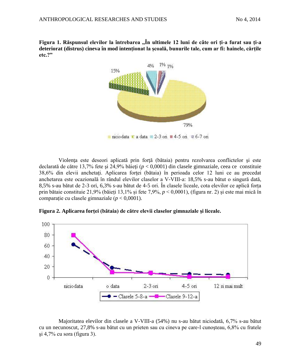**Figura 1. Răspunsul elevilor la întrebarea ,,În ultimele 12 luni de câte ori ți-a furat sau ți-a deteriorat (distrus) cineva în mod intenționat la școală, bunurile tale, cum ar fi: hainele, cărțile etc.?"**



 $\pm$  niciodata  $\pm$  a data  $\approx$  2-3 ori  $\pm$  4-5 ori  $\approx$  6-7 ori

Violenţa este deseori aplicată prin forţă (bătaia) pentru rezolvarea conflictelor şi este declarată de către 13,7% fete şi 24,9% băieţi (*p* < 0,0001) din clasele gimnaziale, ceea ce constituie 38,6% din elevii anchetaţi. Aplicarea forţei (bătaia) în perioada celor 12 luni ce au precedat anchetarea este ocazională în rândul elevilor claselor a V-VIII-a: 18,5% s-au bătut o singură dată, 8,5% s-au bătut de 2-3 ori, 6,3% s-au bătut de 4-5 ori. În clasele liceale, cota elevilor ce aplică forța prin bătaie constituie 21,9% (băieți 13,1% și fete 7,9%, *p* < 0,0001), (figura nr. 2) și este mai mică în comparație cu clasele gimnaziale (*p* < 0,0001).

**Figura 2. Aplicarea forţei (bătaia) de către elevii claselor gimnaziale şi liceale.** 



Majoritatea elevilor din clasele a V-VIII-a (54%) nu s-au bătut niciodată, 6,7% s-au bătut cu un necunoscut, 27,8% s-au bătut cu un prieten sau cu cineva pe care-l cunoşteau, 6,8% cu fratele  $\pi$  4,7% cu sora (figura 3).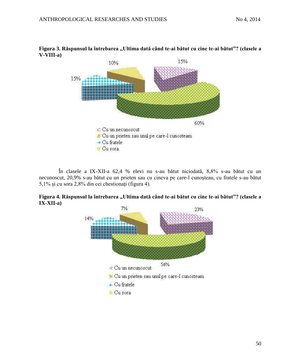

# **Figura 3. Răspunsul la întrebarea ,,Ultima dată când te-ai bătut cu cine te-ai bătut"? (clasele a V-VIII-a)**

În clasele a IX-XII-a 62,4 % elevi nu s-au bătut niciodată, 8,8% s-au bătut cu un necunoscut, 20,9% s-au bătut cu un prieten sau cu cineva pe care-l cunoşteau, cu fratele s-au bătut 5,1% şi cu sora 2,8% din cei chestionaţi (figura 4).



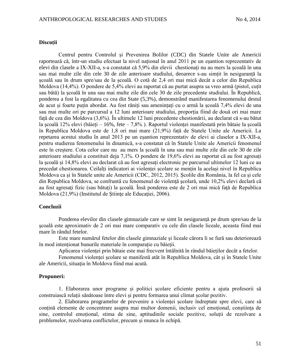### **Discuții**

Centrul pentru Controlul și Prevenirea Bolilor (CDC) din Statele Unite ale Americii raportează că, într-un studiu efectuat la nivel național în anul 2011 pe un eșantion reprezentativ de elevi din clasele a IX-XII-a, s-a constatat că 5,9% din elevii chestionați nu au mers la școală în una sau mai multe zile din cele 30 de zile anterioare studiului, deoarece s-au simțit în nesiguranță la școală sau în drum spre/sau de la școală. O cotă de 2,4 ori mai mică decât a celor din Republica Moldova (14,4%). O pondere de 5,4% elevi au raportat că au purtat asupra sa vreo armă (pistol, cuțit sau bâtă) la școală în una sau mai multe zile din cele 30 de zile precedente studiului. În Republică, ponderea a fost la egalitatea cu cea din State (5,3%), demonstrând manifestarea fenomenului destul de acut și foarte puțin abordat. Au fost răniți sau amenințați cu o armă la școală 7,4% elevi de una sau mai multe ori pe parcursul a 12 luni anterioare studiului, proporția fiind de două ori mai mare față de cea din Moldova (3,6%). În ultimele 12 luni precedente chestionării, au declarat că s-au bătut la școală 12% elevi (băieți – 16%, fete – 7,8% ). Raportul violenței manifestată prin bătaie la școală în Republica Moldova este de 1,8 ori mai mare (21,9%) față de Statele Unite ale Americii. La repetarea acestui studiu în anul 2013 pe un eșantion reprezentativ de elevi ai claselor a IX-XII-a, pentru studierea fenomenului în dinamică, s-a constatat că în Statele Unite ale Americii fenomenul este în creștere. Cota celor care nu au mers la școală în una sau mai multe zile din cele 30 de zile anterioare studiului a constituit deja 7,1%. O pondere de 19,6% elevi au raportat că au fost agresați la școală și 14,8% elevi au declarat că au fost agresați electronic pe parcursul ultimelor 12 luni ce au precedat chestionarea. Ceilalți indicatori ai violenței școlare se mențin la același nivel în Republica Moldova ca şi în Statele unite ale Americii (CDC, 2012, 2015). Şcolile din România, la fel ca şi cele din Republica Moldova, se confruntă cu fenomenul de violenţă şcolară, unde 10,2% elevi declară că au fost agresaţi fizic (sau bătuţi) la şcoală. Însă ponderea este de 2 ori mai mică faţă de Republica Moldova (21,9%) (Institutul de Ştiinţe ale Educaţiei, 2006).

### **Concluzii**

Ponderea elevilor din clasele gimnaziale care se simt în nesiguranţă pe drum spre/sau de la şcoală este aproximativ de 2 ori mai mare comparativ cu cele din clasele liceale, aceasta fiind mai mare în rândul fetelor.

Este mare numărul fetelor din clasele gimnaziale și liceale cărora li se fură sau deteriorează în mod intenționat bunurile materiale în comparație cu băieții.

Aplicarea violenței prin bătaie este mai frecvent întâlnită în rândul băieților decât a fetelor.

Fenomenul violenței școlare se manifestă atât în Republica Moldova, cât și în Statele Unite ale Americii, situaţia în Moldova fiind mai acută.

### **Propuneri:**

1. Elaborarea unor programe și politici școlare eficiente pentru a ajuta profesorii să construiască relații sănătoase între elevi și pentru formarea unui climat școlar pozitiv.

2. Elaborarea programelor de prevenire a violenței școlare îndreptate spre elevi, care să conțină elemente de concentrare asupra mai multor domenii, inclusiv cel emoțional, conștiința de sine, controlul emoțional, stima de sine, aptitudinile sociale pozitive, soluții de rezolvare a problemelor, rezolvarea conflictelor, precum și munca în echipă.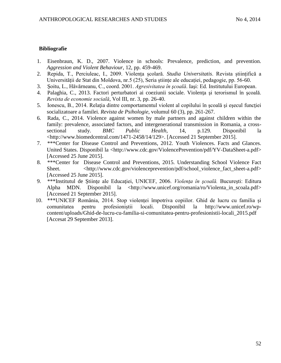# **Bibliografie**

- 1. Eisenbraun, K. D., 2007. Violence in schools: Prevalence, prediction, and prevention. *Aggression and Violent Behaviour,* 12, pp. 459-469.
- 2. Repida, T., Perciuleac, I., 2009. Violența școlară. *Studia Universitatis*. Revista științifică a Universității de Stat din Moldova, nr.5 (25), Seria științe ale educației, pedagogie, pp. 56-60.
- 3. Şoitu, L., Hăvărneanu, C., coord. 2001. *Agresivitatea în şcoală*. Iaşi: Ed. Institutului European.
- 4. Palaghia, C., 2013. Factori perturbatori ai coeziunii sociale. Violența și terorismul în scoală. *Revista de economie socială*, Vol III, nr. 3, pp. 26-40.
- 5. Ionescu, B., 2014. Relaţia dintre comportamentul violent al copilului în şcoală şi eşecul funcţiei socializatoare a familei. *Revista de Psihologie*, volumul 60 (3), pp. 261-267.
- 6. Rada, C., 2014. Violence against women by male partners and against children within the family: prevalence, associated factors, and intergenerational transmission in Romania, a crosssectional study. *BMC Public Health*, 14, p.129. Disponibil la [<http://www.biomedcentral.com/1471-2458/14/129>](http://www.biomedcentral.com/1471-2458/14/129). [Accessed 21 September 2015].
- 7. \*\*\*Center for Disease Control and Preventions, 2012. Youth Violences. Facts and Glances. United States. Disponibil la [<http://www.cdc.gov/ViolencePrevention/pdf/YV-DataSheet-a.pdf>](http://www.cdc.gov/ViolencePrevention/pdf/YV-DataSheet-a.pdf) [Accessed 25 June 2015].
- 8. \*\*\*Center for Disease Control and Preventions, 2015. Understanding School Violence Fact Sheet. <http://www.cdc.gov/violenceprevention/pdf/school\_violence\_fact\_sheet-a.pdf> [Accessed 25 June 2015].
- 9. \*\*\*Institutul de Ştiinţe ale Educaţiei, UNICEF, 2006. *Violenţa în şcoală.* Bucureşti: Editura Alpha MDN. Disponibil la <http://www.unicef.org/romania/ro/Violenta in scoala.pdf> [Accessed 21 September 2015].
- 10. \*\*\*UNICEF România, 2014. Stop violenței împotriva copiilor. Ghid de lucru cu familia și comunitatea pentru profesioniștii locali. Disponibil la [http://www.unicef.ro/wp](http://www.unicef.ro/wp-content/uploads/Ghid-de-lucru-cu-familia-si-comunitatea-pentru-profesionistii-locali_2015.pdf)[content/uploads/Ghid-de-lucru-cu-familia-si-comunitatea-pentru-profesionistii-locali\\_2015.pdf](http://www.unicef.ro/wp-content/uploads/Ghid-de-lucru-cu-familia-si-comunitatea-pentru-profesionistii-locali_2015.pdf) [Accesat 29 September 2013].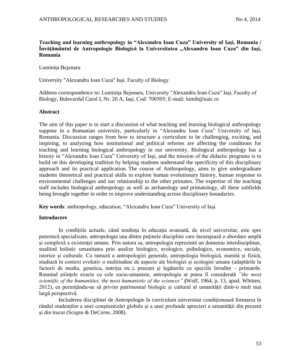# **Teaching and learning anthropology in "Alexandru Ioan Cuza" University of Iaşi, Romania / Învăţământul de Antropologie Biologică la Universitatea "Alexandru Ioan Cuza" din Iaşi, Romania**

Luminita Bejenaru

University "Alexandru Ioan Cuza" Iaşi, Faculty of Biology

Address correspondence to: Luminiţa Bejenaru, University "Alexandru Ioan Cuza" Iaşi, Faculty of Biology, Bulevardul Carol I, Nr. 20 A, Iaşi, Cod: 700505; E-mail: lumib@uaic.ro

## **Abstract**

The aim of this paper is to start a discussion of what teaching and learning biological anthropology suppose in a Romanian university, particularly in "Alexandru Ioan Cuza" University of Iaşi, Romania. Discussion ranges from how to structure a curriculum to be challenging, exciting, and inspiring, to analyzing how institutional and political reforms are affecting the conditions for teaching and learning biological anthropology in our university. Biological anthropology has a history in "Alexandru Ioan Cuza" University of Iaşi, and the mission of the didactic programs is to build on this developing tradition by helping students understand the specificity of this disciplinary approach and its practical application. The course of Anthropology, aims to give undergraduate students theoretical and practical skills to explore human evolutionary history, human response to environmental challenges and our relationship to the other primates. The expertise of the teaching staff includes biological anthropology as well as archaeology and primatology, all these subfields being brought together in order to improve understanding across disciplinary boundaries.

**Key words**: anthropology, education, "Alexandru Ioan Cuza" University of Iaşi.

## **Introducere**

In conditiile actuale, când tendința în educația avansată, de nivel universitar, este spre puternică specializare, antropologia una dintre puţinele discipline care încurajează o abordare amplă si complexă a existentei umane. Prin natura sa, antropologia reprezintă un domeniu interdisciplinar, studiind holistic umanitatea prin analize biologice, ecologice, psihologice, economice, sociale, istorice şi culturale. Ca ramură a antropologiei generale, antropologia biologică, numită şi fizică, studiază în context evolutiv o multitudine de aspecte ale biologiei şi ecologiei umane (adaptările la factorii de mediu, genetica, nutritia etc.), precum și legăturile cu speciile înrudite – primatele. Reunind ştiinţele exacte cu cele socio-umaniste, antropologia ar putea fi considerată *"the most scientific of the humanities, the most humanistic of the sciences"* **(**Wolf, 1964, p. 13, apud. Whitten, 2012), ea permiţându-ne să privim patrimoniul biologic şi cultural al umanităţii dintr-o mult mai largă perspectivă.

Includerea disciplinei de Antropologie în curriculum universitar condiţionează formarea în rândul studenților a unei conștientizări globale și a unei profunde aprecieri a umanității din prezent şi din trecut (Scupin & DeCorse, 2008).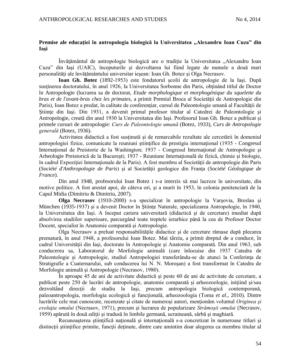## **Premise ale educaţiei în antropologia biologică la Universitatea "Alexandru Ioan Cuza" din Iaşi**

Învățământul de antropologie biologică are o tradiție la Universitatea "Alexandru Ioan Cuza" din Iaşi (UAIC), începuturile şi dezvoltarea lui fiind legate de numele a două mari personalități ale învățământului universitar iesean: Ioan Gh. Botez și Olga Necrasov.

**Ioan Gh. Botez** (1892-1953) este fondatorul şcolii de antropologie de la Iaşi. După sustinerea doctoratului, în anul 1926, la Universitatea Sorbonne din Paris, obtinând titlul de Doctor în Antropologie (lucrarea sa de doctorat, *Etude morphologique et morphogénique du squelette du bras et de l'avant-bras chez les primates*, a primit Premiul Broca al Societății de Antropologie din Paris), Ioan Botez a predat, în calitate de conferențiar, cursul de Paleontologie umană al Facultății de Stiinte din Iasi. Din 1931, a devenit primul profesor titular al Catedrei de Paleontologie și Antropologie, creată din anul 1930 la Universitatea din Iaşi. Profesorul Ioan Gh. Botez a publicat şi primele cursuri de antropologie: *Curs de Paleontologie umană* (Botez, 1933), *Curs de Antropologie generală* (Botez, 1936).

Activitatea didactică a fost susţinută şi de remarcabile rezultate ale cercetării în domeniul antropologiei fizice, comunicate la reuniuni ştiinţifice de prestigiu internaţional (1935 - Congresul Internaţional de Preistorie de la Washington; 1937 - Congresul Internaţional de Antropologie şi Arheologie Preistorică de la Bucureşti; 1937 - Reuniune Internaţională de fizică, chimie şi biologie, în cadrul Expoziţiei Internaţionale de la Paris). A fost membru al Societăţii de antropologie din Paris (*Société d'Anthropologie de Paris*) şi al Societăţii geologice din Franţa (*Société Géologique de France*).

Din anul 1948, profesorului Ioan Botez i s-a interzis să mai lucreze în universitate, din motive politice. A fost arestat apoi, de câteva ori, şi a murit în 1953, în colonia penitenciară de la Capul Midia (Dimitriu & Dimitriu, 2007).

**Olga Necrasov** (1910-2000) s-a specializat în antropologie la Varşovia, Breslau şi München (1935-1937) şi a devenit Doctor în Ştiinţe Naturale, specializarea Antropologie, în 1940, la Universitatea din Iaşi. A început cariera universitară (didactică şi de cercetare) imediat după absolvirea studiilor superioare, parcurgând toate treptele ierarhice până la cea de Profesor Doctor Docent, specialist în Anatomie comparată și Antropologie.

Olga Necrasov a preluat responsabilităţile didactice şi de cercetare rămase după plecarea prematură, în anul 1948, a profesorului Ioan Botez. Mai târziu, a primit dreptul de a conduce, în cadrul Universităţii din Iaşi, doctorate în Antropologie şi Anatomie comparată. Din anul 1963, sub conducerea sa, Laboratorul de Morfologie animală (care înlocuise din 1937 Catedra de Paleontologie şi Antropologie, studiul Antropologiei transferându-se de atunci la Conferinţa de Stratigrafie a Cuaternarului, sub conducerea lui N. N. Moroşan) a fost transformat în Catedra de Morfologie animală şi Antropologie (Necrasov, 1980).

În aproape 45 de ani de activitate didactică şi peste 60 de ani de activitate de cercetare, a publicat peste 250 de lucrări de antropologie, anatomie comparată şi arheozoologie, iniţiind şi/sau dezvoltând direcții de studiu la Iași, precum antropologia biologică contemporană, paleoantropologia, morfologia ecologică și funcțională, arheozoologia (Toma *et al.*, 2010). Dintre lucrările cele mai cunoscute, recenzate şi citate de numeroşi autori, menţionăm volumul *Originea şi evoluţia omului* (Necrasov, 1971), precum şi lucrarea de popularizare *Strămoşii omului* (Necrasov, 1959) apărută în două ediţii şi tradusă în limbile germană, ucraineană, sârbă şi maghiară.

Recunoasterea științifică națională și internațională s-a concretizat în numeroase titluri și distincții științifice primite, funcții deținute, dintre care amintim doar alegerea ca membru titular al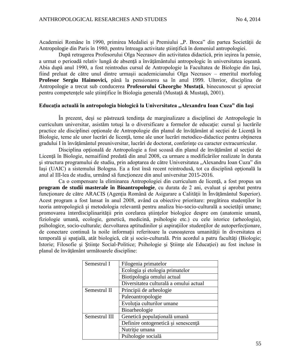Academiei Române în 1990, primirea Medaliei și Premiului "P. Broca" din partea Societății de Antropologie din Paris în 1980, pentru întreaga activitate științifică în domeniul antropologiei.

După retragerea Profesorului Olga Necrasov din activitatea didactică, prin ieşirea la pensie, a urmat o perioadă relativ lungă de absenţă a învăţământului antropologic în universitatea ieşeană. Abia după anul 1990, a fost reintrodus cursul de Antropologie la Facultatea de Biologie din Iaşi, fiind preluat de către unul dintre urmaşii academicianului Olga Necrasov – emeritul morfolog **Profesor Sergiu Haimovici,** până la pensionarea sa în anul 1999. Ulterior, disciplina de Antropologie a trecut sub conducerea **Profesorului Gheorghe Mustaţă**, binecunoscut şi apreciat pentru competențele sale științifice în Biologia generală (Mustață & Mustață, 2001).

### **Educaţia actuală în antropologia biologică la Universitatea "Alexandru Ioan Cuza" din Iaşi**

În prezent, deşi se păstrează tendinţa de marginalizare a disciplinei de Antropologie în curriculum universitar, asistăm totuși la o diversificare a formelor de educație: cursul și lucrările practice ale disciplinei opţionale de Antropologie din planul de învăţământ al secţiei de Licenţă în Biologie, teme ale unor lucrări de licență, teme ale unor lucrări metodico-didactice pentru obținerea gradului I în învăţământul preuniversitar, lucrări de doctorat, conferinţe cu caracter extracurricular.

Disciplina optională de Antropologie a fost scoasă din planul de învătământ al sectiei de Licență în Biologie, nemaifiind predată din anul 2008, ca urmare a modificărilor realizate în durata şi structura programului de studiu, prin adoptarea de către Universitatea "Alexandru Ioan Cuza" din Iași (UAIC) a sistemului Bologna. Ea a fost însă recent reintrodusă, tot ca disciplină optională la anul al III-lea de studiu, urmând să functioneze din anul universitar 2015-2016.

Ca o compensare la eliminarea Antropologiei din curriculum de licenţă, a fost propus un **program de studii masterale în Bioantropologie**, cu durata de 2 ani, evaluat şi aprobat pentru funcționare de către ARACIS (Agenția Română de Asigurare a Calității în Învățământul Superior). Acest program a fost lansat în anul 2008, având ca obiective prioritare: pregătirea studenţilor în teoria antropologică şi metodologia relevantă pentru analiza bio-socio-culturală a societăţii umane; promovarea interdisciplinarității prin corelarea științelor biologice despre om (anatomie umană, fiziologie umană, ecologie, genetică, medicină, psihologie etc.) cu cele istorice (arheologia), psihologice, socio-culturale; dezvoltarea aptitudinilor şi aspiraţiilor studenţilor de autoperfecţionare, de conectare continuă la noile informații referitoare la cunoașterea umanității în diversitatea ei temporală și spațială, atât biologică, cât și socio-culturală. Prin acordul a patru facultăți (Biologie; Istorie; Filosofie şi Ştiinţe Social-Politice; Psihologie şi Ştiinţe ale Educaţiei) au fost incluse în planul de învăţământ următoarele discipline:

| Semestrul I   | Filogenia primatelor                   |  |  |
|---------------|----------------------------------------|--|--|
|               | Ecologia și etologia primatelor        |  |  |
|               | Biotipologia omului actual             |  |  |
|               | Diversitatea culturală a omului actual |  |  |
| Semestrul II  | Principii de arheologie                |  |  |
|               | Paleoantropologie                      |  |  |
|               | Evoluția culturilor umane              |  |  |
|               | Bioarheologie                          |  |  |
| Semestrul III | Genetică populațională umană           |  |  |
|               | Definire ontogenetică și senescență    |  |  |
|               | Nutriție umana                         |  |  |
|               | Psihologie socială                     |  |  |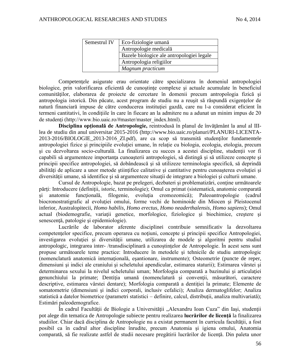| Semestrul IV | Eco-fiziologie umană                      |  |  |
|--------------|-------------------------------------------|--|--|
|              | Antropologie medicală                     |  |  |
|              | Bazele biologice ale antropologiei legale |  |  |
|              | Antropologia religiilor                   |  |  |
|              | Magnum practicum                          |  |  |

Competențele asigurate erau orientate către specializarea în domeniul antropologiei biologice, prin valorificarea eficientă de cunoștințe complexe și actuale acumulate în beneficiul comunităţilor, elaborarea de proiecte de cercetare în domenii precum antropologia fizică şi antropologia istorică. Din păcate, acest program de studiu nu a reuşit să răspundă exigenţelor de natură financiară impuse de către conducerea instituției gazdă, care nu l-a considerat eficient în termeni cantitativi, în condiţiile în care în fiecare an la admitere nu a adunat un minim impus de 20 de studenți (http://www.bio.uaic.ro/#master/master\_index.html).

**Disciplina opţională de Antropologie,** reintrodusă în planul de învăţământ la anul al IIIlea de studiu din anul universitar 2015-2016 (http://www.bio.uaic.ro/planuri/PLANURI-LICENTA-2013-2016/BIOLOGIE\_2013-2016\_ZI.pdf), are ca scop să transmită studenţilor fundamentele antropologiei fizice și principiile evolutiei umane, în relație cu biologia, ecologia, etologia, precum şi cu dezvoltarea socio-culturală. La finalizarea cu succes a acestei discipline, studenţii vor fi capabili să argumenteze importanţa cunoaşterii antropologiei, să distingă şi să utilizeze concepte şi principii specifice antropologiei, să dobândească şi să utilizeze terminologia specifică, să deprindă abilități de aplicare a unor metode științifice calitative și cantitative pentru cunoașterea evoluției și diversității umane, să identifice și să argumenteze situații de integrare a biologiei și culturii umane.

Cursul de Antropologie, bazat pe prelegeri, dezbateri şi problematizări, conţine următoarele părți: Introducere (definiții, istoric, terminologie); Omul ca primat (sistematică, anatomie comparată şi anatomie funcţională, filogenie, evoluţia cromozomică); Paleoantropologie (cadrul biocronostratigrafic al evoluției omului, forme vechi de hominoide din Miocen și Pleistocenul inferior, Australopitecii, *Homo habilis*, *Homo erectus, Homo neaderthalensis, Homo sapiens*); Omul actual (biodemografie, variaţii genetice, morfologice, fiziologice şi biochimice, creştere şi senescență, patologie și epidemiologie).

Lucrările de laborator aferente disciplinei contribuie semnificativ la dezvoltarea competentelor specifice, precum operarea cu noțiuni, concepte și principii specifice Antropologiei, investigarea evoluţiei şi diversităţii umane, utilizarea de modele şi algoritmi pentru studiul antropologic, integrarea inter- /transdisciplinară a cunoştinţelor de Antropologie. În acest sens sunt propuse următoarele teme practice: Introducere în metodele şi tehnicile de studiu antropologic (nomenclatură anatomică internaţională, eşantionare, instrumente); Osteometrie (puncte de reper, dimensiuni şi indici ale craniului şi scheletului apendicular, estimarea staturii); Estimarea vârstei şi determinarea sexului la nivelul scheletului uman; Morfologia comparată a bazinului şi articulaţiei genunchiului la primate; Dentiţia umană (nomenclatură şi convenţii, măsurători, caractere descriptive, estimarea vârstei dentare); Morfologia comparată a dentiției la primate; Elemente de somatometrie (dimensiuni și indici corporali, inclusiv cefalici); Analiza dermatoglifelor; Analiza statistică a datelor biometrice (parametri statistici – definire, calcul, distribuții, analiza multivariată); Estimări paleodemografice.

În cadrul Facultății de Biologie a Universității "Alexandru Ioan Cuza" din Iași, studenții pot alege din tematica de Antropologie subiecte pentru realizarea **lucrărilor de licenţă** la finalizarea studiilor. Chiar dacă disciplina de Antropologie nu a existat permanent în curricula facultăţii, a fost posibil ca în cadrul altor discipline înrudite, precum Anatomia şi igiena omului, Anatomia comparată, să fie realizate astfel de studii necesare pregătirii lucrărilor de licenţă. Din paleta unor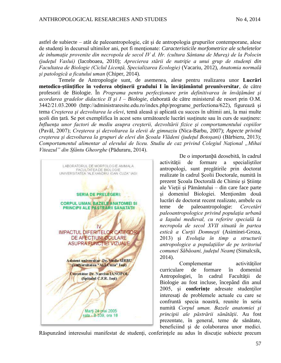astfel de subiecte – atât de paleoantropologie, cât şi de antropologia grupurilor contemporane, alese de studenti în decursul ultimilor ani, pot fi mentionate: *Caracteristicile morfometrice ale scheletelor de inhumaţie provenite din necropola de secol IV d. Hr. (cultura Sântana de Mureş) de la Polocin (judeţul Vaslui)* (Iacoboaea, 2010); *Aprecierea stării de nutriţie a unui grup de studenţi din Facultatea de Biologie (Ciclul Licenţă, Specializarea Ecologie)* (Vacariu, 2012), *Anatomia normală şi patologică a ficatului uman* (Chiper, 2014).

Temele de Antropologie sunt, de asemenea, alese pentru realizarea unor **Lucrări metodico-ştiinţifice în vederea obţinerii gradului I în învăţământul preuniversitar**, de către profesorii de Biologie. În *Programa pentru perfecţionare prin definitivarea în învăţământ şi acordarea gradelor didactice II şi I – Biologie*, elaborată de către ministerul de resort prin O.M. 3442/21.03.2000 (http://administraresite.edu.ro/index.php/programe\_perfectiona/622), figurează şi tema *Creşterea şi dezvoltarea la elevi*, temă aleasă şi aplicată cu succes în ultimii ani, la mai multe şcoli din ţară. Se pot exemplifica în acest sens următoarele lucrări susţinute sau în curs de susţinere: *Influenţa unor factori de mediu asupra creşterii, dezvoltării fizice şi comportamentului copiilor* (Pavăl, 2007); *Creşterea şi dezvoltarea la elevii de gimnaziu* (Nica-Barbu, 2007); *Aspecte privind creşterea şi dezvoltarea la grupuri de elevi din Şcoala Vlădeni (judeţul Botoşani)* (Bărbieru, 2013); *Comportamentul alimentar al elevului de liceu. Studiu de caz privind Colegiul Naţional "Mihai Viteazul" din Sfântu Gheorghe* (Păduraru, 2014).



De o importanþă deosebită, în cadrul activității de formare a specialistilor antropologi, sunt pregătirile prin doctorat realizate în cadrul Şcolii Doctorale, numită în prezent Şcoala Doctorală de Chimie şi Ştiinţe ale Vieţii şi Pământului – din care face parte şi domeniul Biologiei. Menţionăm două lucrări de doctorat recent realizate, ambele cu teme de paleoantropologie: *Cercetări paleoantropologice privind populaţia urbană a Iaşului medieval, cu referire specială la necropola de secol XVII situată în partea estică a Curţii Domneşti* (Asiminei-Groza, 2013) şi *Evoluţia în timp a structurii antropologice a populaţiilor de pe teritoriul comunei Săbăoani, judeţul Neamţ* (Simalcsik, 2014).

Complementar activităților curriculare de formare în domeniul Antropologiei, în cadrul Facultăţii de Biologie au fost incluse, începând din anul 2005, si **conferinte** adresate studentilor interesaţi de problemele actuale cu care se confruntă specia noastră, reunite în seria numită *Corpul uman. Bazele anatomiei şi principii ale păstrării sănătăţii*. Au fost prezentate, în general, teme de sănătate, beneficiind şi de colaborarea unor medici.

Răspunzând interesului manifestat de studenți, conferințele au adus în discuție subiecte precum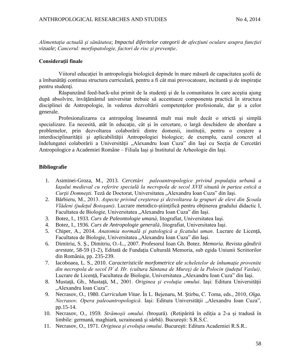*Alimentaţia actuală şi sănătatea*; *Impactul diferitelor categorii de afecţiuni oculare asupra funcţiei vizuale*; *Cancerul: morfopatologie, factori de risc și prevenție.* 

## **Consideraţii finale**

Viitorul educației în antropologia biologică depinde în mare măsură de capacitatea scolii de a îmbunătăţi continuu structura curriculară, pentru a fi cât mai provocatoare, incitantă şi de inspiraţie pentru studenţi.

Răspunzând feed-back-ului primit de la studenți și de la comunitatea în care aceștia ajung după absolvire, învătământul universitar trebuie să accentueze componenta practică în structura disciplinei de Antropologie, în vederea dezvoltării competențelor profesionale, dar și a celor generale.

Profesionalizarea ca antropolog înseamnă mult mai mult decât o strictă şi simplă specializare. Ea necesită, atât în educație, cât și în cercetare, o largă deschidere de abordare a problemelor, prin dezvoltarea colaborării dintre domenii, instituţii, pentru o creştere a interdisciplinarității și aplicabilității Antropologiei biologice; de exemplu, cazul concret al îndelungatei colaborării a Universității "Alexandru Ioan Cuza" din Iași cu Secția de Cercetări Antropologice a Academiei Române – Filiala Iaşi şi Institutul de Arheologie din Iaşi.

# **Bibliografie**

- 1. Asiminei-Groza, M., 2013. *Cercetări paleoantropologice privind populaţia urbană a Iaşului medieval cu referire specială la necropola de secol XVII situată în partea estică a Curţii Domneşti*. Teză de Doctorat, Universitatea "Alexandru Ioan Cuza" din Iaşi.
- 2. Bărbieru, M., 2013. *Aspecte privind creşterea şi dezvoltarea la grupuri de elevi din Şcoala Vlădeni (judeţul Botoşani)*. Lucrare metodico-ştiinţifică pentru obţinerea gradului didactic I, Facultatea de Biologie, Universitatea "Alexandru Ioan Cuza" din Iasi.
- 3. Botez, I., 1933. *Curs de Paleontologie umană*, litografiat, Universitatea Iaşi.
- 4. Botez, I., 1936. *Curs de Antropologie generală*, litografiat, Universitatea Iaşi.
- 5. Chiper, A., 2014. *Anatomia normală şi patologică a ficatului uman*. Lucrare de Licenţă, Facultatea de Biologie, Universitatea "Alexandru Ioan Cuza" din Iași.
- 6. Dimitriu, S. Ş., Dimitriu, O.-L., 2007. Profesorul Ioan Gh. Botez. *Memoria. Revista gândirii arestate*, 58-59 (1-2), Editată de Fundaţia Culturală Memoria, sub egida Uniunii Scriitorilor din România, pp. 235-239.
- 7. Iacoboaea, L. S., 2010. *Caracteristicile morfometrice ale scheletelor de înhumaţie provenite din necropola de secol IV d. Hr. (cultura Sântana de Mureş) de la Polocin (judeţul Vaslui)*. Lucrare de Licentă, Facultatea de Biologie, Universitatea "Alexandru Ioan Cuza" din Iasi.
- 8. Mustaţă, Gh., Mustaţă, M., 2001. *Originea şi evoluţia omului*. Iaşi: Editura Universităţii "Alexandru Ioan Cuza".
- 9. Necrasov, O., 1980. *Curriculum Vitae*. În L. Bejenaru, M. Ştirbu, C. Toma, eds., 2010, *Olga. Necrasov. Opera paleoantropologică.* Iași: Editura Universității "Alexandru Ioan Cuza", pp.15-14.
- 10. Necrasov, O., 1959. *Strămoşii omului*. (broşură). (Retipărită în ediţia a 2-a şi tradusă în limbile: germană, maghiară, ucraineană şi sârbă). Bucureşti: S.R.S.C.
- 11. Necrasov, O., 1971. *Originea şi evoluţia omului*. Bucureşti: Editura Academiei R.S.R..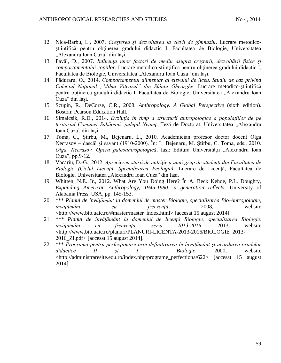- 12. Nica-Barbu, L., 2007. *Creşterea şi dezvoltarea la elevii de gimnaziu*. Lucrare metodicoştiinţifică pentru obţinerea gradului didactic I, Facultatea de Biologie, Universitatea "Alexandru Ioan Cuza" din Iaşi.
- 13. Pavăl, D., 2007. *Influenţa unor factori de mediu asupra creşterii, dezvoltării fizice şi comportamentului copiilor*. Lucrare metodico-ştiinţifică pentru obţinerea gradului didactic I, Facultatea de Biologie, Universitatea "Alexandru Ioan Cuza" din Iași.
- 14. Păduraru, O., 2014. *Comportamentul alimentar al elevului de liceu. Studiu de caz privind Colegiul Naţional "Mihai Viteazul" din Sfântu Gheorghe*. Lucrare metodico-ştiinţifică pentru obținerea gradului didactic I, Facultatea de Biologie, Universitatea "Alexandru Ioan Cuza" din Iaşi.
- 15. Scupin, R., DeCorse, C.R., 2008. *Anthropology. A Global Perspective* (sixth edition). Boston: Pearson Education Hall.
- 16. Simalcsik, R.D., 2014. *Evoluţia în timp a structurii antropologice a populaţiilor de pe teritoriul Comunei Săbăoani, judeţul Neamţ*. Teză de Doctorat, Universitatea "Alexandru Ioan Cuza" din Iaşi.
- 17. Toma, C., Ştirbu, M., Bejenaru, L., 2010. Academician profesor doctor docent Olga Necrasov – dascăl şi savant (1910-2000). În: L. Bejenaru, M. Ştirbu, C. Toma, eds.. 2010. *Olga. Necrasov. Opera paleoantropologică.* Iași: Editura Universității "Alexandru Ioan Cuza", pp.9-12.
- 18. Vacariu, D.-G., 2012. *Aprecierea stării de nutriţie a unui grup de studenţi din Facultatea de Biologie (Ciclul Licenţă, Specializarea Ecologie)*. Lucrare de Licenţă, Facultatea de Biologie, Universitatea "Alexandru Ioan Cuza" din Iasi.
- 19. Whitten, N.E. Jr., 2012. What Are You Doing Here? În A. Beck Kehoe, P.L. Doughty, *Expanding American Anthropology, 1945-1980: a generation reflects*, University of Alabama Press, USA, pp. 145-153.
- 20. \*\*\* *Planul de învăţământ la domeniul de master Biologie, specializarea Bio-Antropologie, învăţământ cu frecvenţă*, 2008, website [<http://www.bio.uaic.ro/#master/master\\_index.html>](http://www.bio.uaic.ro/#master/master_index.html) [accesat 15 august 2014].
- 21. *\*\*\* Planul de învăţământ la domeniul de licenţă Biologie, specializarea Biologie, învăţământ cu frecvenţă, seria 2013-2016,* 2013, website [<http://www.bio.uaic.ro/planuri/PLANURI-LICENTA-2013-2016/BIOLOGIE\\_2013-](http://www.bio.uaic.ro/planuri/PLANURI-LICENTA-2013-2016/BIOLOGIE_2013-2016_ZI.pdf) [2016\\_ZI.pdf>](http://www.bio.uaic.ro/planuri/PLANURI-LICENTA-2013-2016/BIOLOGIE_2013-2016_ZI.pdf) [accesat 15 august 2014].
- 22. \*\*\* *Programa pentru perfecţionare prin definitivarea în învăţământ şi acordarea gradelor didactice II şi I – Biologie,* 2000, website [<http://administraresite.edu.ro/index.php/programe\\_perfectiona/622>](http://administraresite.edu.ro/index.php/programe_perfectiona/622) [accesat 15 august 2014].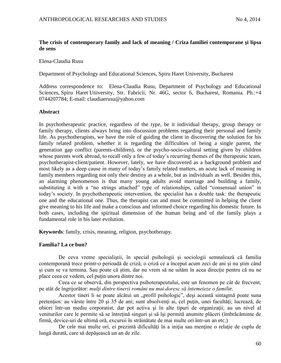# **The crisis of contemporary family and lack of meaning / Criza familiei contemporane şi lipsa de sens**

Elena-Claudia Rusu

Department of Psychology and Educational Sciences, Spiru Haret University, Bucharest

Address correspondence to: Elena-Claudia Rusu, Department of Psychology and Educational Sciences, Spiru Haret University, Str. Fabricii, Nr. 46G, sector 6, Bucharest, Romania. Ph.:+4 0744207784; E-mail: claudiaerusu@yahoo.com

## **Abstract**

In psychotherapeutic practice, regardless of the type, be it individual therapy, group therapy or family therapy, clients always bring into discussion problems regarding their personal and family life. As psychotherapists, we have the role of guiding the client in discovering the solution for his family related problem, whether it is regarding the difficulties of being a single parent, the generation gap conflict (parents-children), or the psycho-socio-cultural setting given by children whose parents work abroad, to recall only a few of today's recurring themes of the therapeutic team, psychotherapist-client/patient. However, lately, we have discovered as a background problem and most likely as a deep cause in many of today's family related matters, an acute lack of meaning in family members regarding not only their destiny as a whole, but as individuals as well. Besides this, an alarming phenomenon is that many young adults avoid marriage and building a family, substituting it with a "no strings attached" type of relationships, called "consensual union" in today's society. In psychotherapeutic intervention, the specialist has a double task: the therapeutic one and the educational one. Thus, the therapist can and must be committed in helping the client give meaning to his life and make a conscious and informed choice regarding his domestic future. In both cases, including the spiritual dimension of the human being and of the family plays a fundamental role in his later evolution.

**Keywords**: family, crisis, meaning, religion, psychotherapy.

# **Familia? La ce bun?**

De ceva vreme specialiştii, în special psihologii şi sociologii semnalează că familia contemporană trece printr-o perioadă de criză; o criză ce a început acum zeci de ani şi nu ştim când şi cum se va termina. Sau poate că ştim, dar nu vrem să ne uităm în acea direcţie pentru că nu ne place ceea ce vedem, cel puţin unora dintre noi.

Ceea ce se observă, din perspectiva psihoterapeutului, este un fenomen pe cât de frecvent, pe atât de îngrijorător: *mulţi dintre tinerii români nu mai doresc să întemeieze o familie*.

Acestor tineri li se poate alcătui un "profil psihologic", deși această sintagmă poate suna pretențios: au vârste între 20 și 35 de ani; sunt absolvenți ai, cel puțin, unei facultăți; lucrează, de obicei într-un mediu corporatist, dar pot activa şi în alte tipuri de organizaţii; au un nivel al veniturilor care le permite să se întreţină singuri şi să îşi permită anumite plăceri (îmbrăcăminte de firmă, device-uri de ultimă oră, excursii în străinătate de mai multe ori într-un an etc.)

De cele mai multe ori, ei prezintă dificultăți în a iniția sau menține o relație de cuplu de lungă durată, care să depăşească un an de zile.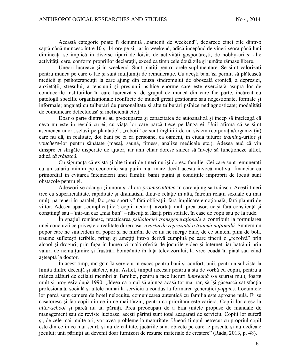Această categorie poate fi denumită "oamenii de weekend", deoarece cinci zile dintr-o săptămână muncesc între 10 şi 14 ore pe zi, iar în weekend, adică începând de vineri seara până luni dimineața se implică în diverse tipuri de loisir, de activități gospodărești, de hobby-uri și alte activități, care, conform propriilor declarații, exced ca timp cele două zile și jumăte rămase libere.

Uneori lucrează și în weekend. Sunt plătiți pentru orele suplimentare. Se simt valorizați pentru munca pe care o fac și sunt multumiti de remunerație. Cu acești bani își permit să plătească medicii şi psihoterapeuţii la care ajung din cauza sindromului de oboseală cronică, a depresiei, anxietăţii, stresului, a tensiunii şi presiunii psihice enorme care este exercitată asupra lor de conducerile instituțiilor în care lucrează și de grupul de muncă din care fac parte, încărcat cu patologii specific organizationale (conflicte de muncă gresit gestionate sau negestionate, formale și informale; angajați cu tulburări de personalitate și alte tulburări psihice nediagnosticate; modalități de comunicare defectuoasă şi ineficientă etc.)

Doar o parte dintre ei au preocuparea și capacitatea de autoanaliză și încep să înțeleagă că ceva nu este în regulă cu ei, cu viaţa lor care parcă trece pe lângă ei. Unii afirmă că se simt asemenea unor "sclavi pe plantație", "roboți" ce sunt înghițiți de un sistem (corporația/organizația) care nu dă, în realitate, doi bani pe ei ca persoane, ca oameni, în ciuda tuturor *training*-urilor şi *vouchere*-lor pentru sănătate (masaj, saună, fitness, analize medicale etc.). Adesea aud că vin dinspre ei strigăte disperate de ajutor, iar unii chiar doresc sincer să învete să functioneze altfel, adică *să trăiască.*

Cu siguranţă că există şi alte tipuri de tineri nu îşi doresc familie. Cei care sunt remuneraţi cu un salariu minim pe economie sau puţin mai mare decât acesta invocă motivul financiar ca primordial în evitarea întemeierii unei familii: banii puțini și condițiile improprii de locuit sunt obstacole pentru ei.

Adeseori se adaugă şi unora şi altora *promiscuitatea* în care ajung să trăiască. Aceşti tineri trec cu superficialitate, rapiditate şi dramatism dintr-o relaţie în alta, întreţin relaţii sexuale cu mai mulți parteneri în paralel, fac "sex sportiv" fără obligații, fără implicare emoțională, fără planuri de viitor. Adesea apar "complicațiile": copiii nedoriți avortați mult prea ușor, uciși fără conștiență și conștiință sau – într-un caz "mai bun" – născuți și lăsați prin spitale, în case de copii sau pe la rude.

În spaţiul românesc, practicarea *psihologiei transgeneraţionale* a contribuit la formularea unei concluzii ce priveşte o realitate dureroasă: *avorturile reprezintă o traumă naţională.* Suntem un popor care ne sinucidem ca popor şi ne mirăm de ce nu ne merge bine, de ce suntem plini de boli, traume sufletești teribile, prinși și amețiți într-o derivă cumplită pe care tinerii o "rezolvă" prin alcool şi droguri, prin fuga în lumea virtuală oferită de jocurile video şi internet, iar bătrânii prin valuri de nemulțumire și frustrări bombănite în fața televizorului, la vreo coadă în piață sau când asteaptă la doctor.

În acest timp, mergem la serviciu în exces pentru bani şi confort, unii, pentru a subzista la limita dintre decență și sărăcie, alții. Astfel, timpul necesar pentru a sta de vorbă cu copiii, pentru a mânca alături de ceilalţi membri ai familiei, pentru a face lucruri *împreună* s-a scurtat mult, foarte mult şi progresiv după 1990: ,,Ideea ca omul să ajungă acasă tot mai rar, să îşi găsească satisfacţia profesională, socială și altele numai la serviciu a condus la formarea generației *vuppies*. Locuințele lor parcă sunt camere de hotel nelocuite, comunicarea autentică cu familia este aproape nulă. Ei se căsătoresc şi fac copii din ce în ce mai târziu, pentru că prioritară este cariera. Copiii lor cresc la *after-school* şi parcă nu au părinţi. Prea preocupaţi de a bifa ţintele propuse de manuale de management sau de reviste lucioase, acești părinți sunt total acaparați de serviciu. Copiii lor suferă şi, de cele mai multe ori, vor avea probleme la maturitate. Uneori timpul petrecut cu propriul copil este din ce în ce mai scurt, şi nu de calitate, jucăriile sunt obiecte pe care le posedă, şi nu dedicate jocului; unii părinţii au devenit doar furnizori de resurse materiale de creştere" (Rada, 2013, p. 48).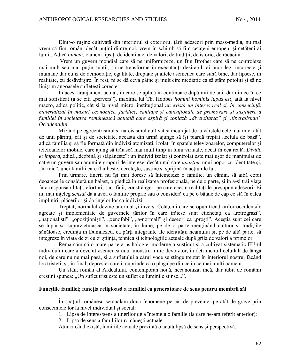Dintr-o rusine cultivată din interiorul și exteriorul țării adeseori prin mass-media, nu mai vrem să fim români decât puțini dintre noi, vrem în schimb să fim cetăteni europeni și cetățeni ai lumii. Adică *nimeni*, oameni lipsiţi de identitate, de valori, de tradiţii, de istorie, de rădăcini.

Vrem un guvern mondial care să ne uniformizeze, un Big Brother care să ne controleze mai mult sau mai putin subtil, să ne transforme în executanți dezirabili ai unor legi incorecte și inumane dar cu iz de democratie, egalitate, dreptate și altele asemenea care sună bine, dar lipsesc, în realitate, cu desăvârşire. În rest, ni se dă ceva pâine şi mult circ mediatic ca să stăm potoliţi şi să ne liniştim angoasele sufleteşti corecte.

În acest aranjament actual, în care se aplică în continuare după mii de ani, dar din ce în ce mai sofisticat (a se citi "pervers"), maxima lui Th. Hobbes *homini hominis lupus est*, atât la nivel macro, adică politic, cât și la nivel micro, instituțional *nu există un interes real și, în consecință*, *materializat în măsuri economice, juridice, sanitare şi educaţionale de promovare şi susţinere a familiei în societatea românească actuală care aspiră şi copiază "diversitatea" şi "liberalismul" Occidentului.*

Mizând pe egocentrismul şi narcisismul cultivat şi încurajat de la vârstele cele mai mici atât de unii părinți, cât și de societate, aceasta din urmă ajunge să își piardă treptat "celula de bază", adică familia şi să fie formată din indivizi atomizaţi, izolaţi în spatele televizoarelor, computerelor şi telefoanelor mobile, care ajung să trăiască mai mult timp în lumi virtuale, decât în cea reală. *Divide*  et impera, adică "dezbină și stăpânește": un individ izolat și controlat este mai ușor de manipulat de către un guvern sau anumite grupuri de interese, decât unul care *aparţine* unui popor cu identitate şi, "", în mic", unei familii care îl iubește, ocrotește, susține și sprijină în acțiunile lui.

Prin urmare, tinerii nu îşi mai doresc să întemeieze o familie, un cămin, să aibă copii deoarece le consideră un balast, o piedică în realizarea profesională, pe de o parte, şi în a-şi trăi viaţa fără responsabilități, eforturi, sacrificii, constrângeri pe care aceste realități le presupun adeseori. Ei nu mai înţeleg *sensul* da a avea o familie proprie sau o consideră ca pe o bătaie de cap ce stă în calea împlinirii plăcerilor şi dorinţelor lor ca indivizi.

Treptat, normalul devine anormal şi invers. Cetăţenii care se opun trend-urilor occidentale agreate și implementate de guvernele țărilor în care trăiesc sunt etichetați ca "retrograzi", "naționaliști", "opoziționiști", "xenofobi", "a-normali" și deseori ca "proști". Aceștia sunt cei care se luptă să supravieţuiască în societate, în lume, pe de o parte menţinând cultura şi tradiţiile sănătoase, credința în Dumnezeu, ca părți integrante ale identității neamului și, pe de altă parte, să integreze în viaţa de zi cu zi ştiinţa, tehnica şi tehnologiile actuale după grila de valori a primelor.

Remarcăm că o mare parte a psihologiei moderne a susţinut şi a cultivat sistematic EU-ul individului care a devenit asemenea unui monstru mitic devorator, în detrimentul celuilalt de lângă noi, de care nu ne mai pasă, şi a sufletului a cărui voce se stinge treptat în interiorul nostru, făcând loc tristeții și, în final, depresiei care îi cuprinde ca o plagă pe din ce în ce mai mulți oameni.

Un sfânt român al Ardealului, contemporan nouă, necanonizat încă, dar iubit de românii creștini spunea: "Un suflet trist este un suflet cu luminile stinse...".

### **Funcţiile familiei; funcţia religioasă a familiei ca generatoare de sens pentru membrii săi**

În spaţiul românesc semnalăm două fenomene pe cât de prezente, pe atât de grave prin consecinţele lor la nivel individual şi social:

1. Lipsa de interes/sens a tinerilor de a întemeia o familie (la care ne-am referit anterior);

2. Lipsa de sens a familiilor româneşti actuale.

Atunci când există, familiile actuale prezintă o acută lipsă de sens şi perspectivă.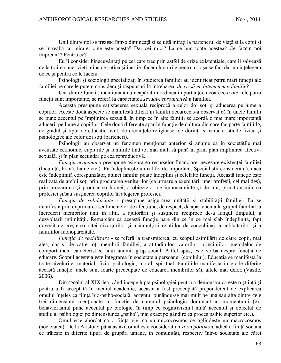Unii dintre noi se trezesc într-o dimineață și se uită mirați la partenerul de viață și la copii și se întreabă cu mirare: cine este acesta? Dar cei mici? La ce bun toate acestea? Ce facem noi împreună? Pentru ce?

Eu îi consider binecuvântați pe cei care trec prin astfel de crize existențiale, care îi salvează de la trăirea unei vieţi plină de rutină şi inerţie: facem lucrurile pentru că aşa se fac, dar nu înţelegem de ce si pentru ce le facem.

Psihologii și sociologii specializați în studierea familiei au identificat patru mari funcții ale familiei pe care le putem considera şi răspunsuri la întrebarea: *de ce să ne întemeiem o familie*?

Una dintre funcții, menționată nu neapărat în ordinea importanței, deoarece *toate* cele patru funcţii sunt importante, se referă la capacitatea *sexual-reproductivă* a familiei.

Aceasta presupune satisfacerea sexuală reciprocă a celor doi soţi şi aducerea pe lume a copiilor. Aceste două aspecte se manifestă diferit în familii deoarece s-a observat că în unele familii se pune accentul pe împlinirea sexuală, în timp ce în alte familii se acordă o mai mare importanţă aducerii pe lume a copiilor. Cele două diferențe apar în funcție de cultura din care fac parte familiile, de gradul şi tipul de educaţie avut, de credinţele religioase, de dorinţa şi caracteristicile fizice şi psihologice ale celor doi soţi (parteneri).

Psihologii au observat un fenomen menţionat anterior şi anume că în societăţile mai avansate economic, cuplurile şi familiile tind tot mai mult să pună în prim plan împlinirea afectivsexuală, şi în plan secundar pe cea reproductivă.

*Funcția economică* presupune asigurarea resurselor financiare, necesare existenței familiei (locuinţă, hrană, haine etc.). Ea îndeplineşte un rol foarte important. Specialiştii consideră că, dacă este îndeplinită corespunzător, atunci familia poate îndeplini și celelalte funcții. Această funcție este realizată de ambii soţi prin procurarea veniturilor (ca urmare a exercitării unei profesii, cel mai des), prin procurarea şi producerea hranei, a obiectelor de îmbrăcăminte şi de trai, prin transmiterea profesiei şi/sau susţinerea copiilor în alegerea profesiei.

*Funcţia de solidaritate -* presupune asigurarea unităţii şi stabilităţii familiei. Ea se manifestă prin exprimarea sentimentelor de afecţiune, de respect, de apartenenţă la grupul familial, a încrederii membrilor unii în alţii, a ajutorării şi susţinerii reciproce de-a lungul timpului, a dezvoltării intimității. Remarcăm că această funcție pare din ce în ce mai slab îndeplinită, fapt dovedit de creşterea ratei divorţurilor şi a înmulţirii relaţiilor de concubinaj, a celibatarilor şi a familiilor monoparentale.

*Funcţia de socializare -* se referă la transmiterea, cu scopul asimilării de către copii, mai ales, dar şi de către toţi membrii familiei, a atitudinilor, valorilor, principiilor, metodelor de comportament caracteristice unui anumit grup social. Altfel spus, este vorba despre functia de educare. Scopul acesteia este integrarea în societate a persoanei (copilului). Educaţia se manifestă la toate nivelurile: material, fizic, psihologic, moral, spiritual. Familiile manifestă în grade diferite această funcție: unele sunt foarte preocupate de educarea membrilor săi, altele mai deloc (Vasile, 2006).

Din secolul al XIX-lea, când începe lupta psihologiei pentru a demonstra că este o știință și pentru a fi acceptată în mediul academic, aceasta a fost preocupată preponderent de explicarea omului înţeles ca fiinţă bio-psiho-socială, accentul punându-se mai mult pe una sau alta dintre cele trei dimensiuni menționate în funcție de curentul psihologic dominant al momentului (ex. behaviorismul pune accentul pe biologic, în timp ce cognitivismul mută accentul şi obiectul de studiu al psihologiei pe dimensiunea "psiho", mai exact pe gândire ca proces psihic superior etc.).

Omul este abordat ca o ființă vie, ca un microcosmos ce oglindeste un macrocosmos (societatea). De la Aristotel până astăzi, omul este considerat un *zoon politikon*, adică o fiinţă socială ce trăiește în diferite tipuri de grupări umane, în comunități, respectiv într-o societate ale cărei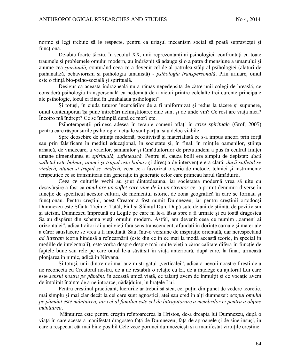norme și legi trebuie să le respecte, pentru ca uriașul mecanism social să poată supraviețui și functiona.

De-abia foarte târziu, în secolul XX, unii reprezentanți ai psihologiei, confruntați cu toate traumele şi problemele omului modern, au îndrăznit să adauge şi o a patra dimensiune a umanului şi anume cea *spirituală,* conturând ceea ce a devenit cel de al patrulea stâlp al psihologiei (alături de psihanaliză, behaviorism şi psihologia umanistă) - *psihologia transpersonală*. Prin urmare, omul este o fiinţă bio-psiho-socială şi spirituală.

Desigur că această îndrăzneală nu a rămas nepedepsită de către unii colegi de breaslă, ce consideră psihologia transpersonală ca nedemnă de a vieţui printre celelalte trei curente principale ale psihologie, locul ei fiind în "mahalaua psihologiei".

Şi totuşi, în ciuda tuturor încercărilor de a fi uniformizat şi redus la tăcere şi supunere, omul contemporan îşi pune întrebări neliniştitoare: cine sunt şi de unde vin? Ce rost are viaţa mea? Încotro mă îndrept? Ce se întâmplă după ce mor? etc.

Psihoterapeuţii primesc adesea în terapie oameni aflaţi în *crize spirituale* (Grof, 2005) pentru care răspunsurile psihologiei actuale sunt parţial sau deloc viabile.

Spre deosebire de știința modernă, pozitivistă și materialistă ce s-a impus uneori prin forță sau prin falsificare în mediul educaţional, în societate şi, în final, în minţile oamenilor, ştiinţa arhaică, de vindecare, a vracilor, samanilor și tămăduitorilor de pretutindeni a pus în centrul ființei umane dimensiunea ei *spirituală, sufletească.* Pentru ei, cauza bolii era simplu de depistat: *dacă sufletul este bolnav, atunci şi trupul este bolnav* şi direcţia de intervenţie era clară: *dacă sufletul se vindecă, atunci şi trupul se vindecă,* ceea ce a favorizat o serie de metode, tehnici şi instrumente terapeutice ce se transmiteau din generație în generație celor care primeau harul tămăduirii.

Ceea ce culturile vechi au ştiut dintotdeauna, iar societatea modernă vrea să uite cu desăvârşire a fost că *omul are un suflet care vine de la un Creator* ce a primit denumiri diverse în funcție de specificul acestor culturi, de momentul istoric, de zona geografică în care se formau și funcționau. Pentru creștini, acest Creator a fost numit Dumnezeu, iar pentru creștinii ortodocși Dumnezeu este Sfânta Treime: Tatăl, Fiul şi Sfântul Duh. După sute de ani de ştiinţă, de pozitivism şi ateism, Dumnezeu împreună cu Legile pe care ni le-a lăsat spre a fi urmate şi cu toată dragostea Sa au dispărut din schema vieții omului modern. Astfel, am devenit ceea ce numim "oameni ai orizontalei", adică trăitori ai unei vieţi fără sens transcendent, afundaţi în dorinţe carnale şi materiale a căror satisfacere se vrea a fi imediată. Sau, într-o versiune de inspirație orientală, dar nerespectând *ad litteram* teoria hindusă a reîncarnării (este din ce în ce mai la modă această teorie, în special în mediile de intelectuali), este vorba despre despre mai multe vieţi a căror calitate diferă în funcţie de faptele bune sau rele pe care omul le-a săvârşit în viaţa anterioară, după care, la final, urmează plonjarea în nimic, adică în Nirvana.

Și totuși, unii dintre noi mai auzim strigătul "verticalei", adică a nevoii noastre firești de a ne reconecta cu Creatorul nostru, de a ne restabili o relaţie cu El, de a înţelege cu ajutorul Lui care este *sensul nostru pe pământ*, în această unică viață, ce talanți avem de înmulțit și ce vocație avem de împlinit înainte de a ne întoarce, nădăjduim, în braţele Lui.

Pentru creștinul practicant, lucrurile ar trebui să ștea, cel puțin din punct de vedere teoretic, mai simplu şi mai clar decât la cei care sunt agnostici, atei sau cred în alţi dumnezei: *scopul omului pe pământ este mântuirea, iar cel al familiei este cel de întrajutorare a membrilor ei pentru a obţine mântuirea*.

Mântuirea este pentru creştin reîntoarcerea la Hristos, de-a dreapta lui Dumnezeu, după o viată în care acesta a manifestat dragostea fată de Dumnezeu, fată de aproapele și de sine însusi, în care a respectat cât mai bine posibil Cele zece porunci dumnezeiești și a manifestat virtuțile creștine.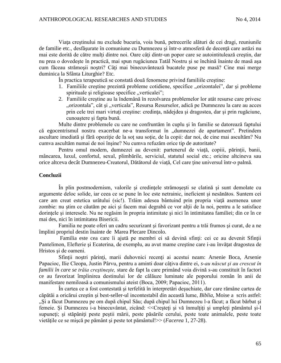Viata creștinului nu exclude bucuria, voia bună, petrecerile alături de cei dragi, reuniunile de familie etc., desfăsurate în comuniune cu Dumnezeu și într-o atmosferă de decentă care astăzi nu mai este dorită de către mulţi dintre noi. Oare câţi dintr-un popor care se autointitulează creştin, dar nu prea o dovedeşte în practică, mai spun rugăciunea Tatăl Nostru şi se închină înainte de masă aşa cum făceau strămoşii noştri? Câţi mai binecuvântează bucatele puse pe masă? Cine mai merge duminica la Sfânta Liturghie? Etc.

În practica terapeutică se constată două fenomene privind familiile creştine:

- 1. Familiile creștine prezintă probleme cotidiene, specifice "orizontalei", dar și probleme spirituale și religioase specifice "verticalei";
- 2. Familiile creştine au la îndemână în rezolvarea problemelor lor atât resurse care privesc "orizontala", cât și "verticala", Resursa Resurselor, adică pe Dumnezeu la care au acces prin cele trei mari virtuti creștine: credința, nădejdea și dragostea, dar și prin rugăciune, cunoaştere şi fapta bună.

Multe dintre problemele cu care ne confruntăm în cuplu şi în familie se datorează faptului că egocentrismul nostru exacerbat ne-a transformat în "dumnezei de apartament". Pretindem ascultare imediată și fără opoziție de la soț sau soție, de la copii: dar noi, de cine mai ascultăm? Nu cumva ascultăm numai de noi înşine? Nu cumva refuzăm orice tip de autoritate?

Pentru omul modern, dumnezei au devenit: partenerul de viață, copiii, părinții, banii, mâncarea, luxul, confortul, sexul, plimbările, serviciul, statutul social etc.; oricine altcineva sau orice altceva decât Dumnezeu-Creatorul, Dătătorul de viaţă, Cel care ţine universul într-o palmă.

## **Concluzii**

În plin postmodernism, valorile şi credinţele strămoşeşti se clatină şi sunt demolate cu argumente deloc solide, iar ceea ce se pune în loc este netrainic, ineficient şi nesănătos. Suntem cei care am creat estetica urâtului (sic!). Trăim adesea bântuind prin propria viaţă asemenea unor zombie: nu știm ce căutăm pe aici și facem mai degrabă ce vor alții de la noi, pentru a le satisface dorinţele şi interesele. Nu ne regăsim în propria intimitate şi nici în intimitatea familiei; din ce în ce mai des, nici în intimitatea Bisericii.

Familia ne poate oferi un cadru securizant şi favorizant pentru a trăi frumos şi curat, de a ne împlini propriul destin înainte de Marea Plecare Dincolo.

Familia este cea care îi ajută pe membri ei să devină sfinți: cei ce au devenit Sfinții Pantelimon, Elefterie şi Ecaterina, de exemplu, au avut mame creştine care i-au învăţat dragostea de Hristos şi de oameni.

Sfinții noștri părinți, marii duhovnici recenți ai acestui neam: Arsenie Boca, Arsenie Papacioc, Ilie Cleopa, Justin Pârvu, pentru a aminti doar câţiva dintre ei, *s-au născut şi au crescut în familii în care se trăia creştineşte,* stare de fapt la care primând voia divină s-au constituit în factori ce au favorizat împlinirea destinului lor de călăuze luminate ale poporului român în anii de manifestare nemiloasă a comunismului ateist (Boca, 2009; Papacioc, 2011).

În cartea ce a fost contestată şi terfelită în interpretări deşuchiate, dar care rămâne cartea de căpătăi a oricărui creştin şi best-seller-ul incontestabil din această lume, *Biblia,* Moise a scris astfel: "Și a făcut Dumnezeu pe om după chipul Său; după chipul lui Dumnezeu l-a făcut; a făcut bărbat și femeie. Şi Dumnezeu i-a binecuvântat, zicând: <<Creşteţi şi vă înmulţiţi şi umpleţi pământul şi-l supuneți; și stăpâniți peste peștii mării, peste păsările cerului, peste toate animalele, peste toate vietăţile ce se mişcă pe pământ şi peste tot pământul!>> (*Facerea* 1, 27-28).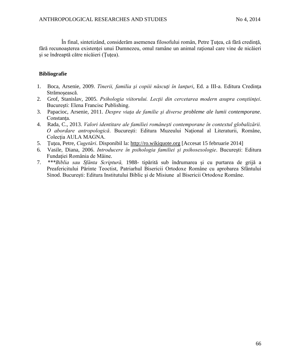În final, sintetizând, considerăm asemenea filosofului român, Petre Ţuţea, că fără credinţă, fără recunoașterea existenței unui Dumnezeu, omul ramâne un animal rațional care vine de nicăieri şi se îndreaptă către nicăieri (Ţuţea).

# **Bibliografie**

- 1. Boca, Arsenie, 2009. *Tinerii, familia şi copiii născuţi în lanţuri*, Ed. a III-a. Editura Credinţa Strămoşească.
- 2. Grof, Stanislav, 2005. *Psihologia viitorului. Lecţii din cercetarea modern asupra conştiinţei*. Bucureşti: Elena Francisc Publishing.
- 3. Papacioc, Arsenie, 2011. *Despre viaţa de familie şi diverse probleme ale lumii contemporane*. Constanţa.
- 4. Rada, C., 2013. *Valori identitare ale familiei româneşti contemporane în contextul globalizării. O abordare antropologică*. Bucureşti: Editura Muzeului Naţional al Literaturii, Române, Colectia AULA MAGNA.
- 5. Ţuţea, Petre, *Cugetări*. Disponibil la: http://ro.wikiquote.org [Accesat 15 februarie 2014]
- 6. Vasile, Diana, 2006. *Introducere în psihologia familiei şi psihosexologie*. Bucureşti: Editura Fundaţiei România de Mâine*.*
- 7. *\*\*\*Biblia sau Sfânta Scriptură,* 1988- tipărită sub îndrumarea şi cu purtarea de grijă a Preafericitului Părinte Teoctist, Patriarhul Bisericii Ortodoxe Române cu aprobarea Sfântului Sinod. Bucureşti: Editura Institutului Biblic şi de Misiune al Bisericii Ortodoxe Române.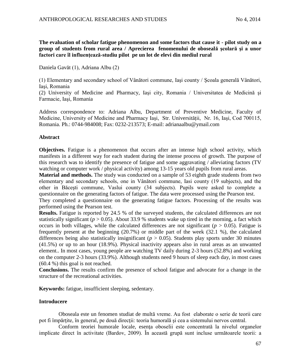**The evaluation of scholar fatigue phenomenon and some factors that cause it - pilot study on a group of students from rural area / Aprecierea fenomenului de oboseală şcolară şi a unor factori care îl influenţează-studiu pilot pe un lot de elevi din mediul rural**

Daniela Gavăt (1), Adriana Albu (2)

(1) Elementary and secondary school of Vânători commune, Iaşi county / Şcoala generală Vânători, Iaşi, Romania

(2) University of Medicine and Pharmacy, Iaşi city, Romania / Universitatea de Medicină şi Farmacie, Iaşi, Romania

Address correspondence to: Adriana Albu, Department of Preventive Medicine, Faculty of Medicine, University of Medicine and Pharmacy Iaşi, Str. Universității, Nr. 16, Iaşi, Cod 700115, Romania. Ph.: 0744-984008; Fax: 0232-213573; E-mail: adrianaalbu@ymail.com

## **Abstract**

**Objectives.** Fatigue is a phenomenon that occurs after an intense high school activity, which manifests in a different way for each student during the intense process of growth. The purpose of this research was to identify the presence of fatigue and some aggravating / alleviating factors (TV watching or computer work / physical activity) among 13-15 years old pupils from rural areas.

**Material and methods.** The study was conducted on a sample of 53 eighth grade students from two elementary and secondary schools, one in Vânători commune, Iasi county (19 subjects), and the other in Băceşti commune, Vaslui county (34 subjects). Pupils were asked to complete a questionnaire on the generating factors of fatigue. The data were processed using the Pearson test.

They completed a questionnaire on the generating fatigue factors. Processing of the results was performed using the Pearson test.

**Results.** Fatigue is reported by 24.5 % of the surveyed students, the calculated differences are not statistically significant ( $p > 0.05$ ). About 33.9 % students wake up tired in the morning, a fact which occurs in both villages, while the calculated differences are not significant ( $p > 0.05$ ). Fatigue is frequently present at the beginning (20.7%) or middle part of the week (32.1 %), the calculated differences being also statistically insignificant ( $p > 0.05$ ). Students play sports under 30 minutes (41.5%) or up to an hour (18.9%). Physical inactivity appears also in rural areas as an unwanted element.. In most cases, young people are watching TV daily during 2-3 hours (52.8%) and working on the computer 2-3 hours (33.9%). Although students need 9 hours of sleep each day, in most cases (60.4 %) this goal is not reached.

**Conclusions.** The results confirm the presence of school fatigue and advocate for a change in the structure of the recreational activities.

**Keywords:** fatigue, insufficient sleeping, sedentary.

# **Introducere**

Oboseala este un fenomen studiat de multă vreme. Au fost elaborate o serie de teorii care pot fi împărțite, în general, pe două direcții: teoria humorală și cea a sistemului nervos central.

Conform teoriei humorale locale, esența oboselii este concentrată la nivelul organelor implicate direct în activitate (Bardov, 2009). În această grupă sunt incluse următoarele teorii: a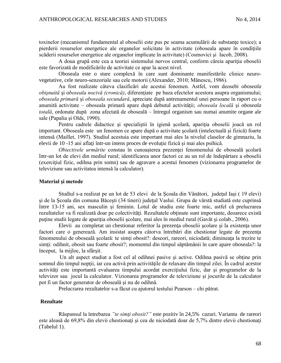toxinelor (mecanismul fundamental al oboselii este pus pe seama acumulării de substante toxice); a pierderii resurselor energetice ale organelor solicitate în activitate (oboseala apare în conditiile scăderii resurselor energetice ale organelor implicate în activitate) (Cosmovici şi Iacob, 2008).

A doua grupă este cea a teoriei sistemului nervos central, conform căreia apariţia oboselii este favorizată de modificările de activitate ce apar la acest nivel.

Oboseala este o stare complexă în care sunt dominante manifestările clinice neurovegetative, cele neuro-senzoriale sau cele motorii (Alexander, 2010; Mănescu, 1986).

Au fost realizate câteva clasificări ale acestui fenomen. Astfel, vom deosebi *oboseala obișnuită* și *oboseala nocivă (cronică)*, diferențiate pe baza efectelor acestora asupra organismului; *oboseala primară* şi *oboseala secundară*, apreciate după antrenamentul unei persoane în raport cu o anumită activitate – oboseala primară apare după debutul activităţii; *oboseala locală* şi *oboseala totală*, ordonate după zona afectată de oboseală – întregul organism sau numai anumite organe ale sale (Papalia şi Olds, 1990).

Pentru cadrele didactice și specialiștii în igienă scolară, apariția oboselii joacă un rol important. Oboseala este un fenomen ce apare după o activitate şcolară (intelectuală şi fizică) foarte intensă (Maillet, 1997). Studiul acestuia este important mai ales la nivelul claselor de gimnaziu, la elevii de 10 -15 ani aflaţi într-un intens proces de evoluţie fizică şi mai ales psihică.

*Obiectivele urmărite* constau în cunoașterea prezenței fenomenului de oboseală școlară într-un lot de elevi din mediul rural; identificarea unor factori ce au un rol de îndepărtare a oboselii (exerciţiul fizic, odihna prin somn) sau de agravare a acestui fenomen (vizionarea programelor de televiziune sau activitatea intensă la calculator).

### **Material şi metode**

Studiul s-a realizat pe un lot de 53 elevi de la Şcoala din Vânători, judeţul Iaşi ( 19 elevi) şi de la Şcoala din comuna Băceşti (34 tineri) judeţul Vaslui. Grupa de vârstă studiată este cuprinsă între 13-15 ani, sex masculin şi feminin. Lotul de studiu este foarte mic, astfel că prelucrarea rezultatelor va fi realizată doar pe colectivități. Rezultatele obținute sunt importante, deoarece există puține studii legate de apariția oboselii școlare, mai ales în mediul rural (Gavăt și colab., 2006).

Elevii au completat un chestionar referitor la prezenţa oboselii şcolare şi la existenţa unor factori care o generează. Am insistat asupra câtorva întrebări din chestionar legate de prezența fenomenului de oboseală școlară: te simți obosit?: deseori, rareori, niciodată; dimineața la trezire te simți: odihnit, obosit sau foarte obosit?; momentul din timpul săptămânii în care apare oboseala?: la început, la mijloc, la sfârşit.

 Un alt aspect studiat a fost cel al odihnei pasive şi active. Odihna pasivă se obţine prin somnul din timpul nopții, iar cea activă prin activitățile de relaxare din timpul zilei. În cadrul acestor activităţi este importantă evaluarea timpului acordat exerciţiului fizic, dar şi programelor de la televizor sau jocul la calculator. Vizionarea programelor de televiziune şi jocurile de la calculator pot fi un factor generator de oboseală şi nu de odihnă.

Prelucrarea rezultatelor s-a făcut cu ajutorul testului Pearson – chi pătrat.

### **Rezultate**

Răspunsul la întrebarea *"te simţi obosit?"* este pozitiv în 24,5% cazuri. Varianta de rareori este aleasă de 69,8% din elevii chestionati și cea de niciodată doar de 5,7% dintre elevii chestionati (Tabelul 1).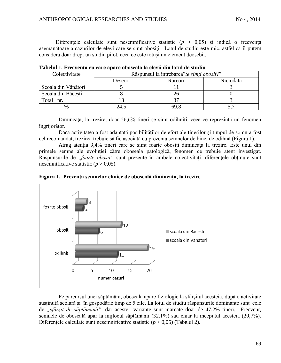Diferentele calculate sunt nesemnificative statistic  $(p > 0.05)$  si indică o frecventa asemănătoare a cazurilor de elevi care se simt obositi. Lotul de studiu este mic, astfel că îl putem considera doar drept un studiu pilot, ceea ce este totuşi un element deosebit.

| Colectivitate       |         | Răspunsul la întrebarea" te simți obosit?" |           |  |  |
|---------------------|---------|--------------------------------------------|-----------|--|--|
|                     | Deseori | Rareori                                    | Niciodată |  |  |
| Scoala din Vânători |         |                                            |           |  |  |
| Scoala din Băcești  |         |                                            |           |  |  |
| Total nr.           |         |                                            |           |  |  |
|                     | 24.5    | 69.8                                       |           |  |  |

**Tabelul 1. Frecvenţa cu care apare oboseala la elevii din lotul de studiu**

Dimineata, la trezire, doar 56,6% tineri se simt odihniti, ceea ce reprezintă un fenomen îngrijorător.

Dacă activitatea a fost adaptată posibilităţilor de efort ale tinerilor şi timpul de somn a fost cel recomandat, trezirea trebuie să fie asociată cu prezenţa semnelor de bine, de odihnă (Figura 1).

Atrag atenția 9,4% tineri care se simt foarte obosiți dimineața la trezire. Este unul din primele semne ale evoluției către oboseala patologică, fenomen ce trebuie atent investigat. Răspunsurile de "*foarte obosit*" sunt prezente în ambele colectivități, diferențele obținute sunt nesemnificative statistic  $(p > 0.05)$ .





Pe parcursul unei săptămâni, oboseala apare fiziologic la sfârşitul acesteia, după o activitate susținută școlară și în gospodărie timp de 5 zile. La lotul de studiu răspunsurile dominante sunt cele de "sfârșit de săptămână", dar aceste variante sunt marcate doar de 47,2% tineri. Frecvent, semnele de oboseală apar la mijlocul săptămânii (32,1%) sau chiar la începutul acesteia (20,7%). Diferentele calculate sunt nesemnificative statistic  $(p > 0.05)$  (Tabelul 2).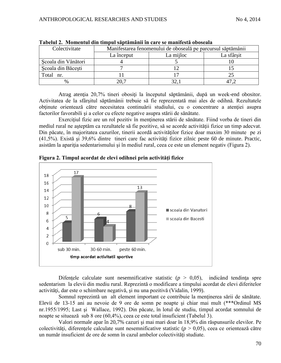| Colectivitate       | Manifestarea fenomenului de oboseală pe parcursul săptămânii |           |            |  |
|---------------------|--------------------------------------------------------------|-----------|------------|--|
|                     | La început                                                   | La mijloc | La sfârsit |  |
| Scoala din Vânători |                                                              |           |            |  |
| Scoala din Băcești  |                                                              |           |            |  |
| Total nr.           |                                                              |           |            |  |
|                     |                                                              |           |            |  |

**Tabelul 2. Momentul din timpul săptămânii în care se manifestă oboseala**

Atrag atenția 20,7% tineri obosiți la începutul săptămânii, după un week-end obositor. Activitatea de la sfârşitul săptămânii trebuie să fie reprezentată mai ales de odihnă. Rezultatele obţinute orientează către necesitatea continuării studiului, cu o concentrare a atenţiei asupra factorilor favorabili şi a celor cu efecte negative asupra stării de sănătate.

Exercitiul fizic are un rol pozitiv în mentinerea stării de sănătate. Fiind vorba de tineri din mediul rural ne aşteptăm ca rezultatele să fie pozitive, să se acorde activităţii fizice un timp adecvat. Din păcate, în majoritatea cazurilor, tinerii acordă activităţilor fizice doar maxim 30 minute pe zi (41,5%). Există şi 39,6% dintre tineri care fac activităţi fizice zilnic peste 60 de minute. Practic, asistăm la apariția sedentarismului și în mediul rural, ceea ce este un element negativ (Figura 2).



**Figura 2. Timpul acordat de elevi odihnei prin activităţi fizice**

Difentele calculate sunt nesemnificative statistic  $(p > 0.05)$ , indicând tendinta spre sedentarism la elevii din mediu rural. Reprezintă o modificare a timpului acordat de elevi diferitelor activități, dar este o schimbare negativă, și nu una pozitivă (Vidalin, 1999).

Somnul reprezintă un alt element important ce contribuie la menţinerea sării de sănătate. Elevii de 13-15 ani au nevoie de 9 ore de somn pe noapte şi chiar mai mult (\*\*\*Ordinul MS nr.1955/1995; Last şi Wallace, 1992). Din păcate, în lotul de studiu, timpul acordat somnului de noapte se situează sub 8 ore (60,4%), ceea ce este total insuficient (Tabelul 3).

Valori normale apar în 20,7% cazuri şi mai mari doar în 18,9% din răspunsurile elevilor. Pe colectivități, diferențele calculate sunt nesemnificative statistic ( $p > 0.05$ ), ceea ce orientează către un număr insuficient de ore de somn în cazul ambelor colectivități studiate.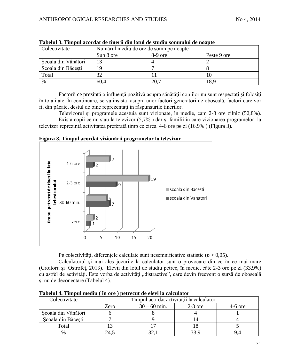| Colectivitate       | Numărul mediu de ore de somn pe noapte |           |             |  |
|---------------------|----------------------------------------|-----------|-------------|--|
|                     | Sub 8 ore                              | $8-9$ ore | Peste 9 ore |  |
| Scoala din Vânători | 13                                     |           |             |  |
| Scoala din Băcești  |                                        |           |             |  |
| Total               | 32                                     |           | 10          |  |
| $\%$                | 60,4                                   | 20,7      | 18,9        |  |

**Tabelul 3. Timpul acordat de tinerii din lotul de studiu somnului de noapte**

Factorii ce prezintă o influență pozitivă asupra sănătății copiilor nu sunt respectați și folosiți în totalitate. În conţinuare, se va insista asupra unor factori generatori de oboseală, factori care vor fi, din păcate, destul de bine reprezentaţi în răspunsurile tinerilor.

Televizorul şi programele acestuia sunt vizionate, în medie, cam 2-3 ore zilnic (52,8%). Există copii ce nu stau la televizor (5,7% ) dar şi familii în care vizionarea programelor la televizor reprezintă activitatea preferată timp ce circa 4-6 ore pe zi (16,9% ) (Figura 3).



**Figura 3. Timpul acordat vizionării programelor la televizor**

Pe colectivități, diferențele calculate sunt nesemnificative statistic  $(p > 0.05)$ .

Calculatorul şi mai ales jocurile la calculator sunt o provocare din ce în ce mai mare (Croitoru şi Ostrofeţ, 2013). Elevii din lotul de studiu petrec, în medie, câte 2-3 ore pe zi (33,9%) cu astfel de activități. Este vorba de activități "distractive", care devin frecvent o sursă de oboseală şi nu de deconectare (Tabelul 4).

| Colectivitate       | Timpul acordat activității la calculator |                |           |           |
|---------------------|------------------------------------------|----------------|-----------|-----------|
|                     | Zero                                     | $30 - 60$ min. | $2-3$ ore | $4-6$ ore |
| Scoala din Vânători |                                          |                |           |           |
| Scoala din Băcesti  |                                          |                |           |           |
| Total               |                                          |                |           |           |
| %                   | 24.5                                     |                |           |           |

**Tabelul 4. Timpul mediu ( în ore ) petrecut de elevi la calculator**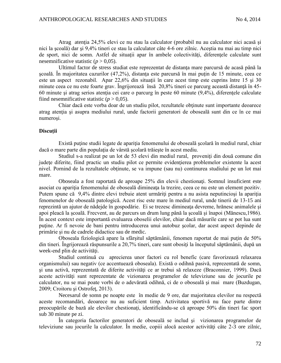Atrag atenţia 24,5% elevi ce nu stau la calculator (probabil nu au calculator nici acasă şi nici la şcoală) dar şi 9,4% tineri ce stau la calculator câte 4-6 ore zilnic. Aceştia nu mai au timp nici de sport, nici de somn. Astfel de situații apar în ambele colectivități, diferențele calculate sunt nesemnificative statistic  $(p > 0.05)$ .

Ultimul factor de stress studiat este reprezentat de distanta mare parcursă de acasă până la scoală. În majoritatea cazurilor (47,2%), distanța este parcursă în mai puțin de 15 minute, ceea ce este un aspect rezonabil. Apar 22,6% din situații în care acest timp este cuprins între 15 și 30 minute ceea ce nu este foarte grav. Îngrijorează însă 20,8% tineri ce parcurg această distanţă în 45- 60 minute şi atrag serios atenţia cei care o parcurg în peste 60 minute (9,4%), diferenţele calculate fiind nesemnificative statistic  $(p > 0.05)$ .

Chiar dacă este vorba doar de un studiu pilot, rezultatele obținute sunt importante deoarece atrag atenţia şi asupra mediului rural, unde factorii generatori de oboseală sunt din ce în ce mai numeroşi.

### **Discuţii**

Există puţine studii legate de apariţia fenomenului de oboseală şcolară în mediul rural, chiar dacă o mare parte din populația de vârstă scolară trăiește în acest mediu.

Studiul s-a realizat pe un lot de 53 elevi din mediul rural, proveniți din două comune din judeţe diferite, fiind practic un studiu pilot ce permite evidenţierea problemelor existente la acest nivel. Pornind de la rezultatele obţinute, se va impune (sau nu) continurea studiului pe un lot mai mare.

Oboseala a fost raportată de aproape 25% din elevii chestionaţi. Somnul insuficient este asociat cu apariția fenomenului de oboseală dimineața la trezire, ceea ce nu este un element pozitiv. Putem spune că 9,4% dintre elevi trebuie atent urmăriți pentru a nu asista neputincioși la apariția fenomenelor de oboseală patologică. Acest risc este mare în mediul rural, unde tinerii de 13-15 ani reprezintă un ajutor de nădejde în gospodărie. Ei se trezesc dimineaţa devreme, hrănesc animalele şi apoi pleacă la şcoală. Frecvent, au de parcurs un drum lung până la şcoală şi înapoi (Mănescu,1986). În acest context este importantă evaluarea oboselii elevilor, chiar dacă măsurile care se pot lua sunt puţine. Ar fi nevoie de bani pentru introducerea unui autobuz şcolar, dar acest aspect depinde de primărie şi nu de cadrele didactice sau de medic.

Oboseala fiziologică apare la sfârșitul săptămânii, fenomen raportat de mai puțin de 50% din tineri. Îngrijorează răspunsurile a 20,7% tineri, care sunt obosiţi la începutul săptămânii, după un week-end plin de activități.

Studiul continuă cu aprecierea unor factori cu rol benefic (care favorizează relaxarea organismului) sau negativ (ce accentuează oboseala). Există o odihnă pasivă, reprezentată de somn, şi una activă, reprezentată de diferite activităţi ce ar trebui să relaxeze (Braconnier, 1999). Dacă aceste activităţi sunt reprezentate de vizionarea programelor de televiziune sau de jocurile pe calculator, nu se mai poate vorbi de o adevărată odihnă, ci de o oboseală şi mai mare (Buzdugan, 2009; Croitoru şi Ostrofeţ, 2013).

Necesarul de somn pe noapte este în medie de 9 ore, dar majoritatea elevilor nu respectă aceste recomandări, deoarece nu au suficient timp. Activitatea sportivă nu face parte dintre preocupările de bază ale elevilor chestionaţi, identificându-se că aproape 50% din tineri fac sport sub 30 minute pe zi.

În categoria factorilor generatori de oboseală se includ şi vizionarea programelor de televiziune sau jocurile la calculator. În medie, copiii alocă acestor activități câte 2-3 ore zilnic,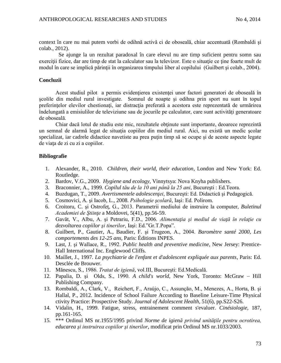context în care nu mai putem vorbi de odihnă activă ci de oboseală, chiar accentuată (Rombaldi şi colab., 2012).

Se ajunge la un rezultat paradoxal în care elevul nu are timp suficient pentru somn sau exercitii fizice, dar are timp de stat la calculator sau la televizor. Este o situatie ce tine foarte mult de modul în care se implică părinţii în organizarea timpului liber al copilului (Guilbert şi colab., 2004).

### **Concluzii**

Acest studiul pilot a permis evidentierea existenței unor factori generatori de oboseală în şcolile din mediul rural investigate. Somnul de noapte şi odihna prin sport nu sunt în topul preferințelor elevilor chestionați, iar distracția preferată a acestora este reprezentată de urmărirea îndelungată a emisiulilor de televiziune sau de jocurile pe calculator, care sunt activități generatoare de oboseală.

Chiar dacă lotul de studiu este mic, rezultatele obtinute sunt importante, deoarece reprezintă un semnal de alarmă legat de situaţia copiilor din mediul rural. Aici, nu există un medic şcolar specializat, iar cadrele didactice navetiste au prea putin timp să se ocupe și de aceste aspecte legate de viaţa de zi cu zi a copiilor.

# **Bibliografie**

- 1. Alexander, R., 2010. *Children, their world, their education*, London and New York: Ed. Routledge.
- 2. Bardov, V.G., 2009. *Hygiene and ecology*, Vinnytsya: Nova Knyha publishers.
- 3. Braconnier, A., 1999. *Copilul tău de la 10 ani până la 25 ani*, Bucureşti : Ed.Teora.
- 4. Buzdugan, T., 2009. *Avertismentele adolescenţei*, Bucureşti: Ed. Didactică şi Pedagogică.
- 5. Cosmovici, A. şi Iacob, L., 2008. *Psihologie şcolară*, Iaşi: Ed. Polirom.
- 6. Croitoru, C. şi Ostrofeţ, G., 2013. Parametrii mediului de instruire la computer, *Buletinul Academiei de Ştiinţe* a Moldovei, 5(41), pp.56-59.
- 7. Gavăt, V., Albu, A. şi Petrariu, F.D., 2006. *Alimentaţia şi mediul de viaţă în relaţie cu dezvoltarea copiilor şi tinerilor*, Iaşi: Ed."Gr.T.Popa".
- 8. Guilbert, P., Gautier, A., Baudier, F. şi Trugeon, A., 2004. *Baromètre santé 2000, Les comportements des 12-25 ans*, Paris: Éditions INPES.
- 9. Last, J. şi Wallace, R., 1992. *Public health and preventive medicine*, New Jersey: Prentice-Hall International Inc. Englewood Cliffs.
- 10. Maillet, J., 1997. *La psychiatrie de l'enfant et d'adolescent expliquée aux parents*, Paris: Ed. Desclée de Brouwer.
- 11. Mănescu, S., 1986. *Tratat de igienă*, vol.III, Bucureşti: Ed.Medicală.
- 12. Papalia, D. şi Olds, S., 1990. *A child's world*, New York, Toronto: McGraw Hill Publishing Company.
- 13. Rombaldi, A., Clark, V., Reichert, F., Araújo, C., Assunção, M., Menezes, A., Horta, B. şi Hallal, P., 2012. Incidence of School Failure According to Baseline Leisure-Time Physical ctivity Practice: Prospective Study. *Journal of Adolescent Health*, 51(6), pp.S22-S26.
- 14. Vidalin, H., 1999. Fatigue, stress, entrainement comment s'evaluer. *Cinésiologie*, 187, pp.161-165.
- 15. \*\*\* Ordinul MS nr.1955/1995 privind *Norme de igienă privind unităţile pentru ocrotirea, educarea şi instruirea copiilor şi tinerilor*, modificat prin Ordinul MS nr.1033/2003.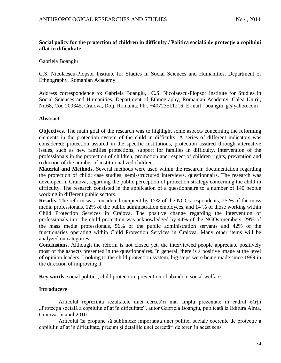# **Social policy for the protection of children in difficulty / Politica socială de protecţie a copilului aflat în dificultate**

#### Gabriela Boangiu

C.S. Nicolaescu-Plopsor Institute for Studies in Social Sciences and Humanities, Department of Ethnography, Romanian Academy

Address correspondence to: Gabriela Boangiu, C.S. Nicolaescu-Plopsor Institute for Studies in Social Sciences and Humanities, Department of Ethnography, Romanian Academy, Calea Unirii, Nr.68, Cod 200345, Craiova, Dolj, Romania. Ph:. +40723511216; E-mail : boangiu\_g@yahoo.com

### **Abstract**

**Objectives.** The main goal of the research was to highlight some aspects concerning the reforming elements in the protection system of the child in difficulty. A series of different indicators was considered: protection assured in the specific institutions, protection assured through alternative issues, such as new families protections, support for families in difficulty, intervention of the professionals in the protection of children, promotion and respect of children rights, prevention and reduction of the number of instituionalized children.

**Material and Methods.** Several methods were used within the research: documentation regarding the protection of child; case studies; semi-structured interviews, questionnairs. The research was developed in Craiova, regarding the public perception of protection strategy concerning the child in difficulty. The research consisted in the application of a questionnaire to a number of 140 people working in different public sectors.

**Results.** The reform was considered incipient by 17% of the NGOs respondents, 25 % of the mass media professionals, 12% of the public administration employees, and 14 % of those working within Child Protection Services in Craiova. The positive change regarding the intervention of professionals into the child protection was acknowledged by 44% of the NGOs members, 29% of the mass media professionals, 56% of the public administration servants and 42% of the functionaries operating within Child Protection Services in Craiova. Many other items will be analyzed on categories.

**Conclusions.** Although the reform is not closed yet, the interviewed people appreciate positively most of the aspects presented in the questionnaires. In general, there is a positive image at the level of opinion leaders. Looking to the child protection system, big steps were being made since 1989 in the direction of improving it.

**Key words**: social politics, child protection, prevention of abandon, social welfare.

### **Introducere**

Articolul reprezinta rezultatele unei cercetări mai amplu prezentate în cadrul cărții "Protecția socială a copilului aflat în dificultate", autor Gabriela Boangiu, publicată la Editura Alma, Craiova, în anul 2010.

Articolul își propune să sublinieze importanța unei politici sociale coerente de protecție a copilului aflat în dificultate, precum și detaliile unei cercetări de teren în acest sens.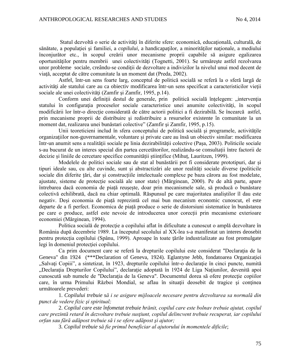Statul dezvoltă o serie de activități în diferite sfere: economică, educațională, culturală, de sănătate, a populației și familiei, a *copilului*, a handicapaților, a minorităților naționale, a mediului înconjurător etc., în scopul creării unor mecanisme proprii capabile să asigure egalizarea oportunităților pentru membrii unei colectivități (Tognetti, 2001). Se urmărește astfel rezolvarea unor probleme sociale, creându-se condiții de dezvoltare a indivizilor la nivelul unui mod decent de viată, acceptat de către comunitate la un moment dat (Preda, 2002).

Astfel, într-un sens foarte larg, conceptul de politică socială se referă la o sferă largă de activităţi ale statului care au ca obiectiv modificarea într-un sens specificat a caracteristicilor vieţii sociale ale unei colectivități (Zamfir și Zamfir, 1995, p.14).

Conform unei definiții destul de generale, prin politică socială înțelegem: "intervenția statului în configurația proceselor sociale caracteristice unei anumite colectivități, în scopul modificării lor într-o direcție considerată de către actorii politici a fi dezirabilă. Se încearcă astfel, prin mecanisme proprii de distribuire şi redistribuire a resurselor existente în comunitate la un moment dat, realizarea unei bunăstari colective" (Zamfir şi Zamfir, 1995, p.15).

Unii teoreticieni includ în sfera conceptului de politică socială şi programele, activităţile organizaţiilor non-guvernamentale, voluntare şi private care au însă un obiectiv similar: modificarea într-un anumit sens a realităţii sociale pe linia dezirabilităţii colective (Pașa, 2003). Politicile sociale s-au bucurat de un interes special din partea cercetătorilor, realizându-se consultații între factorii de decizie și liniile de cercetare specifice comunității științifice (Mihuț, Lauritzen, 1999).

Modelele de politici sociale sau de stat al bunăstării pot fi considerate prototipuri, dar și tipuri ideale sau, cu alte cuvinde, sunt și abstractizări ale unor realități sociale diverse (politicile sociale din diferite țări, dar și construcțiile intelectuale complexe pe baza cărora au fost modelate, ajustate, sisteme de protecție socială ale unor state) (Mărginean, 2000). Pe de altă parte, apare întrebarea dacă economia de piață reușește, doar prin mecanismele sale, să producă o bunăstare colectivă echilibrată, dacă nu chiar optimală. Răspunsul pe care majoritatea analiștilor îl dau este negativ. Deși economia de piață reprezintă cel mai bun mecanism economic cunoscut, el este departe de a fi perfect. Economica de piață produce o serie de distorsiuni sistematice în bunăstarea pe care o produce, astfel este nevoie de introducerea unor corecții prin mecanisme exterioare economiei (Mărginean, 1994).

Politica socială de protecție a copilului aflat în dificultate a cunoscut o amplă dezvoltare în România după decembrie 1989. La începutul secolului al XX-lea s-a manifestat un interes deosebit pentru protecția copilului (Spânu, 1999). Aproape în toate țările industrializate au fost promulgate legi în domeniul protecţiei copilului.

Ca prim document care se referă la drepturile copilului este considerat "Declarația de la Geneva" din 1924(\*\*\*Declaration of Geneva, 1924)*.* Eglantyne Jebb, fondatoarea Organizaţiei "Salvați Copiii", a sintetizat, în 1923, drepturile copilului într-o declarație în cinci puncte, numită "Declarația Drepturilor Copilului", declarație adoptată în 1924 de Liga Națiunilor, devenită apoi cunoscută sub numele de "Declaraţia de la Geneva". Documentul dorea să ofere protecţie copiilor care, în urma Primului Război Mondial, se aflau în situații deosebit de tragice și conținea următoarele prevederi:

1. *Copilului trebuie să i se asigure mijloacele necesare pentru dezvoltarea sa normală din punct de vedere fizic şi spiritual;*

2. *Copilul care este înfometat trebuie hrănit, copilul care este bolnav trebuie ajutat, copilul care prezintă retard în dezvoltare trebuie susţiunt, copilul delincvent trebuie recuperat, iar copilului orfan sau fără adăpost trebuie să i se ofere adăpost şi ajutor;*

3. *Copilul trebuie să fie primul beneficiar al ajutorului în momentele dificile*;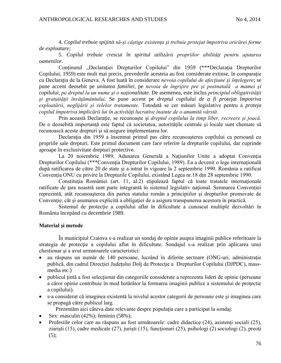4. *Copilul trebuie spijinit să-şi câştige existenţa şi trebuie protejat împotriva oricărei forme de exploatare;* 

5. *Copilul trebuie crescut în spiritul utilizării propriilor abilităţi pentru ajutarea oamenilor.*

Conținutul "Declarației Drepturilor Copilului" din 1959 (\*\*\*Declarația Drepturilor Copilului, 1959) este mult mai precis, prevederile acesteia au fost considerate extinse, în comparatie cu Declaraţia de la Geneva. A fost luată în considerare *nevoia copilului de afecţiune şi înţelegere*; se pune accent deosebit pe *unitatea familiei*, pe *nevoia de îngrijire pre şi postnatală a mamei şi copilului*, *pe dreptul la un nume şi o naţionalitate.* De asemenea, este inclus *principiul obligativităţii şi gratuităţii învăţământului.* Se pune accent pe *dreptul copilului de a fi protejat împotriva exploatării*, *neglijării şi relelor tratamente*. Totodată se cer măsuri legislative pentru a *proteja copilul împotriva implicării lui în activităţi lucrative înainte de o anumită vârstă.*

Prin această Declaraţie, se recunoaşte şi *dreptul copilului la timp liber, recreere şi joacă.* De o deosebită importanță este faptul că societatea, autoritățile centrale și locale sunt chemate să recunoască aceste drepturi şi să asigure implementarea lor.

Declarația din 1959 a însemnat primul pas către recunoașterea copilului ca persoană cu propriile sale drepturi. Este primul document care face referire la drepturile copilului, dar cuprinde aproape în exclusivitate drepturi protective.

La 20 noiembrie 1989, Adunarea Generală a Naţiunilor Unite a adoptat Convenţia Drepturilor Copilului (\*\*\*Convenția Drepturilor Copilului, 1989). Ea a devenit o lege internațională după ratificarea de către 20 de state şi a intrat în vigoare la 2 septembrie 1990. România a ratificat Conventia ONU cu privire la Drepturile Copilului, existând Legea nr.18 din 28 septembrie 1990.

Constituția României (art. 11, al.2) stipulează faptul că toate tratatele internaționale ratificate de țara noastră sunt parte integrantă în sistemul legislativ național. Semnarea Convenției reprezintă, atât recunoaşterea din partea statului român a principiilor şi drepturilor promovate de Convenție, cât și asumarea explicită a obligației de a asigura transpunerea acestora în practică.

Sistemul de protecție a copilului aflat în dificultate a cunoscut multiple dezvoltări în România începând cu decembrie 1989.

## **Material și metode**

În municipiul Craiova s-a realizat un sondaj de opinie asupra imaginii publice referitoare la strategia de protecție a copilului aflat în dificultate. Sondajul s-a realizat prin aplicarea unui chestionar şi a avut urmatoarele caracteristici:

- au răspuns un număr de 140 persoane, lucrând în diferite sectoare (ONG-uri, administratie publică, din cadrul Direcţiei Judeţului Dolj de Protecţie a Drepturilor Copilului (DJPDC), massmedia etc.)
- publicul tintă a fost selectionat din categoriile considerate a reprezenta lideri de opinie (persoane a căror opinie contribuie în mod hotărâtor la formarea imaginii publice a sistemului de protectie a copilului).
- s-a considerat că imaginea existentă la nivelul acestor categorii de persoane este şi imaginea care se propagă către publicul larg.

Prezentăm aici câteva date relevante despre populaţia care a participat la sondaj:

- Sex: masculin (42%); feminin (58%);
- Profesiile celor care au răspuns au fost următoarele: cadre didactice (24), asistenți sociali (25), ziarişti (15), cadre medicale (27), jurişti (15), funcţionari (25), psihologi (2) sociologi (2), preoţi  $(5);$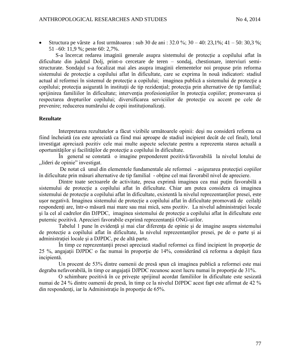Structura pe vârste a fost următoarea : sub 30 de ani : 32.0 %; 30 – 40: 23,1%; 41 – 50: 30,3 %; 51 –60: 11,9 %; peste 60: 2,7%.

S-a încercat redarea imaginii generale asupra sistemului de protecție a copilului aflat în dificultate din județul Dolj, print-o cercetare de teren – sondaj, chestionare, interviuri semistructurate. Sondajul s-a focalizat mai ales asupra imaginii elementelor noi propuse prin reforma sistemului de protectie a copilului aflat în dificultate, care se exprima în nouă indicatori: stadiul actual al reformei în sistemul de protecție a copilului; imaginea publică a sistemului de protecție a copilului; protecția asigurată în instituții de tip rezidențial; protecția prin alternative de tip familial; sprijinirea familiilor în dificultate; intervenția profesioniștilor în protecția copiilor; promovarea și respectarea drepturilor copilului; diversificarea serviciilor de protecție cu accent pe cele de prevenire; reducerea numărului de copii instituționalizați.

### **Rezultate**

Interpretarea rezultatelor a făcut vizibile următoarele opinii: deşi nu consideră reforma ca fiind încheiată (ea este apreciată ca fiind mai aproape de stadiul incipient decât de cel final), lotul investigat apreciază pozitiv cele mai multe aspecte selectate pentru a reprezenta starea actuală a oportunităţilor şi facilităţilor de protecţie a copilului în dificultate.

În general se constată o imagine preponderent pozitivă/favorabilă la nivelul lotului de ,,lideri de opinie" investigat.

De notat că unul din elementele fundamentale ale reformei - asigurarea protecției copiilor în dificultate prin măsuri alternative de tip familial - obţine cel mai favorabil nivel de apreciere.

Dintre toate sectoarele de activitate, presa exprimă imaginea cea mai puțin favorabilă a sistemului de protecție a copilului aflat în dificultate. Chiar am putea considera că imaginea sistemului de protectie a copilului aflat în dificultate, existentă la nivelul reprezentanților presei, este usor negativă. Imaginea sistemului de protecție a copilului aflat în dificultate promovată de ceilalți respondenți are, într-o măsură mai mare sau mai mică, sens pozițiv. La nivelul administrației locale şi la cel al cadrelor din DJPDC, imaginea sistemului de protecție a copilului aflat în dificultate este puternic pozitivă. Aprecieri favorabile exprimă reprezentanții ONG-urilor.

Tabelul 1 pune în evidenţă şi mai clar diferenţa de opinie şi de imagine asupra sistemului de protecție a copilului aflat în dificultate, la nivelul reprezentanţilor presei, pe de o parte şi ai administraţiei locale şi a DJPDC, pe de altă parte.

În timp ce reprezentanții presei apreciază stadiul reformei ca fiind incipient în proporție de 25 %, angajaţii DJPDC o fac numai în proporţie de 14%, considerând că reforma a depășit faza incipientă.

Un procent de 53% dintre oamenii de presă spun că imaginea publică a reformei este mai degraba nefavorabilă, în timp ce angajații DJPDC recunosc acest lucru numai în proporție de 31%.

O schimbare pozitivă în ce priveşte sprijinul acordat familiilor în dificultate este sesizată numai de 24 % dintre oamenii de presă, în timp ce la nivelul DJPDC acest fapt este afirmat de 42 % din respondenți, iar la Administrație în proporție de 65%.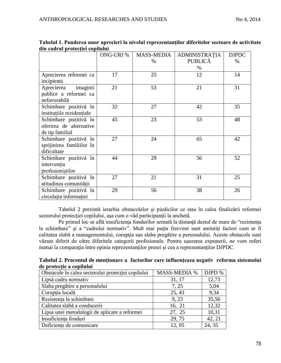|                                                                     | <b>ONG-URI %</b> | <b>MASS-MEDIA</b><br>% | <b>ADMINISTRAȚIA</b><br><b>PUBLICĂ</b><br>$\%$ | <b>DJPDC</b><br>$\%$ |
|---------------------------------------------------------------------|------------------|------------------------|------------------------------------------------|----------------------|
| Aprecierea reformei ca<br>incipientă                                | 17               | 25                     | 12                                             | 14                   |
| imaginii<br>Aprecierea<br>publice a reformei ca<br>nefavorabilă     | 21               | 53                     | 21                                             | 31                   |
| Schimbare pozitivă în<br>instituțiile rezidențiale                  | 32               | 27                     | 42                                             | 35                   |
| Schimbare pozitivă în<br>oferirea de alternative<br>de tip familial | 45               | 23                     | 53                                             | 48                   |
| Schimbare pozitivă în<br>sprijinirea familiilor în<br>dificultate   | 27               | 24                     | 65                                             | 42                   |
| Schimbare pozitivă în<br>intervenția<br>profesionistilor            | 44               | 29                     | 56                                             | 52                   |
| Schimbare pozitivă în<br>atitudinea comunității                     | 27               | 21                     | 31                                             | 25                   |
| Schimbare pozitivă în<br>circulația informației                     | 29               | 56                     | 38                                             | 26                   |

|                                 | Tabelul 1. Ponderea unor aprecieri la nivelul reprezentanților diferitelor sectoare de activitate |
|---------------------------------|---------------------------------------------------------------------------------------------------|
| din cadrul protecției copilului |                                                                                                   |

Tabelul 2 prezintă ierarhia obstacolelor şi piedicilor ce stau în calea finalizării reformei sectorului protecției copilului, așa cum o văd participanții la anchetă.

Pe primul loc se află insuficiența fondurilor urmată la distanță destul de mare de "rezistența" la schimbare" și a "cadrului normativ". Mult mai puțin frecvent sunt amintiți factori cum ar fi calitatea slabă a managementului, corupția sau slaba pregătire a personalului. Aceste obstacole sunt văzute diferit de către diferitele categorii profesionale. Pentru uşurarea expunerii, ne vom referi numai la comparaţia între opinia reprezentanţilor presei şi cea a reprezentanţilor DJPDC.

**Tabelul 2. Procentul de menţionare a factorilor care influenţeaza negativ reforma sistemului de protecţie a copilului** 

| Obstacole în calea sectorului protecției copilului | <b>MASS-MEDIA %</b> | DJPD % |
|----------------------------------------------------|---------------------|--------|
| Lipsă cadru normativ                               | 31, 17              | 12,73  |
| Slaba pregătire a personalului                     | 7, 25               | 5,04   |
| Corupția locală                                    | 25, 43              | 9,34   |
| Rezistența la schimbare                            | 9,23                | 35,56  |
| Calitatea slabă a conducerii                       | 16, 21              | 12,32  |
| Lipsa unei metodologii de aplicare a reformei      | 27, 25              | 10,31  |
| Insuficiența fonduri                               | 29,75               | 42, 21 |
| Deficiențe de comunicare                           | 12,05               | 24, 35 |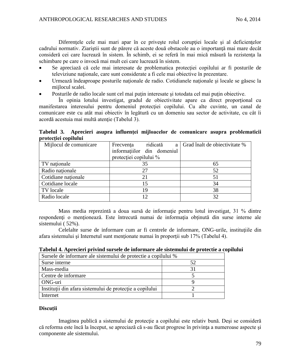Diferentele cele mai mari apar în ce priveste rolul coruptiei locale și al deficientelor cadrului normativ. Ziariștii sunt de părere că aceste două obstacole au o importanță mai mare decât consideră cei care lucrează în sistem. În schimb, ei se referă în mai mică măsură la rezistenţa la schimbare pe care o invocă mai mult cei care lucrează în sistem.

- Se apreciază că cele mai interesate de problematica protecţiei copilului ar fi posturile de televiziune naționale, care sunt considerate a fi cele mai obiective în prezentare.
- Urmează îndeaproape posturile naţionale de radio. Cotidianele naţionale şi locale se găsesc la mijlocul scalei.
- Posturile de radio locale sunt cel mai puţin interesate şi totodata cel mai puţin obiective.

În opinia lotului investigat, gradul de obiectivitate apare ca direct proporţional cu manifestarea interesului pentru domeniul protecţiei copilului. Cu alte cuvinte, un canal de comunicare este cu atât mai obiectiv în legătură cu un domeniu sau sector de activitate, cu cât îi acordă acestuia mai multă atenţie (Tabelul 3).

**Tabelul 3. Aprecieri asupra influenţei mijloacelor de comunicare asupra problematicii protecţiei copilului**

| Mijlocul de comunicare | ridicată<br>Frecventa<br>a | Grad înalt de objectivitate % |
|------------------------|----------------------------|-------------------------------|
|                        | informatiilor din domeniul |                               |
|                        | protecției copilului %     |                               |
| TV naționale           | 35                         | 65                            |
| Radio nationale        | 27                         | 52                            |
| Cotidiane naționale    | 21                         | 51                            |
| Cotidiane locale       | 15                         | 34                            |
| TV locale              | 19                         | 38                            |
| Radio locale           | 12                         | 32                            |
|                        |                            |                               |

Mass media reprezintă a doua sursă de informație pentru lotul investigat, 31 % dintre respondenți o menționează. Este întrecută numai de informația obținută din surse interne ale sistemului ( 52%).

Celelalte surse de informare cum ar fi centrele de informare, ONG-urile, institutiile din afara sistemului şi Internetul sunt menţionate numai în proporţii sub 17% (Tabelul 4).

| Tabelul 4. Aprecieri privind sursele de informare ale sistemului de protectie a copilului |  |  |
|-------------------------------------------------------------------------------------------|--|--|
|                                                                                           |  |  |

| Sursele de informare ale sistemului de protectie a copilului % |    |  |
|----------------------------------------------------------------|----|--|
| Surse interne                                                  | 52 |  |
| Mass-media                                                     |    |  |
| Centre de informare                                            |    |  |
| ONG-uri                                                        |    |  |
| Instituții din afara sistemului de protecție a copilului       |    |  |
| Internet                                                       |    |  |

## **Discuții**

Imaginea publică a sistemului de protecție a copilului este relativ bună. Deși se consideră că reforma este încă la început, se apreciază că s-au făcut progrese în privinţa a numeroase aspecte şi componente ale sistemului.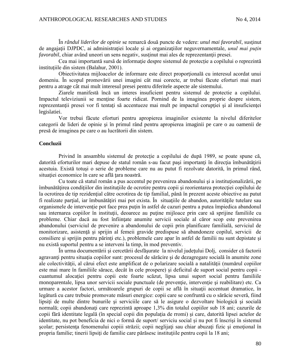În *rândul liderilor de opinie* se remarcă două puncte de vedere: *unul mai favorabil*, susţinut de angajaţii DJPDC, ai administraţiei locale şi ai organizaţiilor neguvernamentale, *unul mai puțin favorabil*, chiar având uneori un sens negativ, susţinut mai ales de reprezentanţii presei.

Cea mai importantă sursă de informație despre sistemul de protecție a copilului o reprezintă institutiile din sistem (Balahur, 2001).

Obiectivitatea mijloacelor de informare este direct proporţională cu interesul acordat unui domeniu. În scopul promovării unei imagini cât mai corecte, ar trebui făcute eforturi mai mari pentru a atrage cât mai mult interesul presei pentru diferitele aspecte ale sistemului.

Ziarele manifestă încă un interes insuficient pentru sistemul de protectie a copilului. Impactul televiziunii se mentine foarte ridicat. Pornind de la imaginea proprie despre sistem, reprezentanții presei vor fi tentați să accentueze mai mult pe impactul corupției și al insuficienței legislatiei.

Vor trebui făcute eforturi pentru apropierea imaginilor existente la nivelul diferitelor categorii de lideri de opinie şi în primul rând pentru apropierea imaginii pe care o au oamenii de presă de imaginea pe care o au lucrătorii din sistem.

### **Concluzii**

Privind în ansamblu sistemul de protecție a copilului de după 1989, se poate spune că, datorită eforturilor mari depuse de statul român s-au facut pași importanți în direcția îmbunătățirii acestuia. Există totuşi o serie de probleme care nu au putut fi rezolvate datorită, în primul rând, situatiei economice în care se află tara noastră.

Cu toate că statul român a pus accentul pe prevenirea abandonului şi a instituţionalizării, pe îmbunătățirea condițiilor din instituțiile de ocrotire pentru copii și reorientarea protecției copilului de la ocrotirea de tip rezidențial către ocrotirea de tip familial, până în prezent aceste obiective au putut fi realizate parțial, iar îmbunătățiri mai pot exista. În situațiile de abandon, autoritățile tutelare sau organismele de intervenţie pot face prea puţin în astfel de cazuri pentru a putea împiedica abandonul sau internarea copiilor în instituții, deoarece au puține mijloace prin care să sprijine familiile cu probleme. Chiar dacă au fost înfiinţate anumite servicii sociale al căror scop este prevenirea abandonului (serviciul de prevenire a abandonului de copii prin planificare familială, serviciul de monitorizare, asistenţă şi sprijin al femeii gravide predispuse să abandoneze copilul, servicii de consiliere și sprijin pentru părinți etc.), problemele care apar în astfel de familii nu sunt depistate și nu există suportul pentru a se interveni la timp, în mod preventiv.

În urma documentării şi cercetării desfăşurate la nivelul judeţului Dolj, consider că factorii agravanți pentru situația copiilor sunt: procesul de sărăcire și de dezagregare socială în anumite zone ale colectivității, al cărui efect este amplificat de o polarizare socială a natalității (numărul copiilor este mai mare în familiile sărace, decât în cele prospere) şi deficitul de suport social pentru copii cuantumul alocaţiei pentru copii este foarte scăzut, lipsa unui suport social pentru familiile monoparentale, lipsa unor servicii sociale punctuale (de prevenție, intervenție și reabilitare) etc. Ca urmare a acestor factori, următoarele grupuri de copii se află în situaţii accentuat dramatice, în legătură cu care trebuie promovate măsuri energice: copii care se confruntă cu o sărăcie severă, fiind lipsiți de multe dintre bunurile și serviciile care să le asigure o dezvoltare biologică și socială normală; copii abandonați care reprezintă aproape 1,3% din totalul copiilor sub 18 ani; cazurile de copii fără identitate legală (în special copii din populația de rromi) și care, datorită lipsei actelor de identitate, nu pot beneficia de nici o formă de suport/ serviciu social și nu pot fi înscrişi în sistemul scolar; persistența fenomenului copiii străzii; copii neglijați sau chiar abuzați fizic și emoțional în propria familie; tinerii lipsiți de familie care părăsesc instituțiile pentru copii la 18 ani;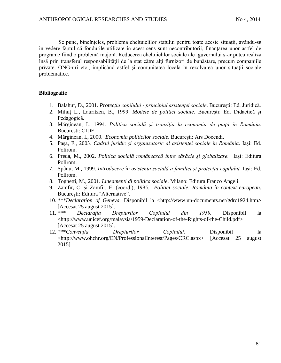Se pune, bineînțeles, problema cheltuielilor statului pentru toate aceste situații, avându-se în vedere faptul că fondurile utilizate în acest sens sunt necontributorii, finanţarea unor astfel de programe fiind o problemă majoră. Reducerea cheltuielilor sociale ale guvernului s-ar putea realiza însă prin transferul responsabilității de la stat către alți furnizori de bunăstare, precum companiile private, ONG-uri etc., implicând astfel şi comunitatea locală în rezolvarea unor situaţii sociale problematice.

# **Bibliografie**

- 1. Balahur, D., 2001. *Protecţia copilului - principiul asistenţei sociale*. Bucureşti: Ed. Juridică.
- 2. Mihuţ L., Lauritzen, B., 1999. *Modele de politici sociale.* Bucureşti: Ed. Didactică şi Pedagogică.
- 3. Mărginean, I., 1994. *Politica socială şi tranziţia la economia de piaţă în România*. Bucuresti: CIDE.
- 4. Mărginean, I., 2000. *Economia politicilor sociale*. Bucureşti: Ars Docendi.
- 5. Paşa, F., 2003. *Cadrul juridic şi organizatoric al asistenţei sociale în România*. Iaşi: Ed. Polirom.
- 6. Preda, M., 2002. *Politica socială românească între sărăcie şi globalizare.* Iaşi: Editura Polirom.
- 7. Spânu, M., 1999. *Introducere în asistenţa socială a familiei şi protecţia copilului.* Iaşi: Ed. Polirom.
- 8. Tognetti, M., 2001. *Lineamenti di politica sociale*. Milano: Editura Franco Angeli.
- 9. Zamfir, C. şi Zamfir, E. (coord.), 1995. *Politici sociale: România în context european*. Bucureşti: Editura "Alternative".
- 10. *\*\*\*Declaration of Geneva.* Disponibil la [<http://www.un-documents.net/gdrc1924.htm>](http://www.un-documents.net/gdrc1924.htm) [Accesat 25 august 2015].
- 11. \*\*\* *Declaraţia Drepturilor Copilului din 1959.* Disponibil la <http://www.unicef.org/malaysia/1959-Declaration-of-the-Rights-of-the-Child.pdf> [Accesat 25 august 2015].
- 12. \*\*\**Convenţia Drepturilor Copilului.* Disponibil la [<http://www.ohchr.org/EN/ProfessionalInterest/Pages/CRC.aspx>](http://www.ohchr.org/EN/ProfessionalInterest/Pages/CRC.aspx) [Accesat 25 august 2015]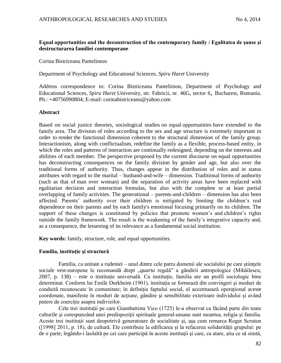## **Equal opportunities and the deconstruction of the contemporary family / Egalitatea de şanse şi destructurarea familiei contemporane**

Corina Bistriceanu Pantelimon

Department of Psychology and Educational Sciences, *Spiru Haret* University

Address correspondence to: Corina Bistriceanu Pantelimon, Department of Psychology and Educational Sciences, *Spiru Haret* University, str. Fabricii, nr. 46G, sector 6, Bucharest, Romania. Ph.: +40756990804; E-mail: corinabistriceanu@yahoo.com

### **Abstract**

Based on social justice theories, sociological studies on equal opportunities have extended to the family area. The division of roles according to the sex and age structure is extremely important in order to render the functional dimension coherent to the structural dimension of the family group. Interactionism, along with conflictualism, redefine the family as a flexible, process-based entity, in which the roles and patterns of interaction are continually redesigned, depending on the interests and abilities of each member. The perspective proposed by the current discourse on equal opportunities has deconstructing consequences on the family division by gender and age, but also over the traditional forms of authority. Thus, changes appear in the distribution of roles and in status attributes with regard to the marital – husband-and-wife – dimension. Traditional forms of authority (such as that of man over woman) and the separation of activity areas have been replaced with egalitarian decision and interaction formulas, but also with the complete or at least partial overlapping of family activities. The generational – parents-and-children – dimension has also been affected. Parents' authority over their children is mitigated by limiting the children's real dependence on their parents and by each family's emotional focusing primarily on its children. The support of these changes is constituted by policies that promote women's and children's rights outside the family framework. The result is the weakening of the family's integrative capacity and, as a consequence, the lessening of its relevance as a fundamental social institution.

**Key words:** family, structure, role, and equal opportunities.

### **Familia, instituţie şi structură**

Familia, ca unitate a rudeniei – unul dintre cele patru domenii ale socialului pe care ştiinţele sociale vest-europene le recomandă drept *"quarta* regală" a gândirii antropologice (Mihăilescu, 2007, p. 138) – este o instituție universală. Ca instituție, familia are un profil sociologic bine determinat. Conform lui Emile Durkheim (1901), instituția se formează din convingeri și moduri de conduită recunoscute în comunitate; în definiţia faptului social, el accentuează operaţional aceste coordonate, manifeste în moduri de acțiune, gândire și sensibilitate exterioare individului și având putere de coercitie asupra indivizilor.

Cele trei instituții pe care Giambattista Vico (1725) le-a observat ca făcând parte din toate culturile şi corespunzând unei predispoziţii spirituale general-umane sunt moartea, religia şi familia. Aceste trei instituţii sunt deopotrivă generatoare de socialitate şi, aşa cum remarca Roger Scruton ([1998] 2011, p. 18), de cultură. Ele contribuie la edificarea şi la refacerea solidarităţii grupului: pe de o parte, legându-i laolaltă pe cei care participă în aceste instituții și care, ca atare, știu ce să simtă,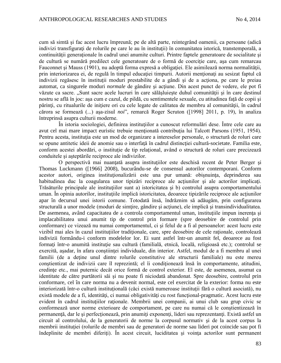cum să simtă şi fac acest lucru împreună; pe de altă parte, reintegrând oamenii, ca persoane (adică indivizi transfigurați de rolurile pe care le au în instituții) în comunitatea istorică, transtemporală, a continuităţii generaţionale în cadrul unei anumite culturi. Printre faptele generatoare de socialitate şi de cultură se numără predilect cele generatoare de o formă de coerciție care, asa cum remarcau Fauconnet şi Mauss (1901), nu adoptă forma expresă a obligaţiei. Ele asimilează norma normalităţii, prin interiorizarea ei, de regulă în timpul educației timpurii. Autorii menționați au sesizat faptul că indivizii regăsesc în instituţii moduri prestabilite de a gândi şi de a acţiona, pe care le preiau automat, ca singurele moduri *normale* de gândire şi acţiune. Din acest punct de vedere, ele pot fi văzute ca sacre. "Sunt sacre acele lucruri în care sălășluiește duhul comunității și în care destinul nostru se află în joc: asa cum e cazul, de pildă, cu sentimentele sexuale, cu atitudinea fată de copii și părinți, cu ritualurile de inițiere ori cu cele legate de calitatea de membru al comunității, în cadrul cărora se formează (...) aşa-zisul *noi*", remarcă Roger Scruton ([1998] 2011, p. 19), în analiza întreprinsă asupra culturii moderne.

În istoria sociologiei, definirea instituțiilor a cunoscut reformulări dese. Între cele care au avut cel mai mare impact euristic trebuie menţionată contribuţia lui Talcott Parsons (1951, 1954). Pentru acesta, instituția este un mod de organizare a intereselor personale, o structură de roluri care se opune antitetic ideii de anomie sau o interfață în cadrul distincției cultură-societate. Familia este, conform acestei abordări, o instituție de tip relațional, având o structură de roluri care precizează conduitele şi aşteptările reciproce ale indivizilor.

O perspectivă mai nuanţată asupra instituţiilor este deschisă recent de Peter Berger şi Thomas Luckmann ([1966] 2008), bucurându-se de consensul autorilor contemporani. Conform acestor autori, originea instituţionalizării este una pur umană: obişnuinţa, deprinderea sau habitudinea duc la coagularea unor tipizări reciproce ale acțiunilor și ale actorilor implicați. Trăsăturile principale ale instituţiilor sunt a) istoricitatea şi b) controlul asupra comportamentului uman. În opinia autorilor, instituţiile implică istoricitatea, deoarece tipizările reciproce ale acţiunilor apar în decursul unei istorii comune. Totodată însă, îndrăznim să adăugăm, prin configurarea structurală a unor modele (moduri de simțire, gândire și acțiune), ele implică și transindividualitatea. De asemenea, având capacitatea de a controla comportamentul uman, instituțiile impun inerența și implacabilitatea unui anumit tip de control prin formare (spre deosebire de controlul prin conformare) ce vizează nu numai comportamentul, ci şi felul de a fi al persoanelor: acest lucru este vizibil mai ales în cazul instituțiilor tradiționale, care, spre deosebire de cele raționale, controlează indivizii formându-i conform modelelor lor. Ei sunt astfel într-un anumit fel, deoarece au fost formați într-o anumită instituție sau cultură (familială, etnică, locală, religioasă etc.); controlul se exercită, așadar, în afara conștiinței individuale, din interior. Astfel, modul de a fi membru al unei familii (de a deţine unul dintre rolurile constitutive ale structurii familiale) nu este mereu conștientizat de indivizii care îl reprezintă; el îi condiționează însă în comportamente, atitudini, credinţe etc., mai puternic decât orice formă de control exterior. El este, de asemenea, asumat ca identitate de către purtătorii săi şi nu poate fi niciodată abandonat. Spre deosebire, controlul prin conformare, cel în care norma nu a devenit normal, este cel exercitat de la exterior: forma nu este interiorizată într-o cultură instituțională (căci există numeroase instituții fără o cultură asociată), nu există modele de a fi, identități, ci numai obligativități cu rost funcțional-pragmatic. Acest lucru este evident în cadrul instituţiilor raţionale. Membrii unei companii, ai unui club sau grup civic se conformează unor norme exterioare de comportament, pe care nu numai că le conştientizează în permanență, dar le și perfecționează, prin anumiți exponenți, lideri sau reprezentanți. Există astfel un circuit al controlului, de la generatorii de norme la corpusul normativ şi de la acest corpus la membrii institutiei (rolurile de membri sau de generatori de norme sau lideri pot coincide sau pot fi îndeplinite de membri diferiți). În acest circuit, luciditatea și voința actorilor sunt permanent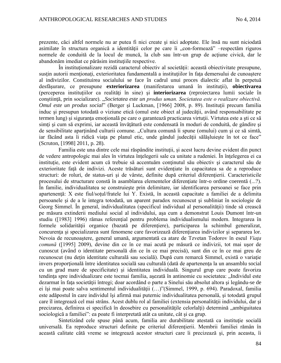prezente, căci altfel normele nu ar putea fi nici create şi nici adoptate. Ele însă nu sunt niciodată asimilate în structura organică a identității celor pe care îi "con-formează" –respectăm riguros normele de conduită de la locul de muncă, la club sau într-un grup de acţiune civică, dar le abandonăm imediat ce părăsim instituţiile respective.

În institutionalizare rezidă caracterul obiectiv al societății: această obiectivitate presupune, sustin autorii mentionati, exterioritatea fundamentală a institutiilor în fata demersului de cunoastere al indivizilor. Constituirea socialului se face în cadrul unui proces dialectic aflat în perpetuă desfăşurare, ce presupune **exteriorizarea** (manifestarea umană în instituţii), **obiectivarea** (perceperea instituţiilor ca realităţi în sine) şi **interiorizarea** (reproiectarea lumii sociale în constiință, prin socializare). "*Societatea este un produs uman. Societatea este o realizare obiectivă*. *Omul este un produs social*" (Berger şi Luckman, [1966] 2008, p. 89). Instituţii precum familia induc și presupun totodată o viziune etică (omul este obiect al judecății, având responsabilitate pe termen lung) și siguranța emoțională pe care o garantează practicarea virtuții. Virtutea este a ști ce să simți și cum să exprimi, iar această învățătură este condensată în moduri de conduită, de gândire și de sensibilitate aparţinând culturii comune. "Cultura comună îi spune (omului) cum şi ce să simtă, iar făcând asta îi ridică viata pe planul etic, unde gândul judecății sălășluiește în tot ce face" (Scruton, [1998] 2011, p. 28).

Familia este una dintre cele mai răspândite instituţii, şi acest lucru devine evident din punct de vedere antropologic mai ales în virtutea înţelegerii sale ca unitate a rudeniei. În înţelegerea ei ca instituție, este evident acum că trebuie să accentuăm conținutul său obiectiv și caracterul său de exterioritate față de indivizi. Aceste trăsături sunt evidențiate în capacitatea sa de a reproduce structuri: de roluri, de status-uri și de vârste, definite după criteriul diferențierii. Caracteristicile procesului de structurare constă în asamblarea elementelor diferenţiate într-o ordine coerentă (...?). În familie, individualitatea se construieşte prin delimitare, iar identificarea persoanei se face prin apartenenţă: X este fiul/soţul/fratele lui Y. Există, în această capacitate a familiei de a delimita persoanele şi de a le integra totodată, un aparent paradox recunoscut şi subliniat în sociologie de Georg Simmel. În general, individualitatea (specificul individual al personalităţii) tinde să crească pe măsura extinderii mediului social al individului, aşa cum a demonstrat Louis Dumont într-un studiu ([1983] 1996) rămas referențial pentru problema individualismului modern. Integrarea în formele solidarității organice (bazată pe diferențiere), participarea la schimbul generalizat, concurența și specializarea sunt fenomene care favorizează diferențiarea indivizilor și separarea lor. Nevoia de recunoaştere, general umană, argumentată ca atare de Tzvetan Todorov în eseul *Viaţa comună* ([1995] 2009), devine din ce în ce mai acută pe măsură ce indivizii, tot mai uşor de cunoscut (având o identitate personală din ce în ce mai precisă), sunt din ce în ce mai greu de recunoscut (nu deţin identitate culturală sau socială). După cum remarcă Simmel, există o variaţie invers proportională între identitatea socială sau culturală (dată de apartenența la un ansamblu social cu un grad mare de specificitate) şi identitatea individuală. Singurul grup care poate favoriza tendința spre individualizare este tocmai familia, așezată în antinomie cu societatea: "Individul este dezarmat în fata societății întregi; doar acordând o parte a Sinelui său absolut altora și legându-se de ei își mai poate salva sentimentul individualității (...)"(Simmel, 1999, p. 694). Paradoxal, familia este adăpostul în care individul îşi afirmă mai puternic individualitatea personală, şi totodată grupul care îl integrează cel mai strâns. Acest dublu rol al familiei (extensia personalităţii individului, dar şi precizarea, definirea ei specifică în deosebire cu personalitățile celorlalți) determină "ambiguitatea sociologică a familiei": ea poate fi interpretată atât ca unitate, cât şi ca grup.

Sintetizând cele spuse până acum, familia are durabilitate atestată ca instituție socială universală. Ea reproduce structuri definite pe criteriul diferențierii. Membrii familiei rămân în această calitate câtă vreme se integrează acestor structuri care îi precizează şi, prin aceasta, îi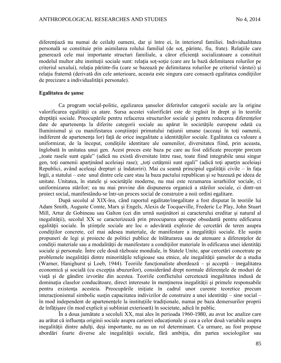diferentiază nu numai de ceilalți oameni, dar și între ei, în interiorul familiei. Individualitatea personală se constituie prin asimilarea rolului familial (de sot, părinte, fiu, frate). Relațiile care generează cele mai importante structuri familiale, a căror eficienţă socializatoare a constituit modelul multor alte instituții sociale sunt: relația soț-soție (care are la bază delimitarea rolurilor pe criteriul sexului), relatia părinte-fiu (care se bazează pe delimitarea rolurilor pe criteriul vârstei) și relatia fraternă (derivată din cele anterioare, aceasta este singura care consacră egalitatea condițiilor de precizare a individualităţii personale).

#### **Egalitatea de şanse**

Ca program social-politic, egalizarea şanselor diferitelor categorii sociale are la origine valorificarea egalității ca atare. Sursa acestei valorificări este de regăsit în drept și în teoriile dreptății sociale. Preocupările pentru refacerea structurilor sociale și pentru reducerea diferențelor date de apartenența la diferite categorii sociale au apărut în societățile europene odată cu Iluminismul şi cu manifestarea conştiinţei primatului raţiunii umane (acceaşi în toţi oamenii, indiferent de apartenența lor) față de orice inegalitate a identităților sociale. Egalitatea ca valoare a uniformizat, de la început, condiţiile identitare ale oamenilor, diversitatea fiind, prin aceasta, înglobată în unitatea unui gen. Acest proces este baza pe care au fost edificate precepte precum "toate rasele sunt egale" (adică nu există diversitate între rase, toate fiind integrabile unui singur gen, toți oamenii aparținând aceleiași rase); "toți cetățenii sunt egali" (adică toți aparțin aceleiași Republici, având aceleaşi drepturi şi îndatoriri). Mai cu seamă principiul egalităţii civile – în faţa legii, a statului – este unul dintre cele care stau la baza pactului republican şi se bazează pe ideea de unitate. Unitatea, în statele şi societăţile moderne, nu mai este rezumarea ierarhiilor sociale, ci uniformizarea stărilor; ea nu mai provine din dispunerea organică a stărilor sociale, ci dintr-un proiect social, manifestându-se într-un proces social de construire a noii ordini egalitare.

După secolul al XIX-lea, când raportul egalitate/inegalitate a fost disputat în teoriile lui Adam Smith, Auguste Comte, Marx şi Engels, Alexis de Tocqueville, Frederic Le Play, John Stuart Mill, Artur de Gobineau sau Galton (cei din urmă susţinători ai caracterului ereditar şi natural al inegalităţii), secolul XX se caracterizează prin preocuparea aproape obsedantă pentru edificarea egalităţii sociale. În ştiinţele sociale are loc o adevărată explozie de cercetări de teren asupra condițiilor concrete, cel mai adesea materiale, de manifestare a inegalității sociale. Ele susțin propuneri de legi și proiecte de politici publice de înlăturarea sau de atenuare a diferențelor de condiții materiale sau a modalității de manifestare a condițiilor materiale în edificarea unei identități sociale şi personale. Între cele două războaie mondiale, în Statele Unite, apar cercetări concetrate pe problemele inegalităţii dintre minorităţile religioase sau etnice, ale inegalităţii şanselor de a studia (Warner, Hanighurst și Loeb, 1944). Teoriile funcționaliste abordează – și acceptă – inegalitatea economică și socială (cu excepția abuzurilor), considerând drept normale diferențele de moduri de viaţă şi de gândire izvorâte din acestea. Teoriile conflictului cercetează inegalitatea indusă de dominația claselor conducătoare, direct interesate în menținerea inegalității și primele responsabile pentru existenta acesteia. Preocupările inițiate în cadrul unor curente teoretice precum interactionismul simbolic sustin capacitatea indivizilor de construire a unei identități – sine social – în mod independent de apartenenţele la instituţiile tradiţionale, numai pe baza demersurilor proprii de înfăţişare (în mod explicit şi subliniat exterioară) în societate, adică în public.

În a doua jumătate a secoluli XX, mai ales în perioada 1960-1980, au avut loc analize care au arătat că influența originii sociale asupra carierei educaționale și cea a celor două variabile asupra inegalității dintre adulți, deși importante, nu au un rol determinant. Ca urmare, au fost propuse abordări foarte diverse ale inegalității sociale, fără ambiția, din partea sociologilor sau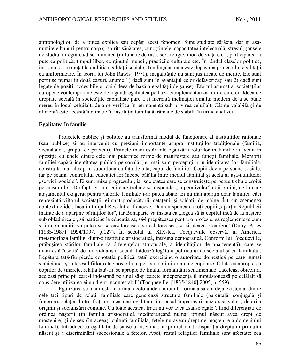antropologilor, de a putea explica sau depăşi acest fenomen. Sunt studiate sărăcia, dar şi aşanumitele bunuri pentru corp și spirit: sănătatea, cunoștințele, capacitatea intelectuală, stresul, sansele de studiu, integrarea/discriminarea (în funcție de rasă, sex, religie, mod de viață etc.), participarea la puterea politică, timpul liber, conținutul muncii, practicile culturale etc. În rândul claselor politice, însă, nu s-a renunţat la ambiţia egalităţii sociale. Tendinţa actuală este depăşirea proiectului egalităţii ca uniformizare. În teoria lui John Rawls (1971), inegalitățile nu sunt justificate de merite. Ele sunt permise numai în două cazuri, anume 1) dacă sunt în avantajul celor defavorizaţi sau 2) dacă sunt legate de poziții accesibile oricui (ideea de bază a egalității de șanse). Efortul asumat al societăților europene contemporane este de a gândi egalitatea pe baza complementarizării diferenţelor. Ideea de dreptate socială în societățile capitaliste pare a fi inerentă înclinației omului modern de a se pune mereu în locul celuilalt, de a se verifica în permanenţă sub privirea celuilalt. Cât de valabilă şi de eficientă este această înclinație în instituția familială, rămâne de stabilit în urma analizei.

#### **Egalitatea în familie**

Proiectele publice si politice au transformat modul de functionare al instituțiilor raționale (sau publice) şi au intervenit cu presiuni importante asupra instituţiilor tradiţionale (familia, vecinătatea, grupul de prieteni). Primele manifestări ale egalizării rolurilor în familie au venit în opoziţie cu unele dintre cele mai puternice forme de manifestare sau funcţii familiale. Membrii familiei capătă identitatea publică personală (nu mai sunt percepuți prin identitatea lor familială, construită mai ales prin subordonarea faţă de tată, capul de familie). Copiii devin persoane sociale, iar pe seama controlului educatiei lor începe bătălia între mediul familial și acela al asa-numitelor "servicii sociale". Ei sunt miza progresului, iar societatea care se construiește perpetuu trebuie croită pe măsura lor. De fapt, ei sunt cei care trebuie să răspundă "imperativelor" noii ordini, de la care ataşamentul exagerat pentru valorile familiale i-ar putea abate. Ei nu mai aparţin doar familiei, căci reprezintă viitorul societății; ei sunt producătorii, cetățenii și soldații de mâine. Într-un asemenea context de idei, încă în timpul Revoluției franceze, Danton spunea că toți copiii "aparțin Republicii înainte de a aparține părinților lor", iar Bonaparte va insista ca "legea să ia copilul încă de la naștere sub oblăduirea ei, să participe la educația sa, să-l pregătească pentru o profesie, să reglementeze cum şi în ce condiţii va putea să se căsătorească, să călătorească, să-şi aleagă o carieră" (Duby, Aries [1985/1987] 1994/1997, p.127). În secolul al XIX-lea, Tocqueville observă, în America, metamorfoza familiei dintr-o instituție aristocratică, într-una democratică. Conform lui Tocqueville, prăbuşirea stărilor familiale (a diferenţelor structurale, a identităţilor de apartenenţă), care se manifestă însoțită de individualism social, trădează legătura politicului cu socialul și cu familialul. Legătura tată-fiu pierde conotația politică, tatăl exercitând o autoritate domestică pe care numai slăbiciunea şi interesul fiilor o fac posibilă în perioada primilor ani de copilărie. Odată cu apropierea copiilor de tinerețe, relația tată-fiu se apropie de finalul formalității sentimentale: "aceleași obiceiuri, aceleaşi principii care-l îndeamnă pe unul să-şi capete independenţa îl impulsionează pe celălalt să considere utilizarea ei un drept incontestabil" (Tocqueville, [1835/1840] 2005, p. 559).

Egalizarea se manifestă mai întâi acolo unde o anumită formă a sa era deja existentă: dintre cele trei tipuri de relaţii familiale care generează structura familiale (parentală, conjugală şi fraternă), relaţia dintre fraţi era cea mai egalitară, în sensul împărtăşirii aceloraşi valori, datorită originii și socializării comune. Cu toate acestea, frații nu vor avea "șanse egale", fiind diferențiați de ordinea naşterii (în familia aristocratică mediteraneană numai primul născut avea drept de moştenire) şi de sex (în aceeaşi cultură familială, fetele nu aveau drept de moştenire a domeniului familial). Introducerea egalității de sanse a însemnat, în primul rând, dispariția dreptului primului născut şi a discriminării succesionale a fetelor. Apoi, restul relaţiilor familiale sunt afectate: cea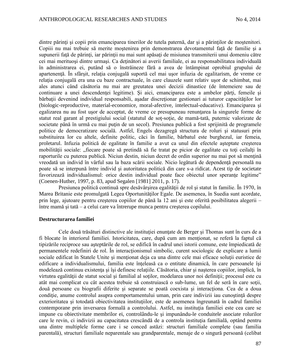dintre părinți și copii prin emanciparea tinerilor de tutela paternă, dar și a părinților de moștenitori. Copiii nu mai trebuie să merite moștenirea prin demonstrarea devotamentul față de familie și a supunerii față de părinți, iar părinții nu mai sunt apăsați de misiunea transmiterii unui domeniu către cei mai merituoşi dintre urmaşi. Ca deţinători ai averii familiale, ei au responsabilitatea individuală în administrarea ei, putând să o înstrăineze fără a avea de întâmpinat oprobiul grupului de apartenență. În sfârșit, relația conjugală suportă cel mai usor infuzia de egalitarism, de vreme ce relația conjugală era una cu baze contractuale, în care clauzele sunt relativ ușor de schimbat, mai ales atunci când căsătoria nu mai are greutatea unei decizii dinastice (de întemeiere sau de continuare a unei descendenței legitime). Și aici, emanciparea este a ambelor părți, femeile și bărbații devenind individual responsabili, asadar discreționar gestionari ai tuturor capacităților lor (biologic-reproductive, material-economice, moral-afective, intelectual-educative). Emanciparea şi egalizarea nu au fost usor de acceptat, de vreme ce presupuneau renuntarea la singurele forme de statut real garant al prestigiului social (statutul de soţ-soţie, de mamă-tată, puternic valorizate de societate până în urmă cu mai puțin de un secol). Presiunea publică a fost sprijinită de programele politice de democratizare socială. Astfel, Engels dezagregă structura de roluri şi statusuri prin substituirea lor cu altele, definite politic, căci în familie, bărbatul este burghezul, iar femeia, proletarul. Infuzia politică de egalitate în familie a avut ca unul din efectele aşteptate creşterea mobilității sociale: "fiecare poate să pretindă să fie tratat pe picior de egalitate cu toți ceilalți în raporturile cu puterea publică. Niciun destin, niciun decret de ordin superior nu mai pot să mențină vreodată un individ în vârful sau la baza scării sociale. Nicio legătură de dependenţă personală nu poate să se interpună între individ şi autoritatea politică din care s-a ridicat. Acest tip de societate favorizează individualismul: orice destin individual poate face obiectul unor sperante legitime" (Coenen-Huther, 1997, p. 83, apud Segalen [1981] 2011, p. 17).

Presiunea politică continuă spre desăvârșirea egalității de rol și statut în familie. În 1970, în Marea Britanie este promulgată Legea Oportunităţilor Egale. De asemenea, în Suedia sunt acordate, prin lege, ajutoare pentru creşterea copiilor de până la 12 ani şi este oferită posibilitatea alegerii – între mamă şi tată – a celui care va întrerupe munca pentru creşterea copilului.

### **Destructurarea familiei**

Cele două trăsături distinctive ale instituției enunțate de Berger și Thomas sunt în curs de a fi blocate în interiorul familiei. Istoricitatea, care, după cum am menţionat, se referă la faptul că tipizările reciproce sau aşteptările de rol, se edifică în cadrul unei istorii comune, este împiedicată de permanentele redefiniri de rol. În interacţionismul simbolic, curent sociologic de explicare a lumii sociale edificat în Statele Unite și menționat deja ca una dintre cele mai eficace soluții euristice de edificare a individualismului, familia este înteleasă ca o entitate dinamică, în care persoanele îsi modelează continuu existenţa şi îşi definesc relaţiile. Căsătoria, chiar şi naşterea copiilor, implică, în virtutea egalității de statut social și familial al soților, modelarea unor noi definiții; procesul este cu atât mai complicat cu cât acestea trebuie să construiască o sub-lume, un fel de seră în care soţii, două persoane cu biografii diferite și separate se poată coexista și interactiona. Cea de a doua condiție, anume controlul asupra comportamentului uman, prin care indivizii iau cunoștință despre exterioritatea şi totodată obiectivitatea instituţiilor, este de asemenea îngreunată în cadrul familiei contemporane prin inversarea formală a controlului. Astfel, nu instituţia familiei este cea care se impune cu obiectivitate membrilor ei, controlându-le şi impunându-le conduitele asociate rolurilor care le revin, ci indivizii au capacitatea crescândă de a controla instituția familială, optând pentru una dintre multiplele forme care i se conced astăzi: structuri familiale complete (sau familia parentală), structuri familiale neparentale sau grandparentale, menaje de o singură persoană (celibat